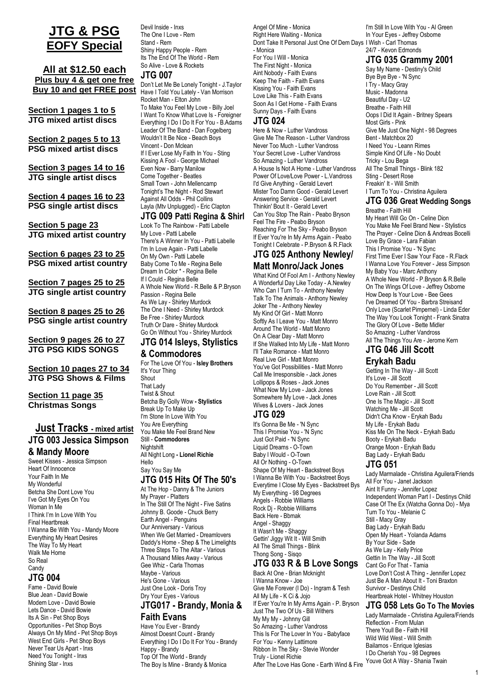# **JTG & PSG EOFY Special**

**All at \$12.50 each Plus buy 4 & get one free Buy 10 and get FREE post**

**Section 1 pages 1 to 5 JTG mixed artist discs**

**Section 2 pages 5 to 13 PSG mixed artist discs**

**Section 3 pages 14 to 16 JTG single artist discs**

**Section 4 pages 16 to 23 PSG single artist discs**

**Section 5 page 23 JTG mixed artist country**

**Section 6 pages 23 to 25 PSG mixed artist country**

**Section 7 pages 25 to 25 JTG single artist country**

**Section 8 pages 25 to 26 PSG single artist country**

**Section 9 pages 26 to 27 JTG PSG KIDS SONGS**

**Section 10 pages 27 to 34 JTG PSG Shows & Films**

**Section 11 page 35 Christmas Songs**

# **Just Tracks - mixed artist JTG 003 Jessica Simpson**

**& Mandy Moore** Sweet Kisses - Jessica Simpson Heart Of Innocence Your Faith In Me My Wonderful Betcha She Dont Love You I've Got My Eyes On You Woman In Me I Think I'm In Love With You Final Heartbreak I Wanna Be With You - Mandy Moore Everything My Heart Desires The Way To My Heart Walk Me Home So Real

#### Candy **JTG 004**

Fame - David Bowie Blue Jean - David Bowie Modern Love - David Bowie Lets Dance - David Bowie Its A Sin - Pet Shop Boys Opportunities - Pet Shop Boys Always On My Mind - Pet Shop Boys West End Girls - Pet Shop Boys Never Tear Us Apart - Inxs Need You Tonight - Inxs Shining Star - Inxs

Devil Inside - Inxs The One I Love - Rem Stand - Rem Shiny Happy People - Rem Its The End Of The World - Rem So Alive - Love & Rockets

#### **JTG 007**

Don't Let Me Be Lonely Tonight - J.Taylor Have I Told You Lately - Van Morrison Rocket Man - Elton John To Make You Feel My Love - Billy Joel I Want To Know What Love Is - Foreigner Everything I Do I Do It For You - B.Adams Leader Of The Band - Dan Fogelberg Wouldn't It Be Nice - Beach Boys Vincent - Don Mclean If I Ever Lose My Faith In You - Sting Kissing A Fool - George Michael Even Now - Barry Manilow Come Together - Beatles Small Town - John Mellencamp Tonight's The Night - Rod Stewart Against All Odds - Phil Collins Layla (Mtv Unplugged) - Eric Clapton

### **JTG 009 Patti Regina & Shirl**

Look To The Rainbow - Patti Labelle My Love - Patti Labelle There's A Winner In You - Patti Labelle I'm In Love Again - Patti Labelle On My Own - Patti Labelle Baby Come To Me - Regina Belle Dream In Color \* - Regina Belle If I Could - Regina Belle A Whole New World - R.Belle & P.Bryson Passion - Regina Belle As We Lay - Shirley Murdock The One I Need - Shirley Murdock Be Free - Shirley Murdock Truth Or Dare - Shirley Murdock Go On Without You - Shirley Murdock

### **JTG 014 Isleys, Stylistics & Commodores**

For The Love Of You - **Isley Brothers** It's Your Thing Shout That Lady Twist & Shout Betcha By Golly Wow **- Stylistics** Break Up To Make Up I'm Stone In Love With You You Are Everything You Make Me Feel Brand New Still - **Commodores Nightshift** All Night Long **- Lionel Richie**

Hello Say You Say Me

#### **JTG 015 Hits Of The 50's** At The Hop - Danny & The Juniors

My Prayer - Platters In The Still Of The Night - Five Satins Johnny B. Goode - Chuck Berry Earth Angel - Penguins Our Anniversary - Various When We Get Married - Dreamlovers Daddy's Home - Shep & The Limelights Three Steps To The Altar - Various A Thousand Miles Away - Various Gee Whiz - Carla Thomas Maybe - Various He's Gone - Various Just One Look - Doris Troy Dry Your Eyes - Various

### **JTG017 - Brandy, Monia & Faith Evans**

Have You Ever - Brandy Almost Doesnt Count - Brandy Everything I Do I Do It For You - Brandy Happy - Brandy Top Of The World - Brandy The Boy Is Mine - Brandy & Monica

Angel Of Mine - Monica Right Here Waiting - Monica Dont Take It Personal Just One Of Dem Days I Wish - Carl Thomas - Monica For You I Will - Monica The First Night - Monica Aint Nobody - Faith Evans Keep The Faith - Faith Evans Kissing You - Faith Evans Love Like This - Faith Evans Soon As I Get Home - Faith Evans Sunny Days - Faith Evans

### **JTG 024**

Here & Now - Luther Vandross Give Me The Reason - Luther Vandross Never Too Much - Luther Vandross Your Secret Love - Luther Vandross So Amazing - Luther Vandross A House Is Not A Home - Luther Vandross Power Of Love/Love Power - L.Vandross I'd Give Anything - Gerald Levert Mister Too Damn Good - Gerald Levert Answering Service - Gerald Levert Thinkin' Bout It - Gerald Levert Can You Stop The Rain - Peabo Bryson Feel The Fire - Peabo Bryson Reaching For The Sky - Peabo Bryson If Ever You're In My Arms Again - Peabo Tonight I Celebrate - P.Bryson & R.Flack

### **JTG 025 Anthony Newley/ Matt Monro/Jack Jones**

What Kind Of Fool Am I - Anthony Newley A Wonderful Day Like Today - A.Newley Who Can I Turn To - Anthony Newley Talk To The Animals - Anthony Newley Joker The - Anthony Newley My Kind Of Girl - Matt Monro Softly As I Leave You - Matt Monro Around The World - Matt Monro On A Clear Day - Matt Monro If She Walked Into My Life - Matt Monro I'll Take Romance - Matt Monro Real Live Girl - Matt Monro You've Got Possibilities - Matt Monro Call Me Irresponsible - Jack Jones Lollipops & Roses - Jack Jones What Now My Love - Jack Jones Somewhere My Love - Jack Jones Wives & Lovers - Jack Jones

# **JTG 029**

It's Gonna Be Me - 'N Sync This I Promise You - 'N Sync Just Got Paid - 'N Sync Liquid Dreams - O-Town Baby I Would - O-Town All Or Nothing - O-Town Shape Of My Heart - Backstreet Boys I Wanna Be With You - Backstreet Boys Everytime I Close My Eyes - Backstreet Bys My Everything - 98 Degrees Angels - Robbie Williams Rock Dj - Robbie Williams Back Here - Bbmak Angel - Shaggy It Wasn't Me - Shaggy Gettin' Jiggy Wit It - Will Smith All The Small Things - Blink Thong Song - Sisqo

# **JTG 033 R & B Love Songs**

Back At One - Brian Mcknight I Wanna Know - Joe Give Me Forever (I Do) - Ingram & Tesh All My Life - K Ci & Jojo If Ever You're In My Arms Again - P. Bryson Just The Two Of Us - Bill Withers My My My - Johnny Gill So Amazing - Luther Vandross This Is For The Lover In You - Babyface For You - Kenny Lattimore Ribbon In The Sky - Stevie Wonder Truly - Lionel Richie After The Love Has Gone - Earth Wind & Fire

I'm Still In Love With You - Al Green In Your Eyes - Jeffrey Osborne 24/7 - Kevon Edmonds

# **JTG 035 Grammy 2001**

Say My Name - Destiny's Child Bye Bye Bye - 'N Sync I Try - Macy Gray Music - Madonna Beautiful Day - U2 Breathe - Faith Hill Oops I Did It Again - Britney Spears Most Girls - Pink Give Me Just One Night - 98 Degrees Bent - Matchbox 20 I Need You - Leann Rimes Simple Kind Of Life - No Doubt Tricky - Lou Bega All The Small Things - Blink 182 Sting - Desert Rose Freakin' It - Will Smith I Turn To You - Christina Aguilera

#### **JTG 036 Great Wedding Songs** Breathe - Faith Hill

My Heart Will Go On - Celine Dion You Make Me Feel Brand New - Stylistics The Prayer - Celine Dion & Andreas Bocelli Love By Grace - Lara Fabian This I Promise You - 'N Sync First Time Ever I Saw Your Face - R.Flack I Wanna Love You Forever - Jess Simpson My Baby You - Marc Anthony A Whole New World - P.Bryson & R.Belle On The Wings Of Love - Jeffrey Osborne How Deep Is Your Love - Bee Gees I've Dreamed Of You - Barbra Streisand Only Love (Scarlet Pimpernel) - Linda Eder The Way You Look Tonight - Frank Sinatra The Glory Of Love - Bette Midler So Amazing - Luther Vandross All The Things You Are - Jerome Kern

# **JTG 046 Jill Scott Erykah Badu**

Getting In The Way - Jill Scott It's Love - Jill Scott Do You Remember - Jill Scott Love Rain - Jill Scott One Is The Magic - Jill Scott Watching Me - Jill Scott Didn't Cha Know - Erykah Badu My Life - Erykah Badu Kiss Me On The Neck - Erykah Badu Booty - Erykah Badu Orange Moon - Erykah Badu Bag Lady - Erykah Badu

# **JTG 051**

Lady Marmalade - Christina Aguilera/Friends All For You - Janet Jackson Aint It Funny - Jennifer Lopez Independent Woman Part I - Destinys Child Case Of The Ex (Watcha Gonna Do) - Mya Turn To You - Melanie C Still - Macy Gray Bag Lady - Erykah Badu Open My Heart - Yolanda Adams By Your Side - Sade As We Lay - Kelly Price Gettin In The Way - Jill Scott Cant Go For That - Tamia Love Don't Cost A Thing - Jennifer Lopez Just Be A Man About It - Toni Braxton Survivor - Destinys Child Heartbreak Hotel - Whitney Houston

# **JTG 058 Lets Go To The Movies**

Lady Marmalade - Christina Aguilera/Friends Reflection - From Mulan There Youll Be - Faith Hill Wild Wild West - Will Smith Bailamos - Enrique Iglesias I Do Cherish You - 98 Degrees Youve Got A Way - Shania Twain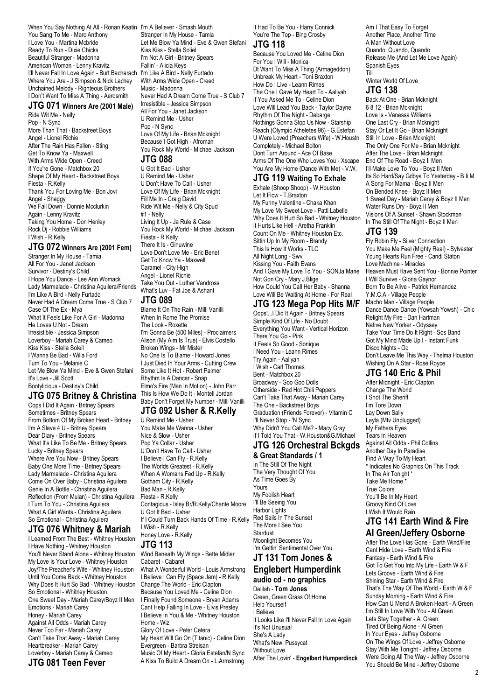When You Say Nothing At All - Ronan Keatin I'm A Believer - Smash Mouth You Sang To Me - Marc Anthony I Love You - Martina Mcbride Ready To Run - Dixie Chicks Beautiful Stranger - Madonna American Woman - Lenny Kravitz I'll Never Fall In Love Again - Burt Bacharach I'm Like A Bird - Nelly Furtado Where You Are - J.Simpson & Nick Lachey Unchained Melody - Righteous Brothers I Don't Want To Miss A Thing - Aerosmith

### **JTG 071 Winners Are (2001 Male)**

Ride Wit Me - Nelly Pop - N Sync More Than That - Backstreet Boys Angel - Lionel Richie After The Rain Has Fallen - Sting Get To Know Ya - Maxwell With Arms Wide Open - Creed If You're Gone - Matchbox 20 Shape Of My Heart - Backstreet Boys Fiesta - R.Kelly Thank You For Loving Me - Bon Jovi Angel - Shaggy We Fall Down - Donnie Mcclurkin Again - Lenny Kravitz Taking You Home - Don Henley Rock Dj - Robbie Williams I Wish - R.Kelly

#### **JTG 072 Winners Are (2001 Fem)**

Stranger In My House - Tamia All For You - Janet Jackson Survivor - Destiny's Child I Hope You Dance - Lee Ann Womack Lady Marmalade - Christina Aguilera/Friends I'm Like A Bird - Nelly Furtado Never Had A Dream Come True - S Club 7 Case Of The Ex - Mya What It Feels Like For A Girl - Madonna He Loves U Not - Dream Irresistible - Jessica Simpson Loverboy - Mariah Carey & Cameo Kiss Kiss - Stella Soleil I Wanna Be Bad - Willa Ford Turn To You - Melanie C Let Me Blow Ya Mind - Eve & Gwen Stefani It's Love - Jill Scott Bootylicious - Destiny's Child

### **JTG 075 Britney & Christina**

Oops I Did It Again - Britney Spears Sometimes - Britney Spears From Bottom Of My Broken Heart - Britney I'm A Slave 4 U - Britney Spears Dear Diary - Britney Spears What It's Like To Be Me - Britney Spears Lucky - Britney Spears Where Are You Now - Britney Spears Baby One More Time - Britney Spears Lady Marmalade - Christina Aguilera Come On Over Baby - Christina Aguilera Genie In A Bottle - Christina Aguilera Reflection (From Mulan) - Christina Aguilera I Turn To You - Christina Aguilera What A Girl Wants - Christina Aguilera So Emotional - Christina Aguilera

### **JTG 076 Whitney & Mariah**

I Learned From The Best - Whitney Houston I Have Nothing - Whitney Houston You'll Never Stand Alone - Whitney Houston My Love Is Your Love - Whitney Houston Joy/The Preacher's Wife - Whitney Houston Until You Come Back - Whitney Houston Why Does It Hurt So Bad - Whitney Houston So Emotional - Whitney Houston One Sweet Day - Mariah Carey/Boyz II Men Emotions - Mariah Carey Honey - Mariah Carey Against All Odds - Mariah Carey Never Too Far - Mariah Carey Can't Take That Away - Mariah Carey Heartbreaker - Mariah Carey Loverboy - Mariah Carey & Cameo

**JTG 081 Teen Fever**

Stranger In My House - Tamia Let Me Blow Ya Mind - Eve & Gwen Stefani Kiss Kiss - Stella Soliel I'm Not A Girl - Britney Spears Fallin' - Alicia Keys With Arms Wide Open - Creed Music - Madonna Never Had A Dream Come True - S Club 7 Irresistible - Jessica Simpson All For You - Janet Jackson U Remind Me - Usher Pop - N Sync Love Of My Life - Brian Mcknight Because I Got High - Afroman You Rock My World - Michael Jackson

# **JTG 088**

U Got It Bad - Usher U Remind Me - Usher U Don't Have To Call - Usher Love Of My Life - Brian Mcknight Fill Me In - Craig David Ride Wit Me - Nelly & City Spud #1 - Nelly Living It Up - Ja Rule & Case You Rock My World - Michael Jackson Fiesta - R Kelly There It Is - Ginuwine Love Don't Love Me - Eric Benet Get To Know Ya - Maxwell Caramel - City High Angel - Lionel Richie Take You Out - Luther Vandross What's Luv - Fat Joe & Ashant

#### **JTG 089**

Blame It On The Rain - Milli Vanilli When In Rome The Promise The Look - Roxette I'm Gonna Be (500 Miles) - Proclaimers Alison (My Aim Is True) - Elvis Costello Broken Wings - Mr Mister No One Is To Blame - Howard Jones I Just Died In Your Arms - Cutting Crew Some Like It Hot - Robert Palmer Rhythm Is A Dancer - Snap Elmo's Fire (Man In Motion) - John Parr This Is How We Do It - Montell Jordan Baby Don't Forget My Number - Milli Vanilli

#### **JTG 092 Usher & R.Kelly** U Remind Me - Usher

You Make Me Wanna - Usher Nice & Slow - Usher Pop Ya Collar - Usher U Don't Have To Call - Usher I Believe I Can Fly - R.Kelly The Worlds Greatest - R.Kelly When A Womans Fed Up - R.Kelly Gotham City - R.Kelly Bad Man - R.Kelly Fiesta - R.Kelly Contagious - Isley Br/R.Kelly/Chante Moore U Got It Bad - Usher If I Could Turn Back Hands Of Time - R.Kelly I Wish - R.Kelly Honey Love - R.Kelly **JTG 113**

Wind Beneath My Wings - Bette Midler Cabaret - Cabaret What A Wonderful World - Louis Armstrong I Believe I Can Fly (Space Jam) - R Kelly Change The World - Eric Clapton Because You Loved Me - Celine Dion I Finally Found Someone - Bryan Adams Cant Help Falling In Love - Elvis Presley I Believe In You & Me - Whitney Houston Home - Wiz Glory Of Love - Peter Cetera My Heart Will Go On (Titanic) - Celine Dion Evergreen - Barbra Streisan Music Of My Heart - Gloria Estefan/N Sync A Kiss To Build A Dream On - L.Armstrong

It Had To Be You - Harry Connick You're The Top - Bing Crosby **JTG 118**

Because You Loved Me - Celine Dion For You I Will - Monica Dt Want To Miss A Thing (Armageddon) Unbreak My Heart - Toni Braxton How Do I Live - Leann Rimes The One I Gave My Heart To - Aaliyah If You Asked Me To - Celine Dion Love Will Lead You Back - Taylor Dayne Rhythm Of The Night - Debarge Nothings Gonna Stop Us Now - Starship Reach (Olympic Atheletes 96) - G.Estefan U Were Loved (Preachers Wife) - W.Houstn Completely - Michael Bolton Dont Turn Around - Ace Of Base Arms Of The One Who Loves You - Xscape You Are My Home (Dance With Me) - V.W.

# **JTG 119 Waiting To Exhale**

Exhale (Shoop Shoop) - W.Houston Let It Flow - T.Braxton My Funny Valentine - Chaka Khan My Love My Sweet Love - Patti Labelle Why Does It Hurt So Bad - Whitney Houston It Hurts Like Hell - Aretha Franklin Count On Me - Whitney Houston Etc. Sittin Up In My Room - Brandy This Is How It Works - TLC All Night Long - Swv Kissing You - Faith Evans And I Gave My Love To You - SONJa Marie Not Gon Cry - Mary J.Blige How Could You Call Her Baby - Shanna Love Will Be Waiting At Home - For Real

## **JTG 123 Mega Pop Hits M/F**

Oops!...I Did It Again - Britney Spears Simple Kind Of Life - No Doubt Everything You Want - Vertical Horizon There You Go - Pink It Feels So Good - Sonique I Need You - Leann Rimes Try Again - Aaliyah I Wish - Carl Thomas Bent - Matchbox 20 Broadway - Goo Goo Dolls Otherside - Red Hot Chili Peppers Can't Take That Away - Mariah Carey The One - Backstreet Boys Graduation (Friends Forever) - Vitamin C I'll Never Stop - 'N Sync Why Didn't You Call Me? - Macy Gray If I Told You That - W.Houston&G.Michael

# **JTG 126 Orchestral Bckgds**

**& Great Standards / 1** In The Still Of The Night The Very Thought Of You As Time Goes By Yours My Foolish Heart I'll Be Seeing You Harbor Lights Red Sails In The Sunset The More I See You **Stardust** Moonlight Becomes You I'm Gettin' Sentimental Over You

# **JT 131 Tom Jones &**

#### **Englebert Humperdink audio cd - no graphics** Delilah - **Tom Jones**

Green, Green Grass Of Home Help Yourself I Believe It Looks Like I'll Never Fall In Love Again It's Not Unusual She's A Lady What's New, Pussycat Without Love After The Lovin' - **Engelbert Humperdinck** Am I That Easy To Forget Another Place, Another Time A Man Without Love Quando, Quando, Quando Release Me (And Let Me Love Again) Spanish Eyes Till

Winter World Of Love

# **JTG 138**

Back At One - Brian Mcknight 6 8 12 - Brian Mcknight Love Is - Vanessa Williams One Last Cry - Brian Mcknight Stay Or Let It Go - Brian Mcknight Still In Love - Brian Mcknight The Only One For Me - Brian Mcknight After The Love - Brian Mcknight End Of The Road - Boyz II Men I'll Make Love To You - Boyz II Men Its So Hard/Say Gdbye To Yesterday - B Ii M A Song For Mama - Boyz II Men On Bended Knee - Boyz II Men 1 Sweet Day - Mariah Carey & Boyz II Men Water Runs Dry - Boyz II Men Visions Of A Sunset - Shawn Stockman In The Still Of The Night - Boyz II Men

### **JTG 139**

Fly Robin Fly - Silver Connection You Make Me Feel (Mighty Real) - Sylvester Young Hearts Run Free - Candi Staton Love Machine - Miracles Heaven Must Have Sent You - Bonnie Pointer I Will Survive - Gloria Gaynor Born To Be Alive - Patrick Hernandez Y.M.C.A - Village People Macho Man - Village People Dance Dance Dance (Yowsah Yowsh) - Chic Relight My Fire - Dan Hartman Native New Yorker - Odyssey Take Your Time Do It Right - Sos Band Got My Mind Made Up I - Instant Funk Disco Nights - Gq Don't Leave Me This Way - Thelma Houston Wishing On A Star - Rose Royce

### **JTG 140 Eric & Phil**

After Midnight - Eric Clapton Change The World I Shot The Sheriff I'm Tore Down Lay Down Sally Layla (Mtv Unplugged) My Fathers Eyes Tears In Heaven Against All Odds - Phil Collins Another Day In Paradise Find A Way To My Heart \* Indicates No Graphics On This Track In The Air Tonight<sup>\*</sup> Take Me Home True Colors You'll Be In My Heart Groovy Kind Of Love I Wish It Would Rain

### **JTG 141 Earth Wind & Fire Al Green/Jeffery Osborne**

After The Love Has Gone - Earth Wind/Fire Cant Hide Love - Earth Wind & Fire Fantasy - Earth Wind & Fire Got To Get You Into My Life - Earth W & F Lets Groove - Earth Wind & Fire Shining Star - Earth Wind & Fire That's The Way Of The World - Earth W & F Sunday Morning - Earth Wind & Fire How Can U Mend A Broken Heart - A.Green I'm Still In Love With You - Al Green Lets Stay Together - Al Green Tired Of Being Alone - Al Green In Your Eyes - Jeffrey Osborne On The Wings Of Love - Jeffrey Osborne Stay With Me Tonight - Jeffrey Osborne Were Going All The Way - Jeffrey Osborne You Should Be Mine - Jeffrey Osborne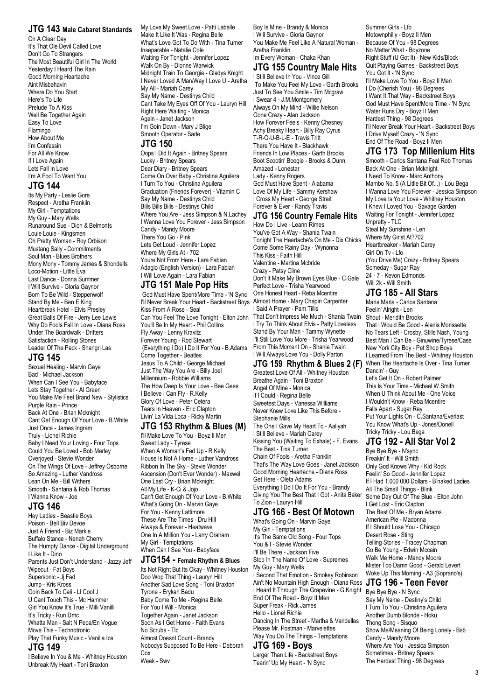#### **JTG 143 Male Cabaret Standards**

On A Clear Day It's That Ole Devil Called Love Don't Go To Strangers The Most Beautiful Girl In The World Yesterday I Heard The Rain Good Morning Heartache Aint Misbehavin Where Do You Start Here's To Life Prelude To A Kiss Well Be Together Again Easy To Love Flamingo How About Me I'm Confessin For All We Know If I Love Again Lets Fall In Love I'm A Fool To Want You

# **JTG 144**

Its My Party - Leslie Gore Respect - Aretha Franklin My Girl - Temptations My Guy - Mary Wells Runaround Sue - Dion & Belmonts Louie Louie - Kingsmen Oh Pretty Woman - Roy Orbison Mustang Sally - Commitments Soul Man - Blues Brothers Mony Mony - Tommy James & Shondells Loco-Motion - Little Eva Last Dance - Donna Summer I Will Survive - Gloria Gaynor Born To Be Wild - Steppenwolf Stand By Me - Ben E King Heartbreak Hotel - Elvis Presley Great Balls Of Fire - Jerry Lee Lewis Why Do Fools Fall In Love - Diana Ross Under The Boardwalk - Drifters Satisfaction - Rolling Stones Leader Of The Pack - Shangri Las

### **JTG 145**

Sexual Healing - Marvin Gaye Bad - Michael Jackson When Can I See You - Babyface Lets Stav Together - Al Green You Make Me Feel Brand New - Stylistics Purple Rain - Prince Back At One - Brian Mcknight Cant Get Enough Of Your Love - B.White Just Once - James Ingram Truly - Lionel Richie Baby I Need Your Loving - Four Tops Could You Be Loved - Bob Marley Overjoyed - Stevie Wonder On The Wings Of Love - Jeffrey Osborne So Amazing - Luther Vandross Lean On Me - Bill Withers Smooth - Santana & Rob Thomas I Wanna Know - Joe

### **JTG 146**

Hey Ladies - Beastie Boys Poison - Bell Biv Devoe Just A Friend - Biz Markie Buffalo Stance - Nenah Cherry The Humpty Dance - Digital Underground I Like It - Dino Parents Just Don't Understand - Jazzy Jeff Wipeout - Fat Boys Supersonic - Ji Fad Jump - Kris Kross Goin Back To Cali - Ll Cool J U Cant Touch This - Mc Hammer Girl You Know It's True - Milli Vanilli It's Tricky - Run Dmc Whatta Man - Salt N Pepa/En Vogue Move This - Technotronic Play That Funky Music - Vanilla Ice

### **JTG 149**

I Believe In You & Me - Whitney Houston Unbreak My Heart - Toni Braxton

My Love My Sweet Love - Patti Labelle Make It Like It Was - Regina Belle What's Love Got To Do With - Tina Turner Inseparable - Natalie Cole Waiting For Tonight - Jennifer Lopez Walk On By - Dionne Warwick Midnight Train To Georgia - Gladys Knight I Never Loved A Man/Way I Love U - Aretha My All - Mariah Carey Say My Name - Destinys Child Cant Take My Eyes Off Of You - Lauryn Hill Right Here Waiting - Monica Again - Janet Jackson I'm Goin Down - Mary J Blige Smooth Operator - Sade

#### **JTG 150**

Oops I Did It Again - Britney Spears Lucky - Britney Spears Dear Diary - Britney Spears Come On Over Baby - Christina Aguilera I Turn To You - Christina Aguilera Graduation (Friends Forever) - Vitamin C Say My Name - Destinys Child Bills Bills - Destinys Child Where You Are - Jess Simpson & N.Lachey I Wanna Love You Forever - Jess Simpson Candy - Mandy Moore There You Go - Pink Lets Get Loud - Jennifer Lopez Where My Girls At - 702 Youre Not From Here - Lara Fabian Adagio (English Version) - Lara Fabian I Will Love Again - Lara Fabian

### **JTG 151 Male Pop Hits**

God Must Have Spent/More Time - 'N Sync I'll Never Break Your Heart - Backstreet Boys Kiss From A Rose - Seal Can You Feel The Love Tonight - Elton John You'll Be In My Heart - Phil Collins Fly Away - Lenny Kravitz Forever Young - Rod Stewart (Everything I Do) I Do It For You - B.Adams Come Together - Beatles Jesus To A Child - George Michael Just The Way You Are - Billy Joel Millennium - Robbie Williams The How Deep Is Your Love - Bee Gees I Believe I Can Fly - R.Kelly Glory Of Love - Peter Cetera Tears In Heaven - Eric Clapton Livin' La Vida Loca - Ricky Martin

#### **JTG 153 Rhythm & Blues (M)**

I'll Make Love To You - Boyz II Men Sweet Lady - Tyrese When A Woman's Fed Up - R Kelly House Is Not A Home - Luther Vandross Ribbon In The Sky - Stevie Wonder Ascension (Don't Ever Wonder) - Maxwell One Last Cry - Brian Mcknight All My Life - K-Ci & Jojo Can't Get Enough Of Your Love - B.White What's Going On - Marvin Gaye For You - Kenny Lattimore These Are The Times - Dru Hill Always & Forever - Heatwave One In A Million You - Larry Graham My Girl - Temptations When Can I See You - Babyface

### **JTG154 - Female Rhythm & Blues**

Its Not Right But Its Okay - Whitney Houston Doo Wop That Thing - Lauryn Hill Another Sad Love Song - Toni Braxton Tyrone - Erykah Badu Baby Come To Me - Regina Belle For You I Will - Monica Together Again - Janet Jackson Soon As I Get Home - Faith Evans No Scrubs - Tlc Almost Doesnt Count - Brandy Nobodys Supposed To Be Here - Deborah Cox Weak - Swv

Boy Is Mine - Brandy & Monica I Will Survive - Gloria Gaynor You Make Me Feel Like A Natural Woman -Aretha Franklin

## Im Every Woman - Chaka Khan **JTG 155 Country Male Hits**

I Still Believe In You - Vince Gill To Make You Feel My Love - Garth Brooks Just To See You Smile - Tim Mcgraw I Swear 4 - J.M.Montgomery Always On My Mind - Willie Nelson Gone Crazy - Alan Jackson How Forever Feels - Kenny Chesney Achy Breaky Heart - Billy Ray Cyrus T-R-O-U-B-L-E - Travis Tritt There You Have It - Blackhawk Friends In Low Places - Garth Brooks Boot Scootin' Boogie - Brooks & Dunn Amazed - Lonestar Lady - Kenny Rogers God Must Have Spent - Alabama Love Of My Life - Sammy Kershaw I Cross My Heart - George Strait Forever & Ever - Randy Travis

#### **JTG 156 Country Female Hits** How Do I Live - Leann Rimes

You've Got A Way - Shania Twain Tonight The Heartache's On Me - Dix Chicks Come Some Rainy Day - Wynonna This Kiss - Faith Hill Valentine - Martina Mcbride Crazy - Patsy Cline Don't It Make My Brown Eyes Blue - C.Gale Perfect Love - Trisha Yearwood One Honest Heart - Reba Mcentire Almost Home - Mary Chapin Carpenter I Said A Prayer - Pam Tillis That Don't Impress Me Much - Shania Twain I Try To Think About Elvis - Patty Loveless Stand By Your Man - Tammy Wynette I'll Still Love You More - Trisha Yearwood From This Moment On - Shania Twain I Will Always Love You - Dolly Parton

### **JTG 159 Rhythm & Blues 2 (F)**

Greatest Love Of All - Whitney Houston Breathe Again - Toni Braxton Angel Of Mine - Monica If I Could - Regina Belle Sweetest Days - Vanessa Williams Never Knew Love Like This Before - Stephanie Mills The One I Gave My Heart To - Aaliyah I Still Believe - Mariah Carey Kissing You (Waiting To Exhale) - F. Evans The Best - Tina Turner Chain Of Fools - Aretha Franklin That's The Way Love Goes - Janet Jackson Good Morning Heartache - Diana Ross Get Here - Oleta Adams Everything I Do I Do It For You - Brandy Giving You The Best That I Got - Anita Baker To Zion - Lauryn Hill

### **JTG 166 - Best Of Motown**

What's Going On - Marvin Gaye My Girl - Temptations It's The Same Old Song - Four Tops You & I - Stevie Wonder I'll Be There - Jackson Five Stop In The Name Of Love - Supremes My Guy - Mary Wells I Second That Emotion - Smokey Robinson Ain't No Mountain High Enough - Diana Ross **JTG 196 - Teen Fever** I Heard It Through The Grapevine - G.Knight End Of The Road - Boyz II Men Super Freak - Rick James Hello - Lionel Richie Dancing In The Street - Martha & Vandellas Please Mr. Postman - Marvelettes Way You Do The Things - Temptations

# **JTG 169 - Boys**

Larger Than Life - Backstreet Boys Tearin' Up My Heart - 'N Sync

Summer Girls - Lfo Motownphilly - Boyz II Men Because Of You - 98 Degrees No Matter What - Boyzone Right Stuff (U Got It) - New Kids/Block Quit Playing Games - Backstreet Boys You Got It - 'N Sync I'll Make Love To You - Boyz II Men I Do (Cherish You) - 98 Degrees I Want It That Way - Backstreet Boys God Must Have Spent/More Time - 'N Sync Water Runs Dry - Boyz II Men Hardest Thing - 98 Degrees I'll Never Break Your Heart - Backstreet Boys I Drive Myself Crazy - 'N Sync End Of The Road - Boyz II Men

### **JTG 173 Top Millenium Hits**

Smooth - Carlos Santana Feal Rob Thomas Back At One - Brian Mcknight I Need To Know - Marc Anthony Mambo No. 5 (A Little Bit Of...) - Lou Bega I Wanna Love You Forever - Jessica Simpson My Love Is Your Love - Whitney Houston I Knew I Loved You - Savage Garden Waiting For Tonight - Jennifer Lopez Unpretty - TLC Steal My Sunshine - Len Where My Girlst At?702 Heartbreaker - Mariah Carey Girl On Tv - Lfo (You Drive Me) Crazy - Britney Spears Someday - Sugar Ray 24 - 7 - Kevon Edmonds Will 2k - Will Smith

# **JTG 185 - All Stars**

Maria Maria - Carlos Santana Feelin' Alright - Len Shout - Meridith Brooks That I Would Be Good - Alanis Morissette No Tears Left - Crosby, Stills Nash, Young Best Man I Can Be - Ginuwine/Tyrese/Case New York City Boy - Pet Shop Boys I Learned From The Best - Whitney Houston When The Heartache Is Over - Tina Turner Dancin' - Guy Let's Get It On - Robert Palmer This Is Your Time - Michael W.Smith When U Think About Me - One Voice I Wouldn't Know - Reba Mcentire Falls Apart - Sugar Ray Put Your Lights On - C.Santana/Everlast You Know What's Up - Jones/Donell Tricky Tricky - Lou Bega

### **JTG 192 - All Star Vol 2**

Bye Bye Bye - N'sync Freakin' It - Will Smith Only God Knows Why - Kid Rock Feelin' So Good - Jennifer Lopez If I Had 1,000 000 Dollars - B'naked Ladies All The Small Things - Blink Some Day Out Of The Blue - Elton John I Get Lost - Eric Clapton The Best Of Me - Bryan Adams American Pie - Madonna If I Should Lose You - Chicago Desert Rose - Sting Telling Stories - Tracey Chapman Go Be Young - Edwin Mccain Walk Me Home - Mandy Moore Mister Too Damn Good - Gerald Levert Woke Up This Morning - A3 (Soprano's)

Bye Bye Bye - N Sync Say My Name - Destiny's Child I Turn To You - Christina Aguilera Another Dumb Blonde - Hoku Thong Song - Sisquo Show Me/Meaning Of Being Lonely - Bsb Candy - Mandy Moore Where Are You - Jessica Simpson Sometimes - Britney Spears The Hardest Thing - 98 Degrees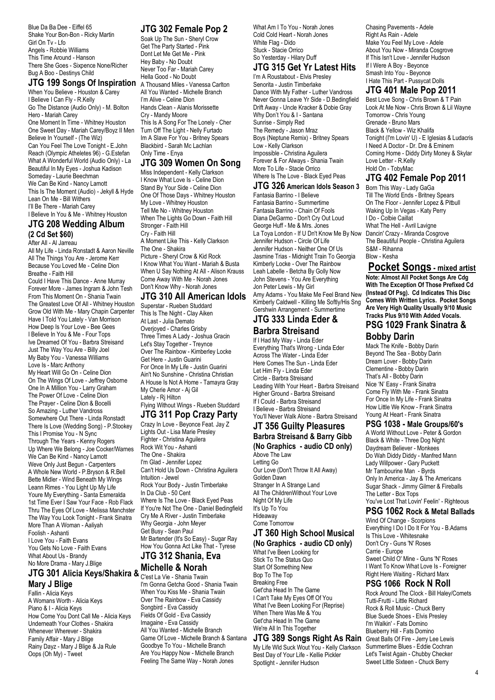Blue Da Ba Dee - Eiffel 65 Shake Your Bon-Bon - Ricky Martin Girl On Tv - Lfo Angels - Robbie Williams This Time Around - Hanson There She Goes - Sixpence None/Richer Bug A Boo - Destinys Child

#### **JTG 199 Songs Of Inspiration**

When You Believe - Houston & Carey I Believe I Can Fly - R.Kelly Go The Distance (Audio Only) - M. Bolton Hero - Mariah Carey One Moment In Time - Whitney Houston One Sweet Day - Mariah Carey/Boyz II Men Believe In Yourself - (The Wiz) Can You Feel The Love Tonight - E.John Reach (Olympic Atheletes 96) - G.Estefan What A Wonderful World (Audio Only) - La Beautiful In My Eyes - Joshua Kadison Someday - Laurie Beechman We Can Be Kind - Nancy Lamott This Is The Moment (Audio) - Jekyll & Hyde Lean On Me - Bill Withers I'll Be There - Mariah Carey I Believe In You & Me - Whitney Houston

## **JTG 208 Wedding Album (2 Cd Set \$60)**

## After All - Al Jarreau

All My Life - Linda Ronstadt & Aaron Neville All The Things You Are - Jerome Kerr Because You Loved Me - Celine Dion Breathe - Faith Hill Could I Have This Dance - Anne Murray

Forever More - James Ingram & John Tesh From This Moment On - Shania Twain The Greatest Love Of All - Whitney Houston Grow Old With Me - Mary Chapin Carpenter Have I Told You Lately - Van Morrison How Deep Is Your Love - Bee Gees I Believe In You & Me - Four Tops Ive Dreamed Of You - Barbra Streisand Just The Way You Are - Billy Joel My Baby You - Vanessa Williams Love Is - Marc Anthony My Heart Will Go On - Celine Dion On The Wings Of Love - Jeffrey Osborne One In A Million You - Larry Graham The Power Of Love - Celine Dion The Prayer - Celine Dion & Bocelli So Amazing - Luther Vandross Somewhere Out There - Linda Ronstadt There Is Love (Wedding Song) - P.Stookey This I Promise You - N Sync Through The Years - Kenny Rogers Up Where We Belong - Joe Cocker/Warnes We Can Be Kind - Nancy Lamott Weve Only Just Begun - Carpenters A Whole New World - P.Bryson & R.Bell Bette Midler - Wind Beneath My Wings Leann Rimes - You Light Up My Life Youre My Everything - Santa Esmeralda 1st Time Ever I Saw Your Face - Rob Flack Thru The Eyes Of Love - Melissa Manchster The Way You Look Tonight - Frank Sinatra More Than A Woman - Aaliyah Foolish - Ashanti I Love You - Faith Evans You Gets No Love - Faith Evans What About Us - Brandy No More Drama - Mary J.Blige

# **JTG 301 Alicia Keys/Shakira &**  C'est La Vie - Shania Twain

#### **Mary J Blige**  Fallin - Alicia Keys

A Womans Worth - Alicia Keys Piano & I - Alicia Keys How Come You Dont Call Me - Alicia Keys Underneath Your Clothes - Shakira Whenever Wherever - Shakira Family Affair - Mary J Blige Rainy Dayz - Mary J Blige & Ja Rule Oops (Oh My) - Tweet

### **JTG 302 Female Pop 2**

Soak Up The Sun - Sheryl Crow Get The Party Started - Pink Dont Let Me Get Me - Pink Hey Baby - No Doubt Never Too Far - Mariah Carey Hella Good - No Doubt A Thousand Miles - Vanessa Carlton All You Wanted - Michelle Branch I'm Alive - Celine Dion Hands Clean - Alanis Morissette Cry - Mandy Moore This Is A Song For The Lonely - Cher Turn Off The Light - Nelly Furtado Im A Slave For You - Britney Spears Blackbird - Sarah Mc Lachlan Only Time - Enya

# **JTG 309 Women On Song**

Miss Independent - Kelly Clarkson I Know What Love Is - Celine Dion Stand By Your Side - Celine Dion One Of Those Days - Whitney Houston My Love - Whitney Houston Tell Me No - Whitney Houston When The Lights Go Down - Faith Hill Stronger - Faith Hill Cry - Faith Hill A Moment Like This - Kelly Clarkson The One - Shakira Picture - Sheryl Crow & Kid Rock I Know What You Want - Mariah & Busta When U Say Nothing At All - Alison Krauss Come Away With Me - Norah Jones Don't Know Why - Norah Jones

# **JTG 310 All American Idols**

Superstar - Rueben Studdard This Is The Night - Clay Aiken At Last - Julia Demato Overjoyed - Charles Grisby Three Times A Lady - Joshua Gracin Let's Stay Together - Treynce Over The Rainbow - Kimberley Locke Get Here - Justin Guarini For Once In My Life - Justin Guarini Ain't No Sunshine - Christina Christian A House Is Not A Home - Tamayra Gray My Cherie Amor - Aj Gil Lately - Rj Hilton

# Flying Without Wings - Rueben Studdard

**JTG 311 Pop Crazy Party** Crazy In Love - Beyonce Feat. Jay Z Lights Out - Lisa Marie Presley Fighter - Christina Aguilera Rock Wit You - Ashanti The One - Shakira I'm Glad - Jennifer Lopez Can't Hold Us Down - Christina Aguilera Intuition - Jewel Rock Your Body - Justin Timberlake In Da Club - 50 Cent Where Is The Love - Black Eyed Peas If You're Not The One - Daniel Bedingfield Cry Me A River - Justin Timberlake Why Georgia - John Meyer Get Busy - Sean Paul Mr Bartender (It's So Easy) - Sugar Ray How You Gonna Act Like That - Tyrese

### **JTG 312 Shania, Eva Michelle & Norah**

I'm Gonna Getcha Good - Shania Twain When You Kiss Me - Shania Twain Over The Rainbow - Eva Cassidy Songbird - Eva Cassidy Fields Of Gold - Eva Cassidy Imagaine - Eva Cassidy All You Wanted - Michelle Branch Game Of Love - Michelle Branch & Santana Goodbye To You - Michelle Branch Are You Happy Now - Michelle Branch Feeling The Same Way - Norah Jones

What Am I To You - Norah Jones Cold Cold Heart - Norah Jones White Flag - Dido Stuck - Stacie Orrico So Yesterday - Hilary Duff

# **JTG 315 Get Yr Latest Hits**

I'm A Roustabout - Elvis Presley Senorita - Justin Timberlake Dance With My Father - Luther Vandross Never Gonna Leave Yr Side - D.Bedingfield Drift Away - Uncle Kracker & Dobie Gray Why Don't You & I - Santana Sunrise - Simply Red The Remedy - Jason Mraz Boys (Neptune Remix) - Britney Spears Low - Kelly Clarkson Impossible - Christina Aguilera Forever & For Always - Shania Twain More To Life - Stacie Orrico Where Is The Love - Black Eyed Peas

### **JTG 326 American Idols Season 3**

Fantasia Barrino - I Believe Fantasia Barrino - Summertime Fantasia Barrino - Chain Of Fools Diana DeGarmo - Don't Cry Out Loud George Huff - Me & Mrs. Jones La Toya London - If U Dn't Know Me By Now Jennifer Hudson - Circle Of Life Jennifer Hudson - Neither One Of Us Jasmine Trias - Midnight Train To Georgia Kimberly Locke - Over The Rainbow Leah Labelle - Betcha By Golly Now John Stevens - You Are Everything Jon Peter Lewis - My Girl Amy Adams - You Make Me Feel Brand New Kimberly Caldwell - Killing Me Softly/His Sng Gershwin Arrangement - Summertime

## **JTG 333 Linda Eder & Barbra Streisand**

If I Had My Way - Linda Eder Everything That's Wrong - Linda Eder Across The Water - Linda Eder Here Comes The Sun - Linda Eder Let Him Fly - Linda Eder Circle - Barbra Streisand Leading With Your Heart - Barbra Streisand Higher Ground - Barbra Streisand If I Could - Barbra Streisand I Believe - Barbra Streisand You'll Never Walk Alone - Barbra Streisand

#### **JT 356 Guilty Pleasures Barbra Streisand & Barry Gibb (No Graphics - audio CD only)** Above The Law

Letting Go Our Love (Don't Throw It All Away) Golden Dawn Stranger In A Strange Land All The ChildrenWithout Your Love Night Of My Life It's Up To You Hideaway Come Tomorrow

#### **JT 360 High School Musical (No Graphics - audio CD only)**

What I've Been Looking for Stick To The Status Quo Start Of Something New Bop To The Top Breaking Free Get'cha Head In The Game I Can't Take My Eyes Off Of You What I've Been Looking For (Reprise) When There Was Me & You Get'cha Head In The Game We're All In This Together

### **JTG 389 Songs Right As Rain**

My Life Wld Suck Wout You - Kelly Clarkson Best Day of Your Life - Kellie Pickler Spotlight - Jennifer Hudson

Chasing Pavements - Adele Right As Rain - Adele Make You Feel My Love - Adele About You Now - Miranda Cosgrove If This Isn't Love - Jennifer Hudson If I Were A Boy - Beyonce Smash Into You - Beyonce I Hate This Part - Pussycat Dolls

# **JTG 401 Male Pop 2011**

Best Love Song - Chris Brown & T Pain Look At Me Now - Chris Brown & Lil Wayne Tomorrow - Chris Young Grenade - Bruno Mars Black & Yellow - Wiz Khalifa Tonight (I'm Lovin' U) - E Iglesias & Ludacris I Need A Doctor - Dr. Dre & Eminem Coming Home - Diddy Dirty Money & Skylar Love Letter - R.Kelly Hold On - TobyMac

# **JTG 402 Female Pop 2011**

Born This Way - Lady GaGa Till The World Ends - Britney Spears On The Floor - Jennifer Lopez & Pitbull Waking Up In Vegas - Katy Perry I Do - Colbie Caillat What The Hell - Avril Lavigne Dancin' Crazy - Miranda Cosgrove The Beautiful People - Christina Aguilera S&M - Rihanna Blow - Kesha

### **Pocket Songs - mixed artist**

**Note: Almost All Pocket Songs Are Cdg With The Exception Of Those Prefixed Cd (Instead Of Psg). Cd Indicates This Disc Comes With Written Lyrics. Pocket Songs Are Very High Quality Usually 9/10 Music Tracks Plus 9/10 With Added Vocals.**

# **PSG 1029 Frank Sinatra &**

### **Bobby Darin**

Mack The Knife - Bobby Darin Beyond The Sea - Bobby Darin Dream Lover - Bobby Darin Clementine - Bobby Darin That's All - Bobby Darin Nice 'N' Easy - Frank Sinatra Come Fly With Me - Frank Sinatra For Once In My Life - Frank Sinatra How Little We Know - Frank Sinatra Young At Heart - Frank Sinatra

### **PSG 1038 - Male Groups/60's**

A World Without Love - Peter & Gordon Black & White - Three Dog Night Daydream Believer - Monkees Do Wah Diddy Diddy - Manfred Mann Lady Willpower - Gary Puckett Mr Tambourine Man - Byrds Only In America - Jay & The Americans Sugar Shack - Jimmy Gilmer & Fireballs The Letter - Box Tops You've Lost That Lovin' Feelin' - Righteous

#### **PSG 1062 Rock & Metal Ballads**

Wind Of Change - Scorpions Everything I Do I Do It For You - B.Adams Is This Love - Whitesnake Don't Cry - Guns 'N' Roses Carrie - Europe Sweet Child O' Mine - Guns 'N' Roses I Want To Know What Love Is - Foreigner Right Here Waiting - Richard Marx

#### **PSG 1066 Rock N Roll**

Rock Around The Clock - Bill Haley/Comets Tutti-Frutti - Little Richard Rock & Roll Music - Chuck Berry Blue Suede Shoes - Elvis Presley I'm Walkin' - Fats Domino Blueberry Hill - Fats Domino Great Balls Of Fire - Jerry Lee Lewis Summertime Blues - Eddie Cochran Let's Twist Again - Chubby Checker Sweet Little Sixteen - Chuck Berry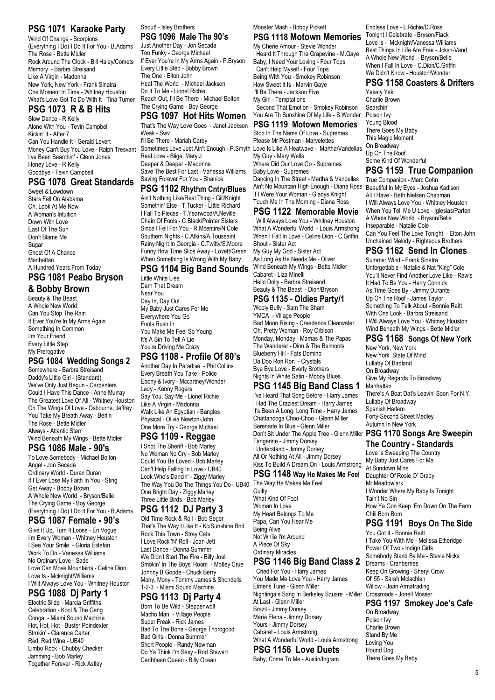# **PSG 1071 Karaoke Party**

Wind Of Change - Scorpions (Everything I Do) I Do It For You - B.Adams The Rose - Bette Midler Rock Around The Clock - Bill Haley/Comets Memory - Barbra Streisand Like A Virgin - Madonna New York, New York - Frank Sinatra One Moment In Time - Whitney Houston What's Love Got To Do With It - Tina Turner

### **PSG 1073 R & B Hits**

Slow Dance - R Kelly Alone With You - Tevin Campbell Kickin' It - After 7 Can You Handle It - Gerald Levert Money Can't Buy You Love - Ralph Tresvant I've Been Searchin' - Glenn Jones Honey Love - R Kelly Goodbye - Tevin Campbell

# **PSG 1078 Great Standards**

Sweet & Lowdown Stars Fell On Alabama Oh, Look At Me Now A Woman's Intuition Down With Love East Of The Sun Don't Blame Me Sugar Ghost Of A Chance Manhattan A Hundred Years From Today

# **PSG 1081 Peabo Bryson**

# **& Bobby Brown**

Beauty & The Beast A Whole New World Can You Stop The Rain If Ever You're In My Arms Again Something In Common I'm Your Friend Every Little Step My Prerogative

### **PSG 1084 Wedding Songs 2**

Somewhere - Barbra Streisand Daddy's Little Girl - (Standard) We've Only Just Begun - Carpenters Could I Have This Dance - Anne Murray The Greatest Love Of All - Whitney Houston On The Wings Of Love - Osbourne, Jeffrey You Take My Breath Away - Berlin The Rose - Bette Midler Always - Atlantic Starr Wind Beneath My Wings - Bette Midler

### **PSG 1086 Male - 90's**

To Love Somebody - Michael Bolton Angel - Jon Secada Ordinary World - Duran Duran If I Ever Lose My Faith In You - Sting Get Away - Bobby Brown A Whole New World - Bryson/Belle The Crying Game - Boy George (Everything I Do) I Do It For You - B.Adams

# **PSG 1087 Female - 90's**

Give It Up, Turn It Loose - En Vogue I'm Every Woman - Whitney Houston I See Your Smile - Gloria Estefan Work To Do - Vanessa Williams No Ordinary Love - Sade Love Can Move Mountains - Celine Dion Love Is - Mcknight/Williams I Will Always Love You - Whitney Houston

# **PSG 1088 Dj Party 1**

Electric Slide - Marcia Griffiths Celebration - Kool & The Gang Conga - Miami Sound Machine Hot, Hot, Hot - Buster Poindexter Strokin' - Clarence Carter Red, Red Wine - UB40 Limbo Rock - Chubby Checker Jamming - Bob Marley Together Forever - Rick Astley

### Shout! - Isley Brothers **PSG 1096 Male The 90's**

Just Another Day - Jon Secada Too Funky - George Michael If Ever You're In My Arms Again - P.Bryson Every Little Step - Bobby Brown The One - Elton John Heal The World - Michael Jackson Do It To Me - Lionel Richie Reach Out, I'll Be There - Michael Bolton The Crying Game - Boy George

#### **PSG 1097 Hot Hits Women** That's The Way Love Goes - Janet Jackson

Weak - Swv I'll Be There - Mariah Carey Sometimes Love Just Ain't Enough - P.Smyth Love Is Like A Heatwave - Martha/Vandellas Real Love - Blige, Mary J Deeper & Deeper - Madonna Save The Best For Last - Vanessa Williams Saving Forever For You - Shanice

### **PSG 1102 Rhythm Cntry/Blues**

Ain't Nothing Like/Real Thing - Gill/Knight Somethin' Else - T.Tucker - Little Richard I Fall To Pieces - T.Yearwood/A.Neville Chain Of Fools - C.Black/Pointer Sisters Since I Fell For You - R.Mcentire/N.Cole Southern Nights - C.Atkins/A.Toussaint Rainy Night In Georgia - C.Twitty/S.Moore Funny How Time Slips Away - Lovett/Green When Something Is Wrong With My Baby

# **PSG 1104 Big Band Sounds**

Little White Lies Darn That Dream Near You Day In, Day Out My Baby Just Cares For Me Everywhere You Go Fools Rush In You Make Me Feel So Young It's A Sin To Tell A Lie You're Driving Me Crazy

### **PSG 1108 - Profile Of 80's**

Another Day In Paradise - Phil Collins Every Breath You Take - Police Ebony & Ivory - Mccartney/Wonder Lady - Kenny Rogers Say You, Say Me - Lionel Richie Like A Virgin - Madonna Walk Like An Egyptian - Bangles Physical - Olivia Newton-John One More Try - George Michael

# **PSG 1109 - Reggae**

I Shot The Sheriff - Bob Marley No Woman No Cry - Bob Marley Could You Be Loved - Bob Marley Can't Help Falling In Love - UB40 Look Who's Dancin' - Ziggy Marley The Way You Do The Things You Do - UB40 One Bright Day - Ziggy Marley Three Little Birds - Bob Marley

# **PSG 1112 DJ Party 3**

Old Time Rock & Roll - Bob Seger That's The Way I Like It - Kc/Sunshine Bnd Rock This Town - Stray Cats I Love Rock 'N' Roll - Joan Jett Last Dance - Donna Summer We Didn't Start The Fire - Billy Joel Smokin' In The Boys' Room - Motley Crue Johnny B Goode - Chuck Berry Mony, Mony - Tommy James & Shondells 1-2-3 - Miami Sound Machine

### **PSG 1113 Dj Party 4**

Born To Be Wild - Steppenwolf Macho Man - Village People Super Freak - Rick James Bad To The Bone - George Thorogood Bad Girls - Donna Summer Short People - Randy Newman Do Ya Think I'm Sexy - Rod Stewart Caribbean Queen - Billy Ocean

#### Monster Mash - Bobby Pickett **PSG 1118 Motown Memories**

My Cherie Amour - Stevie Wonder I Heard It Through The Grapevine - M.Gaye Baby, I Need Your Loving - Four Tops I Can't Help Myself - Four Tops Being With You - Smokey Robinson How Sweet It Is - Marvin Gaye I'll Be There - Jackson Five My Girl - Temptations I Second That Emotion - Smokey Robinson You Are Th Sunshine Of My Life - S.Wonder

### **PSG 1119 Motown Memories**

Stop In The Name Of Love - Supremes Please Mr Postman - Marvelettes My Guy - Mary Wells Where Did Our Love Go - Supremes Baby Love - Supremes Dancing In The Street - Martha & Vandellas Ain't No Mountain High Enough - Diana Ross If I Were Your Woman - Gladys Knight Touch Me In The Morning - Diana Ross

## **PSG 1122 Memorable Movie**

I Will Always Love You - Whitney Houston What A Wonderful World - Louis Armstrong When I Fall In Love - Celine Dion - C.Griffin Shout - Sister Act My Guy My God - Sister Act

As Long As He Needs Me - Oliver Wind Beneath My Wings - Bette Midler Cabaret - Liza Minelli Hello Dolly - Barbra Streisand Beauty & The Beast - Dion/Bryson

# **PSG 1135 - Oldies Party/1**

Wooly Bully - Sam The Sham YMCA - Village People Bad Moon Rising - Creedence Clearwater Oh, Pretty Woman - Roy Orbison Monday, Monday - Mamas & The Papas The Wanderer - Dion & The Belmonts Blueberry Hill - Fats Domino Da Doo Ron Ron - Crystals Bye Bye Love - Everly Brothers Nights In White Satin - Moody Blues

# **PSG 1145 Big Band Class 1**

I've Heard That Song Before - Harry James I Had The Craziest Dream - Harry James It's Been A Long, Long Time - Harry James Chattanooga Choo-Choo - Glenn Miller Serenade In Blue - Glenn Miller Don't Sit Under The Apple Tree - Glenn Miller **PSG 1170 Songs Are Sweepin** Tangerine - Jimmy Dorsey I Understand - Jimmy Dorsey All Or Nothing At All - Jimmy Dorsey Kiss To Build A Dream On - Louis Armstrong

## **PSG 1148 Way He Makes Me Feel**

The Way He Makes Me Feel Guilty What Kind Of Fool Woman In Love My Heart Belongs To Me Papa, Can You Hear Me Being Alive Not While I'm Around A Piece Of Sky Ordinary Miracles

# **PSG 1146 Big Band Class 2**

I Cried For You - Harry James You Made Me Love You - Harry James Elmer's Tune - Glenn Miller Nightingale Sang In Berkeley Square - Miller Crossroads - Jonell Mosser At Last - Glenn Miller Brazil - Jimmy Dorsey Maria Elena - Jimmy Dorsey Yours - Jimmy Dorsey Cabaret - Louis Armstrong What A Wonderful World - Louis Armstrong **PSG 1156 Love Duets**

Baby, Come To Me - Austin/Ingram

Endless Love - L.Richie/D.Ross Tonight I Celebrate - Bryson/Flack Love Is - Mcknight/Vanessa Williams Best Things In Life Are Free - Jcksn-Vand A Whole New World - Bryson/Belle When I Fall In Love - C.Dion/C.Griffin We Didn't Know - Houston/Wonder

# **PSG 1158 Coasters & Drifters**

Yakety Yak Charlie Brown Searchin' Poison Ivy Young Blood There Goes My Baby This Magic Moment On Broadway Up On The Roof Some Kind Of Wonderful

### **PSG 1159 True Companion**

True Companion - Marc Cohn Beautiful In My Eyes - Joshua Kadison All I Have - Beth Nielsen Chapman I Will Always Love You - Whitney Houston When You Tell Me U Love - Iglesias/Parton A Whole New World - Bryson/Belle Inseparable - Natalie Cole Can You Feel The Love Tonight - Elton John Unchained Melody - Righteous Brothers

# **PSG 1162 Send In Clones**

Summer Wind - Frank Sinatra Unforgettable - Natalie & Nat "King" Cole You'll Never Find Another Love Like - Rawls It Had To Be You - Harry Connick As Time Goes By - Jimmy Durante Up On The Roof - James Taylor Something To Talk About - Bonnie Raitt With One Look - Barbra Streisand I Will Always Love You - Whitney Houston Wind Beneath My Wings - Bette Midler

# **PSG 1168 Songs Of New York**

New York, New York New York State Of Mind Lullaby Of Birdland On Broadway Give My Regards To Broadway Manhattan There's A Boat Dat's Leavin' Soon For N.Y. Lullaby Of Broadway Spanish Harlem Forty-Second Street Medley Autumn In New York

# **The Country - Standards**

Love Is Sweeping The Country My Baby Just Cares For Me At Sundown Mine Daughter Of Rosie O' Grady Mr Meadowlark I Wonder Where My Baby Is Tonight Tain't No Sin How Ya Gon Keep 'Em Down On The Farm Chili Bom Bom

# **PSG 1191 Boys On The Side**

You Got It - Bonnie Raitt I Take You With Me - Melissa Etheridge Power Of Two - Indigo Girls Somebody Stand By Me - Stevie Nicks Dreams - Cranberries Keep On Growing - Sheryl Crow Ol' 55 - Sarah Mclachlan Willow - Joan Armatrading

**PSG 1197 Smokey Joe's Cafe** On Broadway Poison Ivy Charlie Brown Stand By Me Loving You Hound Dog There Goes My Baby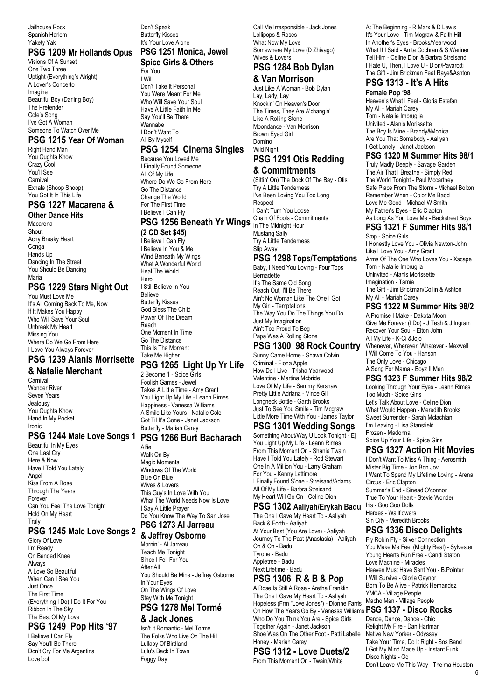Jailhouse Rock Spanish Harlem Yakety Yak

# **PSG 1209 Mr Hollands Opus**

Visions Of A Sunset One Two Three Uptight (Everything's Alright) A Lover's Concerto Imagine Beautiful Boy (Darling Boy) The Pretender Cole's Song I've Got A Woman Someone To Watch Over Me

### **PSG 1215 Year Of Woman**

Right Hand Man You Oughta Know Crazy Cool You'll See Carnival Exhale (Shoop Shoop) You Got It In This Life

# **PSG 1227 Macarena &**

**Other Dance Hits** Macarena Shout Achy Breaky Heart Conga Hands Up Dancing In The Street You Should Be Dancing Maria

# **PSG 1229 Stars Night Out**

You Must Love Me It's All Coming Back To Me, Now If It Makes You Happy Who Will Save Your Soul Unbreak My Heart Missing You Where Do We Go From Here I Love You Always Forever

#### **PSG 1239 Alanis Morrisette & Natalie Merchant**

**Carnival** Wonder River Seven Years Jealousy You Oughta Know Hand In My Pocket Ironic

# **PSG 1244 Male Love Songs 1 PSG 1266 Burt Bacharach**

Beautiful In My Eyes One Last Cry Here & Now Have I Told You Lately Angel Kiss From A Rose Through The Years Forever Can You Feel The Love Tonight Hold On My Heart **Truly** 

# **PSG 1245 Male Love Songs 2**

Glory Of Love I'm Ready On Bended Knee Always A Love So Beautiful When Can I See You Just Once The First Time (Everything I Do) I Do It For You Ribbon In The Sky The Best Of My Love

### **PSG 1249 Pop Hits '97**

I Believe I Can Fly Say You'll Be There Don't Cry For Me Argentina Lovefool

#### Don't Speak Butterfly Kisses It's Your Love Alone **PSG 1251 Monica, Jewel**

# **Spice Girls & Others**

For You I Will Don't Take It Personal You Were Meant For Me Who Will Save Your Soul Have A Little Faith In Me Say You'll Be There Wannabe I Don't Want To All By Myself

# **PSG 1254 Cinema Singles**

Because You Loved Me I Finally Found Someone All Of My Life Where Do We Go From Here Go The Distance Change The World For The First Time I Believe I Can Fly

# **PSG 1256 Beneath Yr Wings Chain Of Fools - Con**

**(2 CD Set \$45)**

I Believe I Can Fly I Believe In You & Me Wind Beneath My Wings What A Wonderful World Heal The World Hero I Still Believe In You Believe Butterfly Kisses God Bless The Child Power Of The Dream Reach One Moment In Time Go The Distance This Is The Moment Take Me Higher

# **PSG 1265 Light Up Yr Life**

2 Become 1 - Spice Girls Foolish Games - Jewel Takes A Little Time - Amy Grant You Light Up My Life - Leann Rimes Happiness - Vanessa Williams A Smile Like Yours - Natalie Cole Got Til It's Gone - Janet Jackson Butterfly - Mariah Carey

Alfie Walk On By Magic Moments Windows Of The World Blue On Blue Wives & Lovers This Guy's In Love With You What The World Needs Now Is Love I Say A Little Prayer Do You Know The Way To San Jose **PSG 1273 Al Jarreau**

# **& Jeffrey Osborne**

Mornin' - Al Jarreau Teach Me Tonight Since I Fell For You After All You Should Be Mine - Jeffrey Osborne In Your Eyes On The Wings Of Love Stay With Me Tonight

# **PSG 1278 Mel Tormé**

# **& Jack Jones**

Isn't It Romantic - Mel Torme The Folks Who Live On The Hill Lullaby Of Birdland Lulu's Back In Town Foggy Day

Call Me Irresponsible - Jack Jones Lollipops & Roses What Now My Love Somewhere My Love (D Zhivago) Wives & Lovers

### **PSG 1284 Bob Dylan & Van Morrison**

Just Like A Woman - Bob Dylan Lay, Lady, Lay Knockin' On Heaven's Door The Times, They Are A'changin' Like A Rolling Stone Moondance - Van Morrison Brown Eyed Girl Domino Wild Night

### **PSG 1291 Otis Redding & Commitments**

(Sittin' On) The Dock Of The Bay - Otis Try A Little Tenderness I've Been Loving You Too Long Respect I Can't Turn You Loose Chain Of Fools - Commitments Mustang Sally Try A Little Tenderness

#### Slip Away **PSG 1298 Tops/Temptations**

Baby, I Need You Loving - Four Tops **Bernadette** It's The Same Old Song Reach Out, I'll Be There Ain't No Woman Like The One I Got My Girl - Temptations The Way You Do The Things You Do Just My Imagination Ain't Too Proud To Beg Papa Was A Rolling Stone

# **PSG 1300 98 Rock Country**

Sunny Came Home - Shawn Colvin Criminal - Fiona Apple How Do I Live - Trisha Yearwood Valentine - Martina Mcbride Love Of My Life - Sammy Kershaw Pretty Little Adriana - Vince Gill Longneck Bottle - Garth Brooks Just To See You Smile - Tim Mcgraw Little More Time With You - James Taylor **PSG 1301 Wedding Songs**

# Something About/Way U Look Tonight - Ej

You Light Up My Life - Leann Rimes From This Moment On - Shania Twain Have I Told You Lately - Rod Stewart One In A Million You - Larry Graham For You - Kenny Lattimore I Finally Found S'one - Streisand/Adams All Of My Life - Barbra Streisand My Heart Will Go On - Celine Dion

# **PSG 1302 Aaliyah/Erykah Badu**

The One I Gave My Heart To - Aaliyah Back & Forth - Aaliyah At Your Best (You Are Love) - Aaliyah Journey To The Past (Anastasia) - Aaliyah On & On - Badu Tyrone - Badu Appletree - Badu Next Lifetime - Badu

#### **PSG 1306 R & B & Pop** A Rose Is Still A Rose - Aretha Franklin

The One I Gave My Heart To - Aaliyah Hopeless (Frm "Love Jones") - Dionne Farris Oh How The Years Go By - Vanessa Williams **PSG 1337 - Disco Rocks** Who Do You Think You Are - Spice Girls Together Again - Janet Jackson Shoe Was On The Other Foot - Patti Labelle Honey - Mariah Carey

# **PSG 1312 - Love Duets/2**

From This Moment On - Twain/White

At The Beginning - R Marx & D Lewis It's Your Love - Tim Mcgraw & Faith Hill In Another's Eyes - Brooks/Yearwood What If I Said - Anita Cochran & S.Wariner Tell Him - Celine Dion & Barbra Streisand I Hate U, Then, I Love U - Dion/Pavarotti The Gift - Jim Brickman Feat Raye&Ashton

# **PSG 1313 - It's A Hits**

**Female Pop '98**

Heaven's What I Feel - Gloria Estefan My All - Mariah Carey Torn - Natalie Imbruglia Univited - Alanis Morissette The Boy Is Mine - Brandy&Monica Are You That Somebody - Aaliyah I Get Lonely - Janet Jackson

#### **PSG 1320 M Summer Hits 98/1**

Truly Madly Deeply - Savage Garden The Air That I Breathe - Simply Red The World Tonight - Paul Mccartney Safe Place From The Storm - Michael Bolton Remember When - Color Me Badd Love Me Good - Michael W Smith My Father's Eyes - Eric Clapton As Long As You Love Me - Backstreet Boys

### **PSG 1321 F Summer Hits 98/1**

Stop - Spice Girls I Honestly Love You - Olivia Newton-John Like I Love You - Amy Grant Arms Of The One Who Loves You - Xscape Torn - Natalie Imbruglia Uninvited - Alanis Morissette Imagination - Tamia The Gift - Jim Brickman/Collin & Ashton My All - Mariah Carey **PSG 1322 M Summer Hits 98/2** A Promise I Make - Dakota Moon

Give Me Forever (I Do) - J Tesh & J Ingram Recover Your Soul - Elton John All My Life - K-Ci &Jojo Whenever, Wherever, Whatever - Maxwell I Will Come To You - Hanson The Only Love - Chicago A Song For Mama - Boyz II Men

### **PSG 1323 F Summer Hits 98/2**

Looking Through Your Eyes - Leann Rimes Too Much - Spice Girls Let's Talk About Love - Celine Dion What Would Happen - Meredith Brooks Sweet Surrender - Sarah Mclachlan I'm Leaving - Lisa Stansfield Frozen - Madonna Spice Up Your Life - Spice Girls **PSG 1327 Action Hit Movies**

I Don't Want To Miss A Thing - Aerosmith Mister Big Time - Jon Bon Jovi I Want To Spend My Lifetime Loving - Arena Circus - Eric Clapton Summer's End - Sinead O'connor True To Your Heart - Stevie Wonder Iris - Goo Goo Dolls Heroes - Wallflowers Sin City - Meredith Brooks

# **PSG 1336 Disco Delights**

Fly Robin Fly - Silver Connection You Make Me Feel (Mighty Real) - Sylvester Young Hearts Run Free - Candi Staton Love Machine - Miracles Heaven Must Have Sent You - B.Pointer I Will Survive - Gloria Gaynor Born To Be Alive - Patrick Hernandez YMCA - Village People Macho Man - Village People

Dance, Dance, Dance - Chic Relight My Fire - Dan Hartman Native New Yorker - Odyssey Take Your Time, Do It Right - Sos Band I Got My Mind Made Up - Instant Funk Disco Nights - Gq Don't Leave Me This Way - Thelma Houston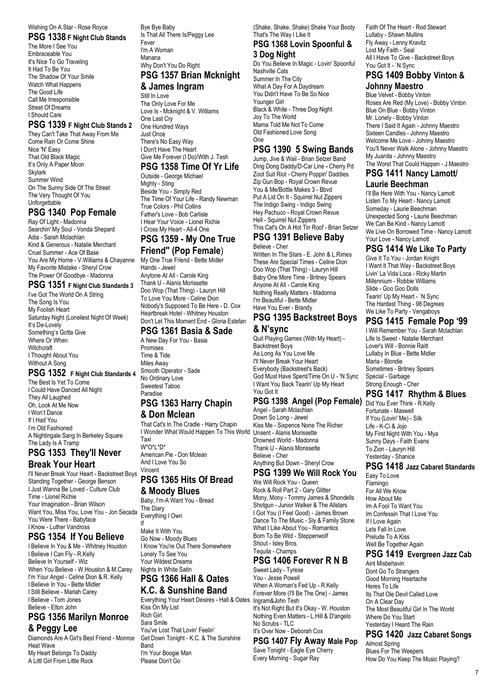#### Wishing On A Star - Rose Royce

**PSG 1338 F Night Club Stands** The More I See You Embraceable You It's Nice To Go Traveling It Had To Be You The Shadow Of Your Smile Watch What Happens The Good Life Call Me Irresponsible Street Of Dreams I Should Care

# **PSG 1339 F Night Club Stands 2**

They Can't Take That Away From Me Come Rain Or Come Shine Nice 'N' Easy That Old Black Magic It's Only A Paper Moon **Skylark** Summer Wind On The Sunny Side Of The Street The Very Thought Of You Unforgettable

# **PSG 1340 Pop Female**

Ray Of Light - Madonna Searchin' My Soul - Vonda Shepard Adia - Sarah Mclachlan Kind & Generous - Natalie Merchant Cruel Summer - Ace Of Base You Are My Home - V.Williams & Chayanne My Favorite Mistake - Sheryl Crow The Power Of Goodbye - Madonna

### **PSG 1351 F Night Club Standards <sup>3</sup>**

I've Got The World On A String The Song Is You My Foolish Heart Saturday Night (Loneliest Night Of Week) It's De-Lovely Something's Gotta Give Where Or When **Witchcraft** I Thought About You Without A Song

#### **PSG 1352 F Night Club Standards 4**

The Best Is Yet To Come I Could Have Danced All Night They All Laughed Oh, Look At Me Now I Won't Dance If I Had You I'm Old Fashioned A Nightingale Sang In Berkeley Square The Lady Is A Tramp

# **PSG 1353 They'll Never Break Your Heart**

I'll Never Break Your Heart - Backstreet Boys Standing Together - George Benson I Just Wanna Be Loved - Culture Club Time - Lionel Richie Your Imagination - Brian Wilson Want You, Miss You, Love You - Jon Secada You Were There - Babyface I Know - Luther Vandross

#### **PSG 1354 If You Believe**

I Believe In You & Me - Whitney Houston I Believe I Can Fly - R.Kelly Believe In Yourself - Wiz When You Believe - W.Houston & M.Carey I'm Your Angel - Celine Dion & R. Kelly I Believe In You - Bette Midler I Still Believe - Mariah Carey I Believe - Tom Jones Believe - Elton John

### **PSG 1356 Marilyn Monroe & Peggy Lee**

Diamonds Are A Girl's Best Friend - Monroe Heat Wave My Heart Belongs To Daddy A Littl Girl From Little Rock

Bye Bye Baby Is That All There Is/Peggy Lee Fever I'm A Woman Manana Why Don't You Do Right **PSG 1357 Brian Mcknight**

### **& James Ingram**

Still In Love The Only Love For Me Love Is - Mcknight & V. Williams One Last Cry One Hundred Ways Just Once There's No Easy Way I Don't Have The Heart Give Me Forever (I Do)/With J. Tesh

### **PSG 1358 Time Of Yr Life**

Outside - George Michael Mighty - Sting Beside You - Simply Red The Time Of Your Life - Randy Newman True Colors - Phil Collins Father's Love - Bob Carlisle I Hear Your Voice - Lionel Richie I Cross My Heart - All-4 One

# **PSG 1359 - My One True**

**Friend" (Pop Female**) My One True Friend - Bette Midler Hands - Jewel Anytone At All - Carole King Thank U - Alanis Morissette Doo Wop (That Thing) - Lauryn Hill To Love You More - Celine Dion Nobody's Supposed To Be Here - D. Cox Heartbreak Hotel - Whitney Houston Don't Let This Moment End - Gloria Estefan

### **PSG 1361 Basia & Sade**

A New Day For You - Basia Promises Time & Tide Miles Away Smooth Operator - Sade No Ordinary Love Sweetest Taboo Paradise

# **PSG 1363 Harry Chapin**

**& Don Mclean** That Cat's In The Cradle - Harry Chapin I Wonder What Would Happen To This World Unsent - Alanis Morissette Taxi W\*O\*L\*D\* American Pie - Don Mclean

And I Love You So Vincent **PSG 1365 Hits Of Bread**

# **& Moody Blues**

Baby, I'm-A Want You - Bread The Diary Everything I Own

If

Make It With You Go Now - Moody Blues I Know You're Out There Somewhere Lonely To See You Your Wildest Dreams Nights In White Satin

### **PSG 1366 Hall & Oates K.C. & Sunshine Band**

Everything Your Heart Desires - Hall & Oates Ingram&John Tesh Kiss On My List Rich Girl Sara Smile You've Lost That Lovin' Feelin' Get Down Tonight - K.C. & The Sunshine Band I'm Your Boogie Man Please Don't Go

(Shake, Shake, Shake) Shake Your Booty That's The Way I Like It

#### **PSG 1368 Lovin Spoonful & 3 Dog Night**

Do You Believe In Magic - Lovin' Spoonful Nashville Cats Summer In The City What A Day For A Daydream You Didn't Have To Be So Nice Younger Girl Black & White - Three Dog Night Joy To The World Mama Told Me Not To Come Old Fashioned Love Song One

# **PSG 1390 5 Swing Bands**

Jump, Jive & Wail - Brian Setzer Band Ding Dong Daddy/D-Car Line **-** Cherry Pd Zoot Suit Riot - Cherry Poppin' Daddies Zip Gun Bop - Royal Crown Revue You & Me/Bottle Makes 3 - Bbvd Put A Lid On It - Squirrel Nut Zippers The Indigo Swing - Indigo Swing Hey Pachuco - Royal Crown Revue Hell - Squirrel Nut Zippers This Cat's On A Hot Tin Roof - Brian Setzer

#### **PSG 1391 Believe Baby** Believe - Cher

Written In The Stars - E. John & L.Rimes These Are Special Times - Celine Dion Doo Wop (That Thing) - Lauryn Hill Baby One More Time - Britney Spears Anyone At All - Carole King Nothing Really Matters - Madonna I'm Beautiful - Bette Midler Have You Ever - Brandy

# **PSG 1395 Backstreet Boys**

## **& N'sync**

Quit Playing Games (With My Heart) - Backstreet Boys As Long As You Love Me I'll Never Break Your Heart Everybody (Backstreet's Back) God Must Have Spent/Time On U - 'N Sync I Want You Back Tearin' Up My Heart You Got It

### **PSG 1398 Angel (Pop Female)**

Angel - Sarah Mclachlan Down So Long - Jewel Kiss Me - Sixpence None The Richer Drowned World - Madonna Thank U - Alanis Morissette Believe - Cher Anything But Down - Sheryl Crow

# **PSG 1399 We Will Rock You**

We Will Rock You - Queen Rock & Roll Part 2 - Gary Glitter Mony, Mony - Tommy James & Shondells Shotgun - Junior Walker & The Allstars I Got You (I Feel Good) - James Brown Dance To The Music - Sly & Family Stone What I Like About You - Romantics Born To Be Wild - Steppenwolf Shout - Isley Bros. Tequila - Champs

#### **PSG 1406 Forever R N B** Sweet Lady - Tyrese

You - Jesse Powell When A Woman's Fed Up - R.Kelly Forever More (I'll Be The One) - James It's Not Right But It's Okay - W. Houston Nothing Even Matters - L.Hill & D'angelo No Scrubs - TLC It's Over Now - Deborah Cox

# **PSG 1407 Fly Away Male Pop**

Save Tonight - Eagle Eye Cherry Every Morning - Sugar Ray

Faith Of The Heart - Rod Stewart Lullaby - Shawn Mullins Fly Away - Lenny Kravitz Lost My Faith - Seal All I Have To Give - Backstreet Boys You Got It - `N Sync

### **PSG 1409 Bobby Vinton & Johnny Maestro**

Blue Velvet - Bobby Vinton

Roses Are Red (My Love) - Bobby Vinton Blue On Blue - Bobby Vinton Mr. Lonely - Bobby Vinton There I Said It Again - Johnny Maestro Sixteen Candles - Johnny Maestro Welcome Me Love - Johnny Maestro You'll Never Walk Alone - Johnny Maestro My Juanita - Johnny Maestro The Worst That Could Happen - J.Maestro **PSG 1411 Nancy Lamott/** 

### **Laurie Beechman**

I'll Be Here With You - Nancy Lamott Listen To My Heart - Nancy Lamott Someday - Laurie Beechman Unexpected Song - Laurie Beechman We Can Be Kind - Nancy Lamott We Live On Borrowed Time - Nancy Lamott Your Love - Nancy Lamott

### **PSG 1414 We Like To Party**

Give It To You - Jordan Knight I Want It That Way - Backstreet Boys Livin' La Vida Loca - Ricky Martin Millennium - Robbie Williams Slide - Goo Goo Dolls Tearin' Up My Heart - `N Sync The Hardest Thing - 98 Degrees We Like To Party - Vengaboys

### **PSG 1415 Female Pop '99**

I Will Remember You - Sarah Mclachlan Life Is Sweet - Natalie Merchant Lover's Will - Bonnie Raitt Lullaby In Blue - Bette Midler Maria - Blondie Sometimes - Britney Spears Special - Garbage Strong Enough - Cher

# **PSG 1417 Rhythm & Blues**

Did You Ever Think - R.Kelly Fortunate - Maxwell If You (Lovin' Me) - Silk Life - K-Ci & Jojo My First Night With You - Mya Sunny Days - Faith Evans To Zion - Lauryn Hill Yesterday - Shanice

### **PSG 1418 Jazz Cabaret Standards**

Easy To Love Flamingo For All We Know How About Me Im A Fool To Want You Im Confessin That I Love You If I Love Again Lets Fall In Love Prelude To A Kiss Well Be Together Again

## **PSG 1419 Evergreen Jazz Cab**

Aint Misbehavin Dont Go To Strangers Good Morning Heartache Heres To Life Its That Ole Devil Called Love On A Clear Day The Most Beautiful Girl In The World Where Do You Start Yesterday I Heard The Rain

# **PSG 1420 Jazz Cabaret Songs**

Almost Spring Blues For The Weepers How Do You Keep The Music Playing?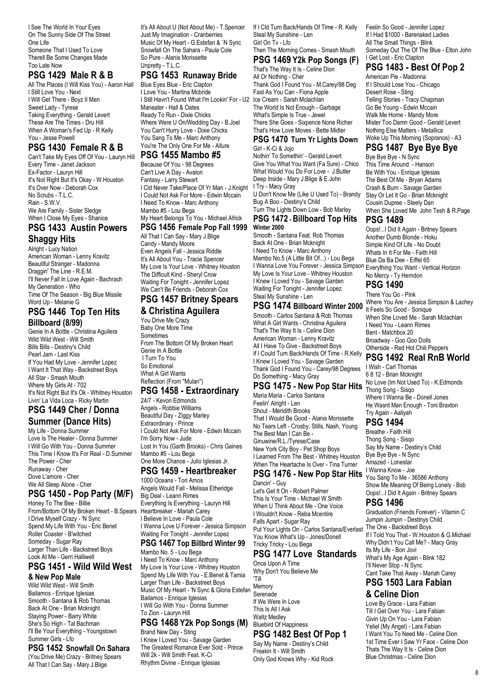I See The World In Your Eyes On The Sunny Side Of The Street One Life Someone That I Used To Love Therell Be Some Changes Made Too Late Now

### **PSG 1429 Male R & B**

All The Places (I Will Kiss You) - Aaron Hall I Still Love You - Next I Will Get There - Boyz II Men Sweet Lady - Tyrese Taking Everything - Gerald Levert These Are The Times - Dru Hill When A Woman's Fed Up - R Kelly You - Jesse Powell

# **PSG 1430 Female R & B**

Can't Take My Eyes Off Of You - Lauryn Hill Every Time - Janet Jackson Ex-Factor - Lauryn Hill It's Not Right But It's Okay - W.Houston It's Over Now - Deborah Cox No Scrubs - T.L.C. Rain - S.W.V. We Are Family - Sister Sledge When I Close My Eyes - Shanice

# **PSG 1433 Austin Powers**

**Shaggy Hits** Alright - Lucy Nation American Woman - Lenny Kravitz Beautiful Stranger - Madonna Draggin' The Line - R.E.M. I'll Never Fall In Love Again - Bachrach My Generation - Who Time Of The Season - Big Blue Missile Word Up - Melanie G

## **PSG 1446 Top Ten Hits Billboard (8/99)**

Genie In A Bottle - Christina Aguilera Wild Wild West - Will Smith Bills Bills - Destiny's Child Pearl Jam - Last Kiss If You Had My Love - Jennifer Lopez I Want It That Way - Backstreet Boys All Star - Smash Mouth Where My Girls At - 702 It's Not Right But It's Ok - Whitney Houston Livin' La Vida Loca - Ricky Martin

# **PSG 1449 Cher / Donna Summer (Dance Hits)**

My Life - Donna Summer Love Is The Healer - Donna Summer I Will Go With You - Donna Summer This Time I Know It's For Real - D.Summer The Power - Cher Runaway - Cher Dove L'amore - Cher We All Sleep Alone - Cher

# **PSG 1450 - Pop Party (M/F)**

Honey To The Bee - Billie From/Bottom Of My Broken Heart - B.Spears I Drive Myself Crazy - 'N Sync Spend My Life With You - Eric Benet Roller Coaster - B'witched Someday - Sugar Ray Larger Than Life - Backstreet Boys Look At Me - Gerri Halliwell

# **PSG 1451 - Wild Wild West**

**& New Pop Male** 

Wild Wild West - Will Smith Bailamos - Enrique Iglesias Smooth - Santana & Rob Thomas Back At One - Brian Mcknight Staying Power - Barry White She's So High - Tal Bachman I'll Be Your Everything - Youngstown Summer Girls - Lfo

#### **PSG 1452 Snowfall On Sahara** (You Drive Me) Crazy - Britney Spears All That I Can Say - Mary J.Blige

It's All About U (Not About Me) - T.Spencer Just My Imagination - Cranberries Music Of My Heart - G.Estefan & `N Sync Snowfall On The Sahara - Paula Cole So Pure - Alanis Morissette Unpretty - T.L.C.

# **PSG 1453 Runaway Bride**

Blue Eyes Blue - Eric Clapton I Love You - Martina Mcbride I Still Havn't Found What I'm Lookin' For - U2 Ice Cream - Sarah Mclachlan Maneater - Hall & Oates Ready To Run - Dixie Chicks Where Were U On/Wedding Day - B.Joel You Can't Hurry Love - Dixie Chicks You Sang To Me - Marc Anthony You're The Only One For Me - Allure

# **PSG 1455 Mambo #5**

Because Of You - 98 Degrees Can't Live A Day - Avalon Fantasy - Larry Stewart I Cld Never Take/Place Of Yr Man - J.Knight I Could Not Ask For More - Edwin Mccain I Need To Know - Marc Anthony Mambo #5 - Lou Bega My Heart Belongs To You - Michael Africk

# **PSG 1456 Female Pop Fall 1999**

All That I Can Say - Mary J.Blige Candy - Mandy Moore Even Angels Fall - Jessica Riddle It's All About You - Tracie Spencer My Love Is Your Love - Whitney Houston The Difficult Kind - Sheryl Crow Waiting For Tonight - Jennifer Lopez We Can't Be Friends - Deborah Cox

### **PSG 1457 Britney Spears & Christina Aguilera**

You Drive Me Crazy Baby One More Time Sometimes From The Bottom Of My Broken Heart Genie In A Bottle I Turn To You So Emotional What A Girl Wants Reflection (From "Mulan")

### **PSG 1458 - Extraordinary**

24/7 - Kevon Edmonds Angels - Robbie Williams Beautiful Day - Ziggy Marley Extraordinary - Prince I Could Not Ask For More - Edwin Mccain I'm Sorry Now - Jude Lost In You (Garth Brooks) - Chris Gaines Mambo #5 - Lou Bega One More Chance - Julio Iglesias Jr.

# **PSG 1459 - Heartbreaker**

1000 Oceans - Tori Amos Angels Would Fall - Melissa Etheridge Big Deal - Leann Rimes Everything Is Everything - Lauryn Hill Heartbreaker - Mariah Carey I Believe In Love - Paula Cole I Wanna Love U Forever - Jessica Simpson Waiting For Tonight - Jennifer Lopez

# **PSG 1467 Top Billbrd Winter 99**

Mambo No. 5 - Lou Bega I Need To Know - Marc Anthony My Love Is Your Love - Whitney Houston Spend My Life With You - E.Benet & Tamia Larger Than Life - Backstreet Boys Music Of My Heart - 'N Sync & Gloria Estefan Bailamos - Enrique Iglesias I Will Go With You - Donna Summer To Zion - Lauryn Hill

# **PSG 1468 Y2k Pop Songs (M)**

Brand New Day - Sting I Knew I Loved You - Savage Garden The Greatest Romance Ever Sold - Prince Will 2k - Will Smith Feat. K-Ci Rhythm Divine - Enrique Iglesias

If I Cld Turn Back/Hands Of Time - R. Kelly Steal My Sunshine - Len Girl On Tv - Lfo

Then The Morning Comes - Smash Mouth **PSG 1469 Y2k Pop Songs (F)**

That's The Way It Is - Celine Dion All Or Nothing - Cher Thank God I Found You - M.Carey/98 Deg Fast As You Can - Fiona Apple The World Is Not Enough - Garbage What's Simple Is True - Jewel There She Goes - Sixpence None Richer That's How Love Moves - Bette Midler

#### **PSG 1470 Turn Yr Lights Down** Girl - K-Ci & Jojo

Nothin' To Somethin' - Gerald Levert Give You What You Want (Fa Sure) - Chico What Would You Do For Love - J Butler Deep Inside - Mary J.Blige & E.John I Try - Macy Gray U Don't Know Me (Like U Used To) - Brandy Bug A Boo - Destiny's Child

#### Turn The Lights Down Low - Bob Marley **PSG 1472 - Billboard Top Hits Winter 2000**

Smooth - Santana Feat. Rob Thomas Back At One - Brian Mcknight I Need To Know - Marc Anthony Mambo No.5 (A Little Bit Of...) - Lou Bega I Wanna Love You Forever - Jessica Simpson Everything You Want - Vertical Horizon My Love Is Your Love - Whitney Houston I Knew I Loved You - Savage Garden Waiting For Tonight - Jennifer Lopez Steal My Sunshine - Len

### **PSG 1474 Billboard Winter 2000**

Smooth - Carlos Santana & Rob Thomas What A Girl Wants - Christina Aguilera That's The Way It Is - Celine Dion American Woman - Lenny Kravitz All I Have To Give - Backstreet Boys If I Could Turn Back/Hands Of Time - R.Kelly I Knew I Loved You - Savage Garden Thank God I Found You - Carey/98 Degrees Do Something - Macy Gray

#### **PSG 1475 - New Pop Star Hits** Maria Maria - Carlos Santana

Feelin' Alright - Len Shout - Meridith Brooks That I Would Be Good - Alanis Morissette No Tears Left - Crosby, Stills, Nash, Young The Best Man I Can Be - Ginuwine/R.L./Tyrese/Case New York City Boy - Pet Shop Boys I Learned From The Best - Whitney Houston When The Heartache Is Over - Tina Turner

#### **PSG 1476 - New Pop Star Hits** Dancin' - Guy

Let's Get It On - Robert Palmer This Is Your Time - Michael W.Smith When U Think About Me - One Voice I Wouldn't Know - Reba Mcentire Falls Apart - Sugar Ray Put Your Lights On - Carlos Santana/Everlast The One - Backstreet Boys You Know What's Up - Jones/Donell Tricky Tricky - Lou Bega

# **PSG 1477 Love Standards**

#### Once Upon A Time Why Don't You Believe Me

'Till Memory Serenade If We Were In Love This Is All I Ask Waltz Medley Bluebird Of Happiness

# **PSG 1482 Best Of Pop 1**

Say My Name - Destiny's Child Freakin It - Will Smith Only God Knows Why - Kid Rock Feelin So Good - Jennifer Lopez If I Had \$1000 - Barenaked Ladies All The Small Things - Blink Someday Out The Of The Blue - Elton John I Get Lost - Eric Clapton

# **PSG 1483 - Best Of Pop 2**

American Pie - Madonna If I Should Lose You - Chicago Desert Rose - Sting Telling Stories - Tracy Chapman Go Be Young - Edwin Mccain Walk Me Home - Mandy More Mister Too Damn Good - Gerald Levert Nothing Else Matters - Metallica Woke Up This Morning (Sopranos) - A3

# **PSG 1487 Bye Bye Bye**

Bye Bye Bye - N Sync This Time Around - Hanson Be With You - Enrique Iglesias The Best Of Me - Bryan Adams Crash & Burn - Savage Garden Stay Or Let It Go - Brian Mcknight Cousin Dupree - Steely Dan When She Loved Me John Tesh & R.Page

### **PSG 1489**

Oops!...I Did It Again - Britney Spears Another Dumb Blonde - Hoku Simple Kind Of Life - No Doubt Whats In It For Me - Faith Hill Blue Da Ba Dee - Eiffel 65

#### No Mercy - Ty Herndon **PSG 1490**

There You Go - Pink Where You Are - Jessica Simpson & Lachey It Feels So Good - Sonique When She Loved Me - Sarah Mclachlan I Need You - Leann Rimes Bent - Matchbox 20 Broadway - Goo Goo Dolls Otherside - Red Hot Chili Peppers

### **PSG 1492 Real RnB World**

I Wish - Carl Thomas 6 8 12 - Brian Mcknight No Love (Im Not Used To) - K.Edmonds Thong Song - Sisqo Where I Wanna Be - Donell Jones He Wasnt Man Enough - Toni Braxton Try Again - Aaliyah

# **PSG 1494**

Breathe - Faith Hill Thong Song - Sisqo Say My Name - Destiny's Child Bye Bye Bye - N Sync Amazed - Lonestar I Wanna Know - Joe You Sang To Me - 36586 Anthony Show Me Meaning Of Being Lonely - Bsb Oops!...I Did It Again - Britney Spears

### **PSG 1496**

Graduation (Friends Forever) - Vitamin C Jumpin Jumpin - Destinys Child If I Told You That - W.Houston & G.Michael Why Didn't You Call Me? - Macy Gray Its My Life - Bon Jovi What's My Age Again - Blink 182 I'll Never Stop - N Sync Cant Take That Away - Mariah Carey

### **PSG 1503 Lara Fabian & Celine Dion**

Love By Grace - Lara Fabian Till I Get Over You - Lara Fabian Givin Up On You - Lara Fabian Yeliel (My Angel) - Lara Fabian I Want You To Need Me - Celine Dion 1st Time Ever I Saw Yr Face - Celine Dion Thats The Way It Is - Celine Dion Blue Christmas - Celine Dion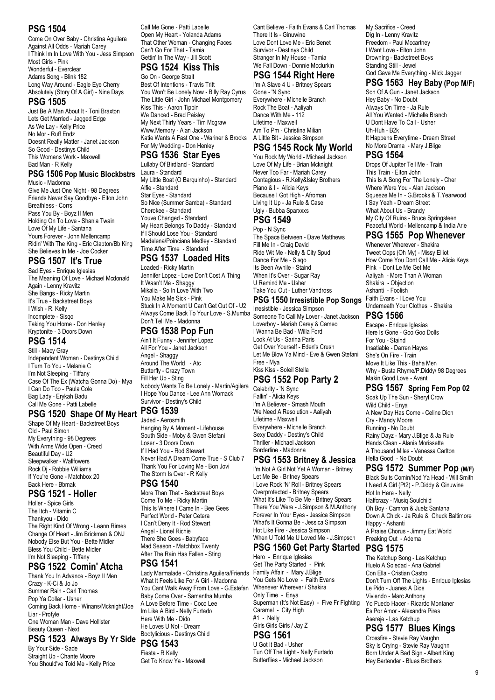# **PSG 1504**

Come On Over Baby - Christina Aguilera Against All Odds - Mariah Carey I Think Im In Love With You - Jess Simpson Most Girls - Pink Wonderful - Everclear Adams Song - Blink 182 Long Way Around - Eagle Eye Cherry Absolutely (Story Of A Girl) - Nine Days

### **PSG 1505**

Just Be A Man About It - Toni Braxton Lets Get Married - Jagged Edge As We Lay - Kelly Price No Mor - Ruff Endz Doesnt Really Matter - Janet Jackson So Good - Destinys Child This Womans Work - Maxwell Bad Man - R Kelly

# **PSG 1506 Pop Music Blockbstrs**

Music - Madonna Give Me Just One Night - 98 Degrees Friends Never Say Goodbye - Elton John Breathless - Corrs Pass You By - Boyz II Men Holding On To Love - Shania Twain Love Of My Life - Santana Yours Forever - John Mellencamp Ridin' With The King - Eric Clapton/Bb King She Believes In Me - Joe Cocker

### **PSG 1507 It's True**

Sad Eyes - Enrique Iglesias The Meaning Of Love - Michael Mcdonald Again - Lenny Kravitz She Bangs - Ricky Martin It's True - Backstreet Boys I Wish - R. Kelly Incomplete - Sisqo Taking You Home - Don Henley Kryptonite - 3 Doors Down

# **PSG 1514**

Still - Macy Gray Independent Woman - Destinys Child I Turn To You - Melanie C I'm Not Sleeping - Tiffany Case Of The Ex (Watcha Gonna Do) - Mya I Can Do Too - Paula Cole Bag Lady - Erykah Badu Call Me Gone - Patti Labelle

# **PSG 1520 Shape Of My Heart PSG 1539**

Shape Of My Heart - Backstreet Boys Old - Paul Simon My Everything - 98 Degrees With Arms Wide Open - Creed Beautiful Day - U2 Sleepwalker - Wallfowers Rock Dj - Robbie Williams If You're Gone - Matchbox 20 Back Here - Bbmak

### **PSG 1521 - Holler**

Holler - Spice Girls The Itch - Vitamin C Thankyou - Dido The Right Kind Of Wrong - Leann Rimes Change Of Heart - Jim Brickman & ONJ Nobody Else But You - Bette Midler Bless You Child - Bette Midler I'm Not Sleeping - Tiffany

# **PSG 1522 Comin' Atcha**

Thank You In Advance - Boyz II Men Crazy - K-Ci & Jo Jo Summer Rain - Carl Thomas Pop Ya Collar - Usher Coming Back Home - Winans/Mcknight/Joe Liar - Profyle One Woman Man - Dave Hollister Beauty Queen - Next

# **PSG 1523 Always By Yr Side**

By Your Side - Sade Straight Up - Chante Moore You Should've Told Me - Kelly Price Call Me Gone - Patti Labelle Open My Heart - Yolanda Adams That Other Woman - Changing Faces Can't Go For That - Tamia Gettin' In The Way - Jill Scott

# **PSG 1524 Kiss This**

Go On - George Strait Best Of Intentions - Travis Tritt You Won't Be Lonely Now - Billy Ray Cyrus The Little Girl - John Michael Montgomery Kiss This - Aaron Tippin We Danced - Brad Paisley My Next Thirty Years - Tim Mcgraw Www.Memory - Alan Jackson Katie Wants A Fast One - Wariner & Brooks For My Wedding - Don Henley

# **PSG 1536 Star Eyes**

Lullaby Of Birdland - Standard Laura - Standard My Little Boat (O Barquinho) - Standard Alfie - Standard Star Eyes - Standard So Nice (Summer Samba) - Standard Cherokee - Standard Youve Changed - Standard My Heart Belongs To Daddy - Standard If I Should Lose You - Standard Madelena/Poinciana Medley - Standard Time After Time - Standard

# **PSG 1537 Loaded Hits**

Loaded - Ricky Martin Jennifer Lopez - Love Don't Cost A Thing It Wasn't Me - Shaggy Mikalia - So In Love With Two You Make Me Sick - Pink Stuck In A Moment U Can't Get Out Of - U2 Always Come Back To Your Love - S.Mumba Don't Tell Me - Madonna

### **PSG 1538 Pop Fun**

Ain't It Funny - Jennifer Lopez All For You - Janet Jackson Angel - Shaggy Around The World - Atc Butterfly - Crazy Town Fill Her Up - Sting Nobody Wants To Be Lonely - Martin/Agilera I Hope You Dance - Lee Ann Womack Survivor - Destiny's Child

Jaded - Aerosmith Hanging By A Moment - Lifehouse South Side - Moby & Gwen Stefani Loser - 3 Doors Down If I Had You - Rod Stewart Never Had A Dream Come True - S Club 7 Thank You For Loving Me - Bon Jovi The Storm Is Over - R Kelly

#### **PSG 1540**

More Than That - Backstreet Boys Come To Me - Ricky Martin This Is Where I Came In - Bee Gees Perfect World - Peter Cetera I Can't Deny It - Rod Stewart Angel - Lionel Richie There She Goes - Babyface Mad Season - Matchbox Twenty After The Rain Has Fallen - Sting

### **PSG 1541**

Lady Marmalade - Christina Aguilera/Friends What It Feels Like For A Girl - Madonna You Cant Walk Away From Love - G.Estefan Baby Come Over - Samantha Mumba A Love Before Time - Coco Lee Im Like A Bird - Nelly Furtado Here With Me - Dido He Loves U Not - Dream Bootylicious - Destinys Child

# **PSG 1543**

Fiesta - R Kelly Get To Know Ya - Maxwell

Cant Believe - Faith Evans & Carl Thomas There It Is - Ginuwine Love Dont Love Me - Eric Benet Survivor - Destinys Child Stranger In My House - Tamia We Fall Down - Donnie Mcclurkin

# **PSG 1544 Right Here**

I'm A Slave 4 U - Britney Spears Gone - 'N Sync Everywhere - Michelle Branch Rock The Boat - Aaliyah Dance With Me - 112 Lifetime - Maxwell Am To Pm - Christina Milian A Little Bit - Jessica Simpson

## **PSG 1545 Rock My World**

You Rock My World - Michael Jackson Love Of My Life - Brian Mcknight Never Too Far - Mariah Carey Contagious - R.Kelly&Isley Brothers Piano & I - Alicia Keys Because I Got High - Afroman Living It Up - Ja Rule & Case Ugly - Bubba Sparxxxs

#### **PSG 1549** Pop - N Sync

The Space Between - Dave Matthews Fill Me In - Craig David Ride Wit Me - Nelly & City Spud Dance For Me - Sisqo Its Been Awhile - Staind When It's Over - Sugar Ray U Remind Me - Usher Take You Out - Luther Vandross

# **PSG 1550 Irresistible Pop Songs**

Irresistible - Jessica Simpson Someone To Call My Lover - Janet Jackson Loverboy - Mariah Carey & Cameo I Wanna Be Bad - Willa Ford Look At Us - Sarina Paris Get Over Yourself - Eden's Crush Let Me Blow Ya Mind - Eve & Gwen Stefani Free - Mya Kiss Kiss - Soleil Stella

# **PSG 1552 Pop Party 2**

Celebrity - 'N Sync Fallin' - Alicia Keys I'm A Believer - Smash Mouth We Need A Resolution - Aaliyah Lifetime - Maxwell Everywhere - Michelle Branch Sexy Daddy - Destiny's Child Thriller - Michael Jackson Borderline - Madonna

### **PSG 1553 Britney & Jessica**

I'm Not A Girl Not Yet A Woman - Britney Let Me Be - Britney Spears I Love Rock 'N' Roll - Britney Spears Overprotected - Britney Spears What It's Like To Be Me - Britney Spears There You Were - J.Simpson & M.Anthony Forever In Your Eyes - Jessica Simpson What's It Gonna Be - Jessica Simpson Hot Like Fire - Jessica Simpson When U Told Me U Loved Me - J.Simpson

### **PSG 1560 Get Party Started**

Hero - Enrique Iglesias Get The Party Started - Pink Family Affair - Mary J.Blige You Gets No Love - Faith Evans Whenever Wherever / Shakira Only Time - Enya Superman (It's Not Easy) - Five Fr Fighting Caramel - City High #1 - Nelly Girls Girls Girls / Jay Z

# **PSG 1561**

U Got It Bad - Usher Tun Off The Light - Nelly Furtado Butterflies - Michael Jackson

My Sacrifice - Creed Dig In - Lenny Kravitz Freedom - Paul Mccartney I Want Love - Elton John Drowning - Backstreet Boys Standing Still - Jewel God Gave Me Everything - Mick Jagger

# **PSG 1563 Hey Baby (Pop M/F)**

Son Of A Gun - Janet Jackson Hey Baby - No Doubt Always On Time - Ja Rule All You Wanted - Michelle Branch U Dont Have To Call - Usher Uh-Huh - B2k It Happens Everytime - Dream Street No More Drama - Mary J.Blige

### **PSG 1564**

Drops Of Jupiter Tell Me - Train This Train - Elton John This Is A Song For The Lonely - Cher Where Were You - Alan Jackson Squeeze Me In - G.Brooks & T.Yearwood I Say Yeah - Dream Street What About Us - Brandy My City Of Ruins - Bruce Springsteen Peaceful World - Mellencamp & India Arie

# **PSG 1565 Pop Whenever**

Whenever Wherever - Shakira Tweet Oops (Oh My) - Missy Elliot How Come You Dont Call Me - Alicia Keys Pink - Dont Le Me Get Me Aaliyah - More Than A Woman Shakira - Objection Ashanti - Foolish Faith Evans - I Love You Underneath Your Clothes - Shakira

### **PSG 1566**

Escape - Enrique Iglesias Here Is Gone - Goo Goo Dolls For You - Staind Insatiable - Darren Hayes She's On Fire - Train Move It Like This - Baha Men Why - Busta Rhyme/P.Diddy/ 98 Degrees Makin Good Love - Avant

# **PSG 1567 Spring Fem Pop 02**

Soak Up The Sun - Sheryl Crow Wild Child - Enya A New Day Has Come - Celine Dion Cry - Mandy Moore Running - No Doubt Rainy Dayz - Mary J.Blige & Ja Rule Hands Clean - Alanis Morissette A Thousand Miles - Vanessa Carlton Hella Good - No Doubt

### **PSG 1572 Summer Pop (M/F)**

Black Suits Comin/Nod Ya Head - Will Smith I Need A Girl (Pt2) - P.Diddy & Ginuwine Hot In Here - Nelly Halfcrazy - Musiq Soulchild Oh Boy - Camron & Juelz Santana Down A Chick - Ja Rule & Chuck Baltimore Happy - Ashanti A Praise Chorus - Jimmy Eat World Freaking Out - Adema

# **PSG 1575**

The Ketchup Song - Las Ketchup Huelo A Soledad - Ana Gabriel Con Ella - Cristian Castro Don't Turn Off The Lights - Enrique Iglesias Le Pido - Juanes A Dios Viviendo - Marc Anthony Yo Puedo Hacer - Ricardo Montaner Es Por Amor - Alexandre Pires Asereje - Las Ketchup

# **PSG 1577 Blues Kings**

Crossfire - Stevie Ray Vaughn Sky Is Crying - Stevie Ray Vaughn Born Under A Bad Sign - Albert King Hey Bartender - Blues Brothers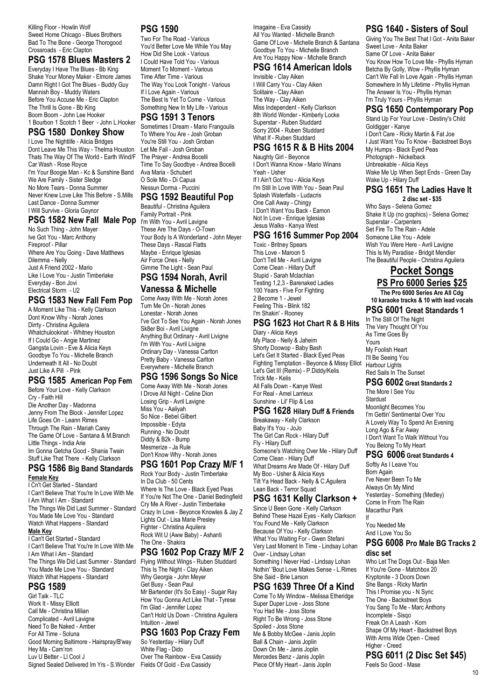Killing Floor - Howlin Wolf Sweet Home Chicago - Blues Brothers Bad To The Bone - George Thorogood Crossroads - Eric Clapton

### **PSG 1578 Blues Masters 2**

Everyday I Have The Blues - Bb King Shake Your Money Maker - Elmore James Damn Right I Got The Blues - Buddy Guy Mannish Boy - Muddy Waters Before You Accuse Me - Eric Clapton The Thrill Is Gone - Bb King Boom Boom - John Lee Hooker 1 Bourbon 1 Scotch 1 Beer - John L.Hooker

### **PSG 1580 Donkey Show**

I Love The Nightlife - Alicia Bridges Dont Leave Me This Way - Thelma Houston Thats The Way Of The World - Earth Wind/F Car Wash - Rose Royce I'm Your Boogie Man - Kc & Sunshine Band We Are Family - Sister Sledge No More Tears - Donna Summer Never Knew Love Like This Before - S.Mills Last Dance - Donna Summer I Will Survive - Gloria Gaynor

### **PSG 1582 New Fall Male Pop**

No Such Thing - John Mayer Ive Got You - Marc Anthony Fireproof - Pillar Where Are You Going - Dave Matthews Dilemma - Nelly Just A Friend 2002 - Mario Like I Love You - Justin Timberlake Everyday - Bon Jovi Electrical Storm - U2

# **PSG 1583 New Fall Fem Pop**

A Moment Like This - Kelly Clarkson Dont Know Why - Norah Jones Dirrty - Christina Aguilera Whatchulookinat - Whitney Houston If I Could Go - Angie Martinez Gangsta Lovin - Eve & Alicia Keys Goodbye To You - Michelle Branch Underneath It All - No Doubt Just Like A Pill - Pink

### **PSG 1585 American Pop Fem**

Before Your Love - Kelly Clarkson Cry - Faith Hill Die Another Day - Madonna Jenny From The Block - Jennifer Lopez Life Goes On - Leann Rimes Through The Rain - Mariah Carey The Game Of Love - Santana & M.Branch Little Things - India Arie Im Gonna Getcha Good - Shania Twain Stuff Like That There - Kelly Clarkson

#### **PSG 1586 Big Band Standards Female Key**

I Cn't Get Started - Standard I Can't Believe That You're In Love With Me I Am What I Am - Standard The Things We Did Last Summer - Standard You Made Me Love You - Standard Watch What Happens - Standard **Male Key**

I Can't Get Started **-** Standard I Can't Believe That You're In Love With Me I Am What I Am - Standard The Things We Did Last Summer - Standard You Made Me Love You - Standard Watch What Happens - Standard

# **PSG 1589**

Girl Talk - TLC Work It - Missy Elliott Call Me - Christina Milian Complicated - Avril Lavigne Need To Be Naked - Amber For All Time - Soluna Good Morning Baltimore - Hairspray/B'way Hey Ma - Cam'ron Luv U Better - Ll Cool J Signed Sealed Delivered Im Yrs - S.Wonder Fields Of Gold - Eva Cassidy

### **PSG 1590**

Two For The Road - Various You'd Better Love Me While You May How Did She Look - Various I Could Have Told You - Various Moment To Moment - Various Time After Time - Various The Way You Look Tonight - Various If I Love Again - Various The Best Is Yet To Come - Various Something New In My Life - Various **PSG 1591 3 Tenors**

Sometimes I Dream - Mario Frangoulis To Where You Are - Josh Groban You're Still You - Josh Groban Let Me Fall - Josh Groban The Prayer - Andrea Bocelli Time To Say Goodbye - Andrea Bocelli Ava Maria - Schubert O Sole Mio - Di Capua Nessun Dorma - Puccini

### **PSG 1592 Beautiful Pop**

Beautiful - Christina Aguilera Family Portrait - Pink I'm With You - Avril Lavigne These Are The Days - O-Town Your Body Is A Wonderland - John Meyer These Days - Rascal Flatts Maybe - Enrique Iglesias Air Force Ones - Nelly Gimme The Light - Sean Paul **PSG 1594 Norah, Avril** 

# **Vanessa & Michelle**

Come Away With Me - Norah Jones Turn Me On - Norah Jones Lonestar - Norah Jones I've Got To See You Again - Norah Jones Sk8er Boi - Avril Livigne Anything But Ordinary - Avril Livigne I'm With You - Avril Livigne Ordinary Day - Vanessa Carlton Pretty Baby - Vanessa Carlton Everywhere - Michelle Branch

### **PSG 1596 Songs So Nice**

Come Away With Me - Norah Jones I Drove All Night - Celine Dion Losing Grip - Avril Lavigne Miss You - Aaliyah So Nice - Bebel Gilbert Impossible - Edyta Running - No Doubt Diddy & B2k - Bump Mesmerize - Ja Rule Don't Know Why - Norah Jones

### **PSG 1601 Pop Crazy M/F 1**

Rock Your Body - Justin Timberlake In Da Club - 50 Cents Where Is The Love - Black Eyed Peas If You're Not The One - Daniel Bedingfield Cry Me A River - Justin Timberlake Crazy In Love - Beyonce Knowles & Jay Z Lights Out - Lisa Marie Presley Fighter - Christina Aquilera Rock Wit U (Aww Baby) - Ashanti The One - Shakira **PSG 1602 Pop Crazy M/F 2**

Flying Without Wings - Ruben Studdard This Is The Night - Clay Aiken Why Georgia - John Meyer Get Busy - Sean Paul Mr Bartender (It's So Easy) - Sugar Ray How You Gonna Act Like That - Tyrese I'm Glad - Jennifer Lopez Can't Hold Us Down - Christina Aguilera Intuition - Jewel

# **PSG 1603 Pop Crazy Fem**

So Yesterday - Hilary Duff White Flag - Dido Over The Rainbow - Eva Cassidy Imagaine - Eva Cassidy All You Wanted - Michelle Branch Game Of Love - Michelle Branch & Santana Goodbye To You - Michelle Branch Are You Happy Now - Michelle Branch

# **PSG 1614 American Idols**

Invisible - Clay Aiken I Will Carry You - Clay Aiken Solitaire - Clay Aiken The Way - Clay Aiken Miss Independent - Kelly Clarkson 8th World Wonder - Kimberly Locke Superstar - Ruben Studdard Sorry 2004 - Ruben Studdard What If - Ruben Studdard

#### **PSG 1615 R & B Hits 2004** Naughty Girl - Beyonce

I Don't Wanna Know - Mario Winans Yeah - Usher If I Ain't Got You - Alicia Keys I'm Still In Love With You - Sean Paul Splash Waterfalls - Ludacris One Call Away - Chingy I Don't Want You Back - Eamon Not In Love - Enrique Iglesias Jesus Walks - Kanya West

# **PSG 1616 Summer Pop 2004**

Toxic - Britney Spears This Love - Maroon 5 Don't Tell Me - Avril Lavigne Come Clean - Hillary Duff Stupid - Sarah Mclachlan Testing 1,2,3 - Barenaked Ladies 100 Years - Five For Fighting 2 Become 1 - Jewel Feeling This - Blink 182 I'm Shakin' - Rooney

#### **PSG 1623 Hot Chart R & B Hits** Diary - Alicia Keys

My Place - Nelly & Jaheim Shorty Doowop - Baby Bash Let's Get It Started - Black Eyed Peas Fighting Temptation - Beyonce & Missy Elliot Let's Get III (Remix) - P.Diddy/Kelis Trick Me - Kelis All Falls Down - Kanye West For Real - Amel Larrieux Sunshine - Lil' Flip & Lea

# **PSG 1628 Hilary Duff & Friends**

Breakaway - Kelly Clarkson Baby It's You - JoJo The Girl Can Rock - Hilary Duff Fly - Hilary Duff Someone's Watching Over Me - Hilary Duff Come Clean - Hilary Duff What Dreams Are Made Of - Hilary Duff My Boo - Usher & Alicia Keys Tilt Ya Head Back - Nelly & C.Aguilera Lean Back - Terror Squad

# **PSG 1631 Kelly Clarkson +**

Since U Been Gone - Kelly Clarkson Behind These Hazel Eyes - Kelly Clarkson You Found Me - Kelly Clarkson Because Of You - Kelly Clarkson What You Waiting For - Gwen Stefani Very Last Moment In Time - Lindsay Lohan Over - Lindsay Lohan Something I Never Had - Lindsay Lohan Nothin' 'Bout Love Makes Sense - L.Rimes She Said - Brie Larson

# **PSG 1639 Three Of a Kind**

Come To My Window - Melissa Etheridge Super Duper Love - Joss Stone You Had Me - Joss Stone Right To Be Wrong - Joss Stone Spoiled - Joss Stone Me & Bobby McGee - Janis Joplin Ball & Chain - Janis Joplin Down On Me - Janis Joplin Mercedes Benz - Janis Joplin Piece Of My Heart - Janis Joplin

# **PSG 1640 - Sisters of Soul**

Giving You The Best That I Got - Anita Baker Sweet Love - Anita Baker Same Ol' Love - Anita Baker You Know How To Love Me - Phyllis Hyman Betcha By Golly, Wow - Phyllis Hyman Can't We Fall In Love Again - Phyllis Hyman Somewhere In My Lifetime - Phyllis Hyman The Answer Is You - Phyllis Hyman I'm Truly Yours - Phyllis Hyman

### **PSG 1650 Contemporary Pop**

Stand Up For Your Love - Destiny's Child Goldigger - Kanye I Don't Care - Ricky Martin & Fat Joe I Just Want You To Know - Backstreet Boys My Humps - Black Eyed Peas Photograph - Nickelback Unbreakable - Alicia Keys Wake Me Up When Sept Ends - Green Day Wake Up - Hilary Duff

#### **PSG 1651 The Ladies Have It 2 disc set - \$35**

Who Says - Selena Gomez Shake It Up (no graphics) - Selena Gomez Superstar - Carpenters Set Fire To The Rain - Adele Someone Like You - Adele Wish You Were Here - Avril Lavigne This Is My Paradise - Bridgit Mendler The Beautiful People - Christina Aguilera

# **Pocket Songs**

# **PS Pro 6000 Series \$25**

**The Pro 6000 Series Are All Cdg 10 karaoke tracks & 10 with lead vocals**

### **PSG 6001 Great Standards 1**

In The Still Of The Night The Very Thought Of You As Time Goes By Yours My Foolish Heart I'll Be Seeing You Harbour Lights Red Sails In The Sunset

### **PSG 6002 Great Standards 2**

The More I See You **Stardust** Moonlight Becomes You I'm Gettin' Sentimental Over You A Lovely Way To Spend An Evening Long Ago & Far Away I Don't Want To Walk Without You You Belong To My Heart

### **PSG 6006 Great Standards 4**

Softly As I Leave You Born Again I've Never Been To Me Always On My Mind Yesterday - Something (Medley) Come In From The Rain Macarthur Park If

You Needed Me And I Love You So

#### **PSG 6008 Pro Male BG Tracks 2 disc set**

Who Let The Dogs Out - Baja Men If You're Gone - Matchbox 20 Kryptonite - 3 Doors Down She Bangs - Ricky Martin This I Promise you - N Sync The One - Backstreet Boys You Sang To Me - Marc Anthony Incomplete - Sisqo Freak On A Leash - Korn Shape Of My Heart - Backstreet Boys With Arms Wide Open - Creed Higher - Creed

**PSG 6011 (2 Disc Set \$45)** Feels So Good - Mase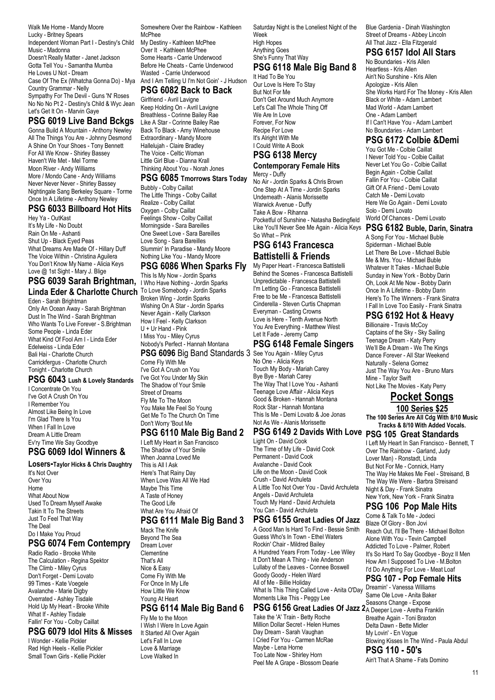Walk Me Home - Mandy Moore Lucky - Britney Spears Independent Woman Part I - Destiny's Child Music - Madonna Doesn't Really Matter - Janet Jackson Gotta Tell You - Samantha Mumba He Loves U Not - Dream Case Of The Ex (Whatcha Gonna Do) - Mya Country Grammar - Nelly Sympathy For The Devil - Guns 'N' Roses No No No Pt 2 - Destiny's Child & Wyc Jean Let's Get It On - Marvin Gaye

# **PSG 6019 Live Band Bckgs**

Gonna Build A Mountain - Anthony Newley All The Things You Are - Johnny Desmond A Shine On Your Shoes - Tony Bennett For All We Know - Shirley Bassey Haven't We Met - Mel Torme Moon River - Andy Williams More / Mondo Cane - Andy Williams Never Never Never - Shirley Bassey Nightingale Sang Berkeley Square - Torme Once In A Lifetime - Anthony Newley

### **PSG 6033 Billboard Hot Hits**

Hey Ya - OutKast It's My Life - No Doubt Rain On Me - Ashanti Shut Up - Black Eyed Peas What Dreams Are Made Of - Hillary Duff The Voice Within - Christina Aguilera You Don't Know My Name - Alicia Keys Love @ 1st Sight - Mary J. Blige

# **PSG 6039 Sarah Brightman,** I Who Have Nothing - Jordin Sparks

Linda Eder & Charlotte Church To Love Somebody - Jordin Sparks Eden - Sarah Brightman

Only An Ocean Away - Sarah Brightman Dust In The Wind - Sarah Brightman Who Wants To Live Forever - S.Brightman Some People - Linda Eder What Kind Of Fool Am I - Linda Eder Edelweiss - Linda Eder Bali Hai - Charlotte Church Carrickfergus - Charlotte Church Tonight - Charlotte Church

### **PSG 6043 Lush & Lovely Standards**

I Concentrate On You I've Got A Crush On You I Remember You Almost Like Being In Love I'm Glad There Is You When I Fall In Love Dream A Little Dream Ev'ry Time We Say Goodbye

# **PSG 6069 Idol Winners &**

#### **Losers-Taylor Hicks & Chris Daughtry** It's Not Over

Over You Home What About Now Used To Dream Myself Awake Takin It To The Streets Just To Feel That Way The Deal Do I Make You Proud

# **PSG 6074 Fem Contempry**

Radio Radio - Brooke White The Calculation - Regina Spektor The Climb - Miley Cyrus Don't Forget - Demi Lovato 99 Times - Kate Voegele Avalanche - Marie Digby Overrated - Ashley Tisdale Hold Up My Heart - Brooke White What If - Ashley Tisdale Fallin' For You - Colby Caillat

### **PSG 6079 Idol Hits & Misses**

I Wonder - Kellie Pickler Red High Heels - Kellie Pickler Small Town Girls - Kellie Pickler Somewhere Over the Rainbow - Kathleen **McPhee** 

My Destiny - Kathleen McPhee Over It - Kathleen McPhee Some Hearts - Carrie Underwood Before He Cheats - Carrie Underwood Wasted - Carrie Underwood And I Am Telling U I'm Not Goin' - J Hudson

#### **PSG 6082 Back to Back** Girlfriend - Avril Lavigne

Keep Holding On - Avril Lavigne Breathless - Corinne Bailey Rae Like A Star - Corinne Bailey Rae Back To Black - Amy Winehouse Extraordinary - Mandy Moore Hallelujah - Claire Bradley The Voice - Celtic Woman Little Girl Blue - Dianna Krall Thinking About You - Norah Jones

#### **PSG 6085 Tmorrows Stars Today**

Bubbly - Colby Caillat The Little Things - Colby Caillat Realize - Colby Caillat Oxygen - Colby Caillat Feelings Show - Colby Caillat Morningside - Sara Bareilles One Sweet Love - Sara Bareilles Love Song - Sara Bareilles Slummin' In Paradise - Mandy Moore Nothing Like You - Mandy Moore

# **PSG 6086 When Sparks Fly**

This Is My Now - Jordin Sparks Broken Wing - Jordin Sparks Wishing On A Star - Jordin Sparks Never Again - Kelly Clarkson How I Feel - Kelly Clarkson U + Ur Hand - Pink I Miss You - Miley Cyrus Nobody's Perfect - Hannah Montana PSG 6096 Big Band Standards 3 See You Again - Miley Cyrus Come Fly With Me I've Got A Crush on You I've Got You Under My Skin The Shadow of Your Smile

Street of Dreams Fly Me To The Moon You Make Me Feel So Young Get Me To The Church On Time Don't Worry 'Bout Me

# **PSG 6110 Male Big Band 2**

I Left My Heart in San Francisco The Shadow of Your Smile When Joanna Loved Me This is All I Ask Here's That Rainy Day When Love Was All We Had Maybe This Time A Taste of Honey The Good Life What Are You Afraid Of

### **PSG 6111 Male Big Band 3**

Mack The Knife Beyond The Sea Dream Lover Clementine That's All Nice & Easy Come Fly With Me For Once In My Life How Little We Know Young At Heart

# **PSG 6114 Male Big Band 6**

Fly Me to the Moon I Wish I Were In Love Again It Started All Over Again Let's Fall In Love Love & Marriage Love Walked In

Saturday Night is the Loneliest Night of the Week High Hopes Anything Goes She's Funny That Way

# **PSG 6118 Male Big Band 8** It Had To Be You

Our Love Is Here To Stay But Not For Me Don't Get Around Much Anymore Let's Call The Whole Thing Off We Are In Love Forever, For Now Recipe For Love It's Alright With Me I Could Write A Book

#### **PSG 6138 Mercy Contemporary Female Hits**

Mercy - Duffy

No Air - Jordin Sparks & Chris Brown One Step At A Time - Jordin Sparks Underneath - Alanis Morissette Warwick Avenue - Duffy Take A Bow - Rihanna Pocketful of Sunshine - Natasha Bedingfield Like You'll Never See Me Again - Alicia Keys **PSG 6182 Buble, Darin, Sinatra** So What – Pink

### **PSG 6143 Francesca Battistelli & Friends**

My Paper Heart - Francesca Battistelli Behind the Scenes - Francesca Battistelli Unpredictable - Francesca Battistelli I'm Letting Go - Francesca Battistelli Free to be Me - Francesca Battistelli Cinderella - Steven Curtis Chapman Everyman - Casting Crowns Love is Here - Tenth Avenue North You Are Everything - Matthew West Let It Fade - Jeremy Camp

# **PSG 6148 Female Singers**

No One - Alicia Keys Touch My Body - Mariah Carey Bye Bye - Mariah Carey The Way That I Love You - Ashanti Teenage Love Affair - Alicia Keys Good & Broken - Hannah Montana Rock Star - Hannah Montana This Is Me - Demi Lovato & Joe Jonas Not As We - Alanis Morissette

# **PSG 6149 2 Davids With Love PSG 105 Great Standards**

Light On - David Cook The Time of My Life - David Cook Permanent - David Cook Avalanche - David Cook Life on the Moon - David Cook Crush - David Archuleta A Little Too Not Over You - David Archuleta Angels - David Archuleta Touch My Hand - David Archuleta You Can - David Archuleta

### **PSG 6155 Great Ladies Of Jazz**

A Good Man Is Hard To Find - Bessie Smith Guess Who's In Town - Ethel Waters Rockin' Chair - Mildred Bailey A Hundred Years From Today - Lee Wiley It Don't Mean A Thing - Ivie Anderson Lullaby of the Leaves - Connee Boswell Goody Goody - Helen Ward All of Me - Billie Holiday What Is This Thing Called Love - Anita O'Day Moments Like This - Peggy Lee

## **PSG 6156 Great Ladies Of Jazz 2**

Take the 'A' Train - Betty Roche Million Dollar Secret - Helen Humes Day Dream - Sarah Vaughan I Cried For You - Carmen McRae Maybe - Lena Horne Too Late Now - Shirley Horn Peel Me A Grape - Blossom Dearie

Blue Gardenia - Dinah Washington Street of Dreams - Abbey Lincoln All That Jazz - Ella Fitzgerald

# **PSG 6157 Idol All Stars**

No Boundaries - Kris Allen Heartless - Kris Allen Ain't No Sunshine - Kris Allen Apologize - Kris Allen She Works Hard For The Money - Kris Allen Black or White - Adam Lambert Mad World - Adam Lambert One - Adam Lambert If I Can't Have You - Adam Lambert No Boundaries - Adam Lambert

# **PSG 6172 Colbie &Demi**

You Got Me - Colbie Caillat I Never Told You - Colbie Caillat Never Let You Go - Colbie Caillat Begin Again - Colbie Caillat Fallin For You - Colbie Caillat Gift Of A Friend - Demi Lovato Catch Me - Demi Lovato Here We Go Again - Demi Lovato Solo - Demi Lovato World Of Chances - Demi Lovato

A Song For You - Michael Buble Spiderman - Michael Buble Let There Be Love - Michael Buble Me & Mrs. You - Michael Buble Whatever It Takes - Michael Buble Sunday in New York - Bobby Darin Oh, Look At Me Now - Bobby Darin Once In A Lifetime - Bobby Darin Here's To The Winners - Frank Sinatra I Fall In Love Too Easily - Frank Sinatra

### **PSG 6192 Hot & Heavy**

Billionaire - Travis McCoy Captains of the Sky - Sky Sailing Teenage Dream - Katy Perry We'll Be A Dream - We The Kings Dance Forever - All Star Weekend Naturally - Selena Gomez Just The Way You Are - Bruno Mars Mine - Taylor Swift Not Like The Movies - Katy Perry

# **Pocket Songs**

**100 Series \$25 The 100 Series Are All Cdg With 8/10 Music Tracks & 8/10 With Added Vocals.**

I Left My Heart In San Francisco - Bennett, T Over The Rainbow - Garland, Judy Lover Man) - Ronstadt, Linda But Not For Me - Connick, Harry The Way He Makes Me Feel - Streisand, B The Way We Were - Barbra Streisand Night & Day - Frank Sinatra New York, New York - Frank Sinatra

# **PSG 106 Pop Male Hits**

Come & Talk To Me - Jodeci Blaze Of Glory - Bon Jovi Reach Out, I'll Be There - Michael Bolton Alone With You - Tevin Campbell Addicted To Love - Palmer, Robert It's So Hard To Say Goodbye - Boyz II Men How Am I Supposed To Live - M.Bolton I'd Do Anything For Love - Meat Loaf

### **PSG 107 - Pop Female Hits**

Dreamin' - Vanessa Williams Same Ole Love - Anita Baker Seasons Change - Expose A Deeper Love - Aretha Franklin Breathe Again - Toni Braxton Delta Dawn - Bette Midler My Lovin' - En Vogue Blowing Kisses In The Wind - Paula Abdul

**PSG 110 - 50's** Ain't That A Shame - Fats Domino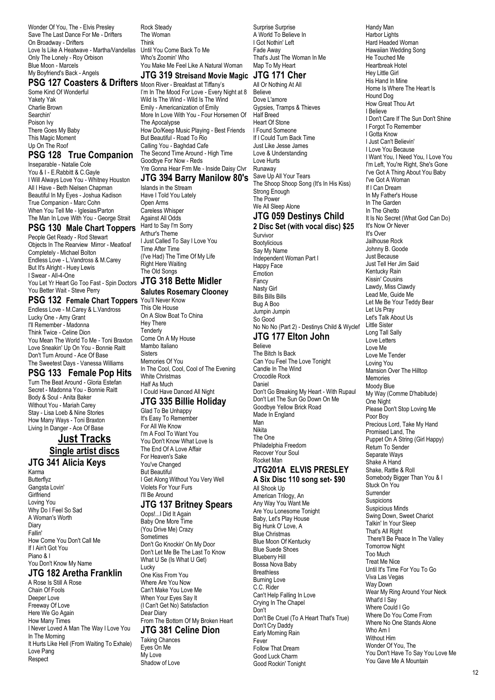Wonder Of You, The - Elvis Presley Save The Last Dance For Me - Drifters On Broadway - Drifters Love Is Like A Heatwave - Martha/Vandellas Only The Lonely - Roy Orbison Blue Moon - Marcels My Boyfriend's Back - Angels

# **PSG 127 Coasters & Drifters** Moon River - Breakfast at Tiffany's

Some Kind Of Wonderful Yakety Yak Charlie Brown Searchin' Poison Ivy There Goes My Baby This Magic Moment Up On The Roof

### **PSG 128 True Companion**

Inseparable - Natalie Cole You & I - E.Rabbitt & C.Gavle I Will Always Love You - Whitney Houston All I Have - Beth Nielsen Chapman Beautiful In My Eyes - Joshua Kadison True Companion - Marc Cohn When You Tell Me - Iglesias/Parton The Man In Love With You - George Strait

# **PSG 130 Male Chart Toppers**

People Get Ready - Rod Stewart Objects In The Rearview Mirror - Meatloaf Completely - Michael Bolton Endless Love - L.Vandross & M.Carey But It's Alright - Huey Lewis I Swear - All-4-One You Let Yr Heart Go Too Fast - Spin Doctors You Better Wait - Steve Perry

# **PSG 132 Female Chart Toppers** You'll Never Know

Endless Love - M.Carey & L.Vandross Lucky One - Amy Grant I'll Remember - Madonna Think Twice - Celine Dion You Mean The World To Me - Toni Braxton Love Sneakin' Up On You - Bonnie Raitt Don't Turn Around - Ace Of Base The Sweetest Days - Vanessa Williams

### **PSG 133 Female Pop Hits**

Turn The Beat Around - Gloria Estefan Secret - Madonna You - Bonnie Raitt Body & Soul - Anita Baker Without You - Mariah Carey Stay - Lisa Loeb & Nine Stories How Many Ways - Toni Braxton Living In Danger - Ace Of Base

# **Just Tracks Single artist discs JTG 341 Alicia Keys**

Karma Butterflyz Gangsta Lovin' **Girlfriend** Loving You Why Do I Feel So Sad A Woman's Worth Diary Fallin' How Come You Don't Call Me If I Ain't Got You Piano & I You Don't Know My Name

# **JTG 182 Aretha Franklin**

A Rose Is Still A Rose Chain Of Fools Deeper Love Freeway Of Love Here We Go Again How Many Times I Never Loved A Man The Way I Love You In The Morning It Hurts Like Hell (From Waiting To Exhale) Love Pang Respect

Rock Steady The Woman Think Until You Come Back To Me Who's Zoomin' Who You Make Me Feel Like A Natural Woman

# **JTG 319 Streisand Movie Magic JTG 171 Cher**

I'm In The Mood For Love - Every Night at 8 Wild Is The Wind - Wild Is The Wind Emily - Americanization of Emily More In Love With You - Four Horsemen Of The Apocalypse How Do/Keep Music Playing - Best Friends But Beautiful - Road To Rio Calling You - Baghdad Cafe The Second Time Around - High Time Goodbye For Now - Reds Yre Gonna Hear Frm Me - Inside Daisy Clvr **JTG 394 Barry Manilow 80's**

Islands in the Stream Have I Told You Lately Open Arms Careless Whisper Against All Odds Hard to Say I'm Sorry Arthur's Theme I Just Called To Say I Love You Time After Time (I've Had) The Time Of My Life Right Here Waiting The Old Songs

#### **JTG 318 Bette Midler Salutes Rosemary Clooney**

This Ole House On A Slow Boat To China Hey There Tenderly Come On A My House Mambo Italiano **Sisters** Memories Of You In The Cool, Cool, Cool of The Evening White Christmas Half As Much I Could Have Danced All Night **JTG 335 Billie Holiday**

Glad To Be Unhappy It's Easy To Remember For All We Know I'm A Fool To Want You You Don't Know What Love Is The End Of A Love Affair For Heaven's Sake You've Changed But Beautiful I Get Along Without You Very Well Violets For Your Furs I'll Be Around

# **JTG 137 Britney Spears**

Oops!...I Did It Again Baby One More Time (You Drive Me) Crazy Sometimes Don't Go Knockin' On My Door Don't Let Me Be The Last To Know What U Se (Is What U Get) Lucky

One Kiss From You Where Are You Now Can't Make You Love Me When Your Eyes Say It (I Can't Get No) Satisfaction Dear Diary From The Bottom Of My Broken Heart **JTG 381 Celine Dion**

# Taking Chances

Eyes On Me My Love Shadow of Love Surprise Surprise A World To Believe In I Got Nothin' Left Fade Away That's Just The Woman In Me Map To My Heart

All Or Nothing At All Believe Dove L'amore Gypsies, Tramps & Thieves Half Breed Heart Of Stone I Found Someone If I Could Turn Back Time Just Like Jesse James Love & Understanding Love Hurts Runaway Save Up All Your Tears The Shoop Shoop Song (It's In His Kiss) Strong Enough The Power We All Sleep Alone

### **JTG 059 Destinys Child 2 Disc Set (with vocal disc) \$25**

Survivor Bootylicious Say My Name Independent Woman Part I Happy Face Emotion Fancy Nasty Girl Bills Bills Bills Bug A Boo Jumpin Jumpin So Good No No No (Part 2) - Destinys Child & Wyclef

#### **JTG 177 Elton John** Believe

The Bitch Is Back Can You Feel The Love Tonight Candle In The Wind Crocodile Rock Daniel Don't Go Breaking My Heart - With Rupaul Don't Let The Sun Go Down On Me Goodbye Yellow Brick Road Made In England Man Nikita The One Philadelphia Freedom Recover Your Soul Rocket Man

### **JTG201A ELVIS PRESLEY A Six Disc 110 song set- \$90**

All Shook Up American Trilogy, An Any Way You Want Me Are You Lonesome Tonight Baby, Let's Play House Big Hunk O' Love, A Blue Christmas Blue Moon Of Kentucky Blue Suede Shoes Blueberry Hill Bossa Nova Baby **Breathless** Burning Love C.C. Rider Can't Help Falling In Love Crying In The Chapel Don't Don't Be Cruel (To A Heart That's True) Don't Cry Daddy Early Morning Rain Fever Follow That Dream Good Luck Charm Good Rockin' Tonight

Handy Man Harbor Lights Hard Headed Woman Hawaiian Wedding Song He Touched Me Heartbreak Hotel Hey Little Girl His Hand In Mine Home Is Where The Heart Is Hound Dog How Great Thou Art I Believe I Don't Care If The Sun Don't Shine I Forgot To Remember I Gotta Know I Just Can't Believin' I Love You Because I Want You, I Need You, I Love You I'm Left, You're Right, She's Gone I've Got A Thing About You Baby I've Got A Woman If I Can Dream In My Father's House In The Garden In The Ghetto It Is No Secret (What God Can Do) It's Now Or Never It's Over Jailhouse Rock Johnny B. Goode Just Because Just Tell Her Jim Said Kentucky Rain Kissin' Cousins Lawdy, Miss Clawdy Lead Me, Guide Me Let Me Be Your Teddy Bear Let Us Pray Let's Talk About Us Little Sister Long Tall Sally Love Letters Love Me Love Me Tender Loving You Mansion Over The Hilltop Memories Moody Blue My Way (Comme D'habitude) One Night Please Don't Stop Loving Me Poor Boy Precious Lord, Take My Hand Promised Land, The Puppet On A String (Girl Happy) Return To Sender Separate Ways Shake A Hand Shake, Rattle & Roll Somebody Bigger Than You & I Stuck On You Surrender **Suspicions** Suspicious Minds Swing Down, Sweet Chariot Talkin' In Your Sleep That's All Right There'll Be Peace In The Valley Tomorrow Night Too Much Treat Me Nice Until It's Time For You To Go Viva Las Vegas Way Down Wear My Ring Around Your Neck What'd I Sav Where Could I Go Where Do You Come From Where No One Stands Alone Who Am I Without Him Wonder Of You, The You Don't Have To Say You Love Me You Gave Me A Mountain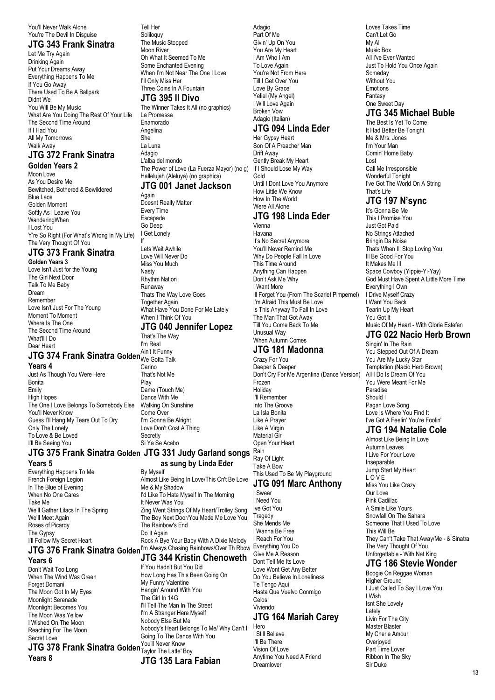You'll Never Walk Alone You're The Devil In Disguise

### **JTG 343 Frank Sinatra**

Let Me Try Again Drinking Again Put Your Dreams Away Everything Happens To Me If You Go Away There Used To Be A Ballpark Didnt We You Will Be My Music What Are You Doing The Rest Of Your Life The Second Time Around If I Had You All My Tomorrows Walk Away

#### **JTG 372 Frank Sinatra Golden Years 2**

Moon Love As You Desire Me Bewitched, Bothered & Bewildered Blue Lace Golden Moment Softly As I Leave You WanderingWhen I Lost You Y're So Right (For What's Wrong In My Life) The Very Thought Of You

# **JTG 373 Frank Sinatra**

**Golden Years 3** Love Isn't Just for the Young The Girl Next Door Talk To Me Baby Dream Remember Love Isn't Just For The Young Moment To Moment Where Is The One The Second Time Around What'll I Do Dear Heart

# **JTG 374 Frank Sinatra Golden**  Ain't It Funny

**Years 4** Just As Though You Were Here Bonita Emily High Hopes The One I Love Belongs To Somebody Else You'll Never Know Guess I'll Hang My Tears Out To Dry Only The Lonely To Love & Be Loved I'll Be Seeing You

# **JTG 375 Frank Sinatra Golden JTG 331 Judy Garland songs**

**Years 5** Everything Happens To Me French Foreign Legion In The Blue of Evening When No One Cares Take Me We'll Gather Lilacs In The Spring We'll Meet Again Roses of Picardy The Gypsy

# I'll Follow My Secret Heart

**Years 6**

Don't Wait Too Long When The Wind Was Green Forget Domani The Moon Got In My Eyes Moonlight Serenade Moonlight Becomes You The Moon Was Yellow I Wished On The Moon Reaching For The Moon Secret Love

**JTG 378 Frank Sinatra Golden** You'll Never Know **Years 8**

Tell Her Soliloquy The Music Stopped Moon River Oh What It Seemed To Me Some Enchanted Evening When I'm Not Near The One I Love I'll Only Miss Her Three Coins In A Fountain

# **JTG 395 Il Divo**

The Winner Takes It All (no graphics) La Promessa Enamorado Angelina She La Luna Adagio L'alba del mondo The Power of Love (La Fuerza Mayor) (no g) Hallelujah (Aleluya) (no graphics)

### **JTG 001 Janet Jackson**

Again Doesnt Really Matter Every Time Escapade Go Deep I Get Lonely

If Lets Wait Awhile Love Will Never Do Miss You Much Nasty Rhythm Nation Runaway Thats The Way Love Goes Together Again What Have You Done For Me Lately When I Think Of You

# **JTG 040 Jennifer Lopez**

That's The Way I'm Real We Gotta Talk Carino That's Not Me Play Dame (Touch Me) Dance With Me Walking On Sunshine Come Over I'm Gonna Be Alright

Love Don't Cost A Thing

# Si Ya Se Acabo **as sung by Linda Eder**

**Secretly** 

**JTG 376 Frank Sinatra Golden** I'm Always Chasing Rainbows/Over Th Rbow By Myself Almost Like Being In Love/This Cn't Be Love Me & My Shadow I'd Like To Hate Myself In The Morning It Never Was You Zing Went Strings Of My Heart/Trolley Song The Boy Next Door/You Made Me Love You The Rainbow's End Do It Again Rock A Bye Your Baby With A Dixie Melody **JTG 344 Kristin Chenoweth**

If You Hadn't But You Did How Long Has This Been Going On My Funny Valentine Hangin' Around With You The Girl In 14G I'll Tell The Man In The Street I'm A Stranger Here Myself Nobody Else But Me Nobody's Heart Belongs To Me/ Why Can't I Going To The Dance With You Taylor The Latte' Boy **JTG 135 Lara Fabian**

Adagio Part Of Me Givin' Up On You You Are My Heart I Am Who I Am To Love Again You're Not From Here Till I Get Over You Love By Grace Yeliel (My Angel) I Will Love Again Broken Vow Adagio (Italian)

# **JTG 094 Linda Eder**

Her Gypsy Heart Son Of A Preacher Man Drift Away Gently Break My Heart If I Should Lose My Way Gold Until I Dont Love You Anymore How Little We Know How In The World Were All Alone

# **JTG 198 Linda Eder**

Vienna Havana It's No Secret Anymore You'll Never Remind Me Why Do People Fall In Love This Time Around Anything Can Happen Don't Ask Me Why I Want More Ill Forget You (From The Scarlet Pimpernel) I'm Afraid This Must Be Love Is This Anyway To Fall In Love The Man That Got Away Till You Come Back To Me Unusual Way When Autumn Comes

#### **JTG 181 Madonna** Crazy For You

Deeper & Deeper Don't Cry For Me Argentina (Dance Version) Frozen Holiday I'll Remember Into The Groove La Isla Bonita Like A Prayer Like A Virgin Material Girl Open Your Heart Rain Ray Of Light Take A Bow This Used To Be My Playground

# **JTG 091 Marc Anthony**

I Swear I Need You Ive Got You **Tragedy** She Mends Me I Wanna Be Free I Reach For You Everything You Do Give Me A Reason Dont Tell Me Its Love Love Wont Get Any Better Do You Believe In Loneliness Te Tengo Aqui Hasta Que Vuelvo Conmigo Celos Viviendo

# **JTG 164 Mariah Carey**

Hero I Still Believe I'll Be There Vision Of Love Anytime You Need A Friend **Dreamlover** 

Loves Takes Time Can't Let Go My All Music Box All I've Ever Wanted Just To Hold You Once Again Someday Without You Emotions Fantasy One Sweet Day

# **JTG 345 Michael Buble**

The Best Is Yet To Come It Had Better Be Tonight Me & Mrs. Jones I'm Your Man Comin' Home Baby Lost Call Me Irresponsible Wonderful Tonight I've Got The World On A String That's Life

# **JTG 197 N'sync**

It's Gonna Be Me This I Promise You Just Got Paid No Strings Attached Bringin Da Noise Thats When Ill Stop Loving You Ill Be Good For You It Makes Me Ill Space Cowboy (Yippie-Yi-Yay) God Must Have Spent A Little More Time Everything I Own I Drive Myself Crazy I Want You Back Tearin Up My Heart You Got It Music Of My Heart - With Gloria Estefan

# **JTG 022 Nacio Herb Brown**

Singin' In The Rain You Stepped Out Of A Dream You Are My Lucky Star Temptation (Nacio Herb Brown) All I Do Is Dream Of You You Were Meant For Me Paradise Should I Pagan Love Song Love Is Where You Find It I've Got A Feelin' You're Foolin'

# **JTG 194 Natalie Cole**

Almost Like Being In Love Autumn Leaves I Live For Your Love Inseparable Jump Start My Heart L O V E Miss You Like Crazy Our Love Pink Cadillac A Smile Like Yours Snowfall On The Sahara Someone That I Used To Love This Will Be They Can't Take That Away/Me - & Sinatra The Very Thought Of You Unforgettable - With Nat King

# **JTG 186 Stevie Wonder**

Boogie On Reggae Woman Higher Ground I Just Called To Say I Love You I Wish Isnt She Lovely Lately Livin For The City Master Blaster My Cherie Amour Overjoyed Part Time Lover Ribbon In The Sky Sir Duke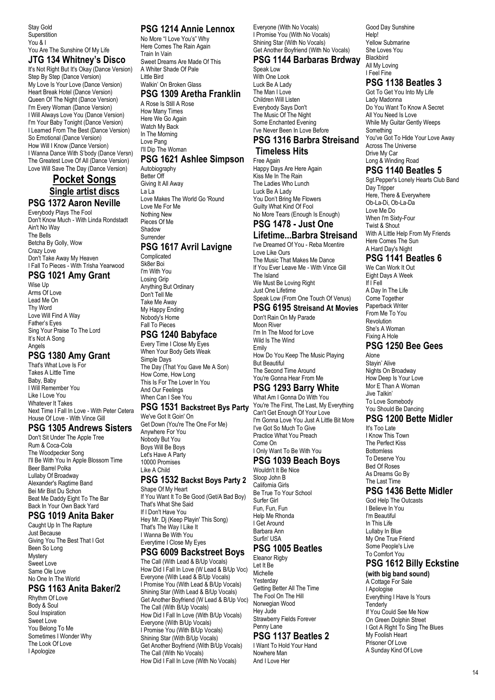Stay Gold **Superstition** You & I You Are The Sunshine Of My Life

# **JTG 134 Whitney's Disco**

It's Not Right But It's Okay (Dance Version) Step By Step (Dance Version) My Love Is Your Love (Dance Version) Heart Break Hotel (Dance Version) Queen Of The Night (Dance Version) I'm Every Woman (Dance Version) I Will Always Love You (Dance Version) I'm Your Baby Tonight (Dance Version) I Learned From The Best (Dance Version) So Emotional (Dance Version) How Will I Know (Dance Version) I Wanna Dance With S'body (Dance Versn) The Greatest Love Of All (Dance Version) Love Will Save The Day (Dance Version)

### **Pocket Songs Single artist discs PSG 1372 Aaron Neville**

Everybody Plays The Fool Don't Know Much - With Linda Rondstadt Ain't No Way The Bells Betcha By Golly, Wow Crazy Love Don't Take Away My Heaven I Fall To Pieces - With Trisha Yearwood

### **PSG 1021 Amy Grant**

Wise Up Arms Of Love Lead Me On Thy Word Love Will Find A Way Father's Eyes Sing Your Praise To The Lord It's Not A Song Angels

# **PSG 1380 Amy Grant**

That's What Love Is For Takes A Little Time Baby, Baby I Will Remember You Like I Love You Whatever It Takes Next Time I Fall In Love - With Peter Cetera House Of Love - With Vince Gill

# **PSG 1305 Andrews Sisters**

Don't Sit Under The Apple Tree Rum & Coca-Cola The Woodpecker Song I'll Be With You In Apple Blossom Time Beer Barrel Polka Lullaby Of Broadway Alexander's Ragtime Band Bei Mir Bist Du Schon Beat Me Daddy Eight To The Bar Back In Your Own Back Yard

# **PSG 1019 Anita Baker**

Caught Up In The Rapture Just Because Giving You The Best That I Got Been So Long **Mystery** Sweet Love Same Ole Love No One In The World

# **PSG 1163 Anita Baker/2**

Rhythm Of Love Body & Soul Soul Inspiration Sweet Love You Belong To Me Sometimes I Wonder Why The Look Of Love I Apologize

# **PSG 1214 Annie Lennox**

No More "I Love You's" Why Here Comes The Rain Again Train In Vain Sweet Dreams Are Made Of This A Whiter Shade Of Pale Little Bird Walkin' On Broken Glass

# **PSG 1309 Aretha Franklin**

A Rose Is Still A Rose How Many Times Here We Go Again Watch My Back In The Morning Love Pang I'll Dip The Woman

### **PSG 1621 Ashlee Simpson**

Autobiography Better Off Giving It All Away La La Love Makes The World Go 'Round Love Me For Me Nothing New Pieces Of Me Shadow Surrender **PSG 1617 Avril Lavigne**

Complicated Sk8er Boi I'm With You Losing Grip Anything But Ordinary Don't Tell Me Take Me Away My Happy Ending Nobody's Home Fall To Pieces

### **PSG 1240 Babyface**

Every Time I Close My Eyes When Your Body Gets Weak Simple Days The Day (That You Gave Me A Son) How Come, How Long This Is For The Lover In You And Our Feelings When Can I See You

# **PSG 1531 Backstreet Bys Party**

We've Got It Goin' On Get Down (You're The One For Me) Anywhere For You Nobody But You Boys Will Be Boys Let's Have A Party 10000 Promises Like A Child

#### **PSG 1532 Backst Boys Party 2** Shape Of My Heart

If You Want It To Be Good (Get/A Bad Boy) That's What She Said If I Don't Have You Hey Mr. Dj (Keep Playin' This Song) That's The Way I Like It I Wanna Be With You Everytime I Close My Eyes

# **PSG 6009 Backstreet Boys**

The Call (With Lead & B/Up Vocals) How Did I Fall In Love (W Lead & B/Up Voc) Everyone (With Lead & B/Up Vocals) I Promise You (With Lead & B/Up Vocals) Shining Star (With Lead & B/Up Vocals) Get Another Boyfriend (W Lead & B/Up Voc) The Call (With B/Up Vocals) How Did I Fall In Love (With B/Up Vocals) Everyone (With B/Up Vocals) I Promise You (With B/Up Vocals) Shining Star (With B/Up Vocals) Get Another Boyfriend (With B/Up Vocals) The Call (With No Vocals) How Did I Fall In Love (With No Vocals)

Everyone (With No Vocals) I Promise You (With No Vocals) Shining Star (With No Vocals) Get Another Boyfriend (With No Vocals)

#### **PSG 1144 Barbaras Brdway** Speak Low

With One Look Luck Be A Lady The Man I Love Children Will Listen Everybody Says Don't The Music Of The Night Some Enchanted Evening I've Never Been In Love Before

### **PSG 1316 Barbra Streisand Timeless Hits**

Free Again Happy Days Are Here Again Kiss Me In The Rain The Ladies Who Lunch Luck Be A Lady You Don't Bring Me Flowers Guilty What Kind Of Fool No More Tears (Enough Is Enough)

# **PSG 1478 - Just One**

# **Lifetime...Barbra Streisand**

I've Dreamed Of You - Reba Mcentire Love Like Ours The Music That Makes Me Dance If You Ever Leave Me - With Vince Gill The Island We Must Be Loving Right Just One Lifetime Speak Low (From One Touch Of Venus)

# **PSG 6195 Streisand At Movies**

Don't Rain On My Parade Moon River I'm In The Mood for Love Wild Is The Wind Emily How Do You Keep The Music Playing But Beautiful The Second Time Around You're Gonna Hear From Me

# **PSG 1293 Barry White**

What Am I Gonna Do With You You're The First, The Last, My Everything Can't Get Enough Of Your Love I'm Gonna Love You Just A Little Bit More I've Got So Much To Give Practice What You Preach Come On I Only Want To Be With You

# **PSG 1039 Beach Boys**

Wouldn't It Be Nice Sloop John B California Girls Be True To Your School Surfer Girl Fun, Fun, Fun Help Me Rhonda I Get Around Barbara Ann Surfin' USA

# **PSG 1005 Beatles**

Eleanor Rigby Let It Be Michelle Yesterday Getting Better All The Time The Fool On The Hill Norwegian Wood Hey Jude Strawberry Fields Forever Penny Lane

# **PSG 1137 Beatles 2**

I Want To Hold Your Hand Nowhere Man And I Love Her

Good Day Sunshine **Help!** Yellow Submarine She Loves You **Blackbird** All My Loving I Feel Fine

# **PSG 1138 Beatles 3**

Got To Get You Into My Life Lady Madonna Do You Want To Know A Secret All You Need Is Love While My Guitar Gently Weeps Something You've Got To Hide Your Love Away Across The Universe Drive My Car Long & Winding Road

# **PSG 1140 Beatles 5**

Sgt.Pepper's Lonely Hearts Club Band Day Tripper Here, There & Everywhere Ob-La-Di, Ob-La-Da Love Me Do When I'm Sixty-Four Twist & Shout With A Little Help From My Friends Here Comes The Sun A Hard Day's Night

# **PSG 1141 Beatles 6**

We Can Work It Out Eight Days A Week If I Fell A Day In The Life Come Together Paperback Writer From Me To You Revolution She's A Woman Fixing A Hole

#### **PSG 1250 Bee Gees** Alone

Stayin' Alive Nights On Broadway How Deep Is Your Love Mor E Than A Woman Jive Talkin' To Love Somebody You Should Be Dancing

# **PSG 1200 Bette Midler**

It's Too Late I Know This Town The Perfect Kiss Bottomless To Deserve You Bed Of Roses As Dreams Go By The Last Time

# **PSG 1436 Bette Midler**

God Help The Outcasts I Believe In You I'm Beautiful In This Life Lullaby In Blue My One True Friend Some People's Live To Comfort You

# **PSG 1612 Billy Eckstine**

**(with big band sound)** A Cottage For Sale I Apologise Everything I Have Is Yours **Tenderly** If You Could See Me Now On Green Dolphin Street I Got A Right To Sing The Blues My Foolish Heart Prisoner Of Love A Sunday Kind Of Love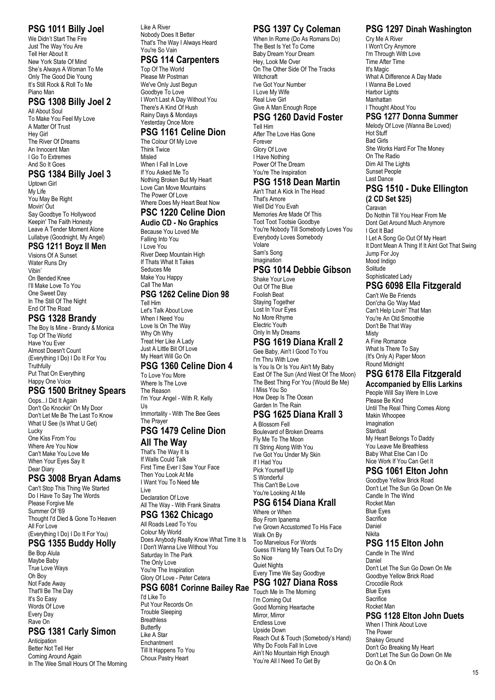# **PSG 1011 Billy Joel**

We Didn't Start The Fire Just The Way You Are Tell Her About It New York State Of Mind She's Always A Woman To Me Only The Good Die Young It's Still Rock & Roll To Me Piano Man

# **PSG 1308 Billy Joel 2**

All About Soul To Make You Feel My Love A Matter Of Trust Hey Girl The River Of Dreams An Innocent Man I Go To Extremes And So It Goes

### **PSG 1384 Billy Joel 3**

Uptown Girl My Life You May Be Right Movin' Out Say Goodbye To Hollywood Keepin' The Faith Honesty Leave A Tender Moment Alone Lullabye (Goodnight, My Angel)

### **PSG 1211 Boyz II Men**

Visions Of A Sunset Water Runs Dry Vibin' On Bended Knee I'll Make Love To You One Sweet Day In The Still Of The Night End Of The Road

# **PSG 1328 Brandy**

The Boy Is Mine - Brandy & Monica Top Of The World Have You Ever Almost Doesn't Count (Everything I Do) I Do It For You **Truthfully** Put That On Everything Happy One Voice

# **PSG 1500 Britney Spears**

Oops...I Did It Again Don't Go Knockin' On My Door Don't Let Me Be The Last To Know What U See (Is What U Get) Lucky One Kiss From You Where Are You Now Can't Make You Love Me When Your Eyes Say It Dear Diary

# **PSG 3008 Bryan Adams**

Can't Stop This Thing We Started Do I Have To Say The Words Please Forgive Me Summer Of '69 Thought I'd Died & Gone To Heaven All For Love (Everything I Do) I Do It For You)

# **PSG 1355 Buddy Holly**

Be Bop Alula Maybe Baby True Love Ways Oh Boy Not Fade Away That'll Be The Day It's So Easy Words Of Love Every Day Rave On

# **PSG 1381 Carly Simon**

Anticipation Better Not Tell Her Coming Around Again In The Wee Small Hours Of The Morning Like A River Nobody Does It Better That's The Way I Always Heard You're So Vain

### **PSG 114 Carpenters**

Top Of The World Please Mr Postman We've Only Just Begun Goodbye To Love I Won't Last A Day Without You There's A Kind Of Hush Rainy Days & Mondays Yesterday Once More

# **PSG 1161 Celine Dion**

The Colour Of My Love Think Twice Misled When I Fall In Love If You Asked Me To Nothing Broken But My Heart Love Can Move Mountains The Power Of Love Where Does My Heart Beat Now

# **PSC 1220 Celine Dion**

**Audio CD - No Graphics** Because You Loved Me Falling Into You I Love You River Deep Mountain High If Thats What It Takes Seduces Me Make You Happy Call The Man **PSG 1262 Celine Dion 98** Tell Him Let's Talk About Love

When I Need You Love Is On The Way Why Oh Why Treat Her Like A Lady Just A Little Bit Of Love My Heart Will Go On

# **PSG 1360 Celine Dion 4**

To Love You More Where Is The Love The Reason I'm Your Angel - With R. Kelly Us

#### Immortality - With The Bee Gees The Prayer **PSG 1479 Celine Dion**

# **All The Way**

That's The Way It Is If Walls Could Talk First Time Ever I Saw Your Face Then You Look At Me I Want You To Need Me Live Declaration Of Love

#### All The Way - With Frank Sinatra **PSG 1362 Chicago**

All Roads Lead To You

Colour My World Does Anybody Really Know What Time It Is I Don't Wanna Live Without You Saturday In The Park The Only Love You're The Inspiration Glory Of Love - Peter Cetera

# **PSG 6081 Corinne Bailey Rae**

I'd Like To Put Your Records On Trouble Sleeping **Breathless** Butterfly Like A Star Enchantment Till It Happens To You Choux Pastry Heart

# **PSG 1397 Cy Coleman**

When In Rome (Do As Romans Do) The Best Is Yet To Come Baby Dream Your Dream Hey, Look Me Over On The Other Side Of The Tracks **Witchcraft** I've Got Your Number I Love My Wife Real Live Girl Give A Man Enough Rope **PSG 1260 David Foster**

# Tell Him

After The Love Has Gone Forever Glory Of Love I Have Nothing Power Of The Dream You're The Inspiration

# **PSG 1518 Dean Martin**

Ain't That A Kick In The Head That's Amore Well Did You Evah Memories Are Made Of This Toot Toot Tootsie Goodbye You're Nobody Till Somebody Loves You Everybody Loves Somebody Volare Sam's Song Imagination

# **PSG 1014 Debbie Gibson**

Shake Your Love Out Of The Blue Foolish Beat Staving Together Lost In Your Eyes No More Rhyme Electric Youth Only In My Dreams

# **PSG 1619 Diana Krall 2**

Gee Baby, Ain't I Good To You I'm Thru With Love Is You Is Or Is You Ain't My Baby East Of The Sun (And West Of The Moon) The Best Thing For You (Would Be Me) I Miss You So How Deep Is The Ocean Garden In The Rain

# **PSG 1625 Diana Krall 3**

A Blossom Fell Boulevard of Broken Dreams Fly Me To The Moon I'll String Along With You I've Got You Under My Skin If I Had You Pick Yourself Un S Wonderful This Can't Be Love You're Looking At Me

# **PSG 6154 Diana Krall**

Where or When Boy From Ipanema I've Grown Accustomed To His Face Walk On By Too Marvelous For Words Guess I'll Hang My Tears Out To Dry So Nice Quiet Nights Every Time We Say Goodbye

#### **PSG 1027 Diana Ross** Touch Me In The Morning

I'm Coming Out Good Morning Heartache Mirror, Mirror Endless Love Upside Down Reach Out & Touch (Somebody's Hand) Why Do Fools Fall In Love Ain't No Mountain High Enough You're All I Need To Get By

# **PSG 1297 Dinah Washington**

Cry Me A River I Won't Cry Anymore I'm Through With Love Time After Time It's Magic What A Difference A Day Made I Wanna Be Loved Harbor Lights **Manhattan** I Thought About You

# **PSG 1277 Donna Summer**

Melody Of Love (Wanna Be Loved) Hot Stuff Bad Girls She Works Hard For The Money On The Radio Dim All The Lights Sunset People Last Dance

### **PSG 1510 - Duke Ellington (2 CD Set \$25)**

Caravan Do Nothin Till You Hear From Me Dont Get Around Much Anymore I Got It Bad I Let A Song Go Out Of My Heart It Dont Mean A Thing If It Aint Got That Swing Jump For Joy Mood Indigo Solitude Sophisticated Lady

# **PSG 6098 Ella Fitzgerald**

Can't We Be Friends Don'cha Go 'Way Mad Can't Help Lovin' That Man You're An Old Smoothie Don't Be That Way Misty A Fine Romance What Is There To Say (It's Only A) Paper Moon Round Midnight

# **PSG 6178 Ella Fitzgerald**

**Accompanied by Ellis Larkins** People Will Say Were In Love Please Be Kind Until The Real Thing Comes Along Makin Whoopee Imagination **Stardust** My Heart Belongs To Daddy You Leave Me Breathless Baby What Else Can I Do

#### Nice Work If You Can Get It **PSG 1061 Elton John**

Goodbye Yellow Brick Road Don't Let The Sun Go Down On Me Candle In The Wind Rocket Man Blue Eyes **Sacrifice** Daniel Nikita **PSG 115 Elton John**

Candle In The Wind Daniel Don't Let The Sun Go Down On Me Goodbye Yellow Brick Road Crocodile Rock Blue Eyes Sacrifice Rocket Man **PSG 1128 Elton John Duets** When I Think About Love The Power

Shakey Ground Don't Go Breaking My Heart Don't Let The Sun Go Down On Me Go On & On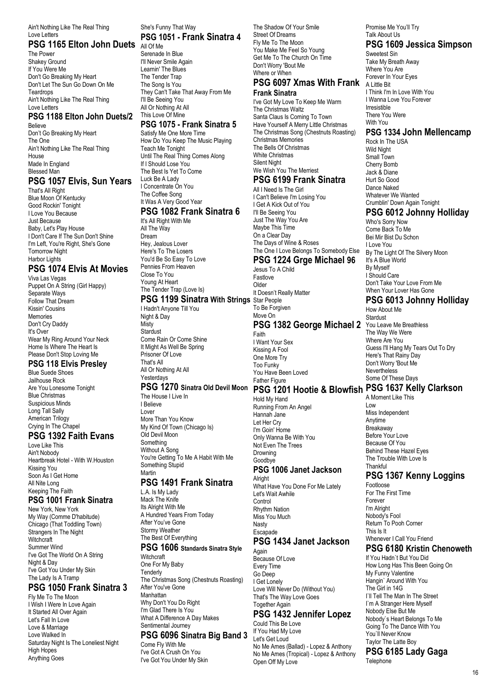Ain't Nothing Like The Real Thing Love Letters

### **PSG 1165 Elton John Duets**

The Power Shakey Ground If You Were Me Don't Go Breaking My Heart Don't Let The Sun Go Down On Me **Teardrops** Ain't Nothing Like The Real Thing Love Letters

#### **PSG 1188 Elton John Duets/2** Believe

Don't Go Breaking My Heart The One Ain't Nothing Like The Real Thing House Made In England Blessed Man

# **PSG 1057 Elvis, Sun Years**

That's All Right Blue Moon Of Kentucky Good Rockin' Tonight I Love You Because Just Because Baby, Let's Play House I Don't Care If The Sun Don't Shine I'm Left, You're Right, She's Gone Tomorrow Night Harbor Lights

# **PSG 1074 Elvis At Movies**

Viva Las Vegas Puppet On A String (Girl Happy) Separate Ways Follow That Dream Kissin' Cousins Memories Don't Cry Daddy It's Over Wear My Ring Around Your Neck Home Is Where The Heart Is Please Don't Stop Loving Me

### **PSG 118 Elvis Presley**

Blue Suede Shoes Jailhouse Rock Are You Lonesome Tonight Blue Christmas Suspicious Minds Long Tall Sally American Trilogy Crying In The Chapel

# **PSG 1392 Faith Evans**

Love Like This Ain't Nobody Heartbreak Hotel - With W.Houston Kissing You Soon As I Get Home All Nite Long Keeping The Faith

### **PSG 1001 Frank Sinatra**

New York, New York My Way (Comme D'habitude) Chicago (That Toddling Town) Strangers In The Night **Witchcraft** Summer Wind I've Got The World On A String Night & Day I've Got You Under My Skin The Lady Is A Tramp

# **PSG 1050 Frank Sinatra 3**

Fly Me To The Moon I Wish I Were In Love Again It Started All Over Again Let's Fall In Love Love & Marriage Love Walked In Saturday Night Is The Loneliest Night High Hopes Anything Goes

# She's Funny That Way **PSG 1051 - Frank Sinatra 4**

All Of Me Serenade In Blue I'll Never Smile Again Learnin' The Blues The Tender Trap The Song Is You They Can't Take That Away From Me I'll Be Seeing You All Or Nothing At All This Love Of Mine **PSG 1075 - Frank Sinatra 5**

#### Satisfy Me One More Time How Do You Keep The Music Playing Teach Me Tonight Until The Real Thing Comes Along If I Should Lose You The Best Is Yet To Come Luck Be A Lady

I Concentrate On You The Coffee Song It Was A Very Good Year **PSG 1082 Frank Sinatra 6** It's All Right With Me

All The Way Dream Hey, Jealous Lover Here's To The Losers You'd Be So Easy To Love Pennies From Heaven Close To You Young At Heart The Tender Trap (Love Is)

### **PSG 1199 Sinatra With Strings** Star People

I Hadn't Anyone Till You Night & Day Misty **Stardust** Come Rain Or Come Shine It Might As Well Be Spring Prisoner Of Love That's All All Or Nothing At All Yesterdays

# **PSG 1270 Sinatra Old Devil Moon**

The House I Live In I Believe Lover More Than You Know My Kind Of Town (Chicago Is) Old Devil Moon Something Without A Song You're Getting To Me A Habit With Me Something Stupid Martin

# **PSG 1491 Frank Sinatra**

L.A. Is My Lady Mack The Knife Its Alright With Me A Hundred Years From Today After You've Gone Stormy Weather The Best Of Everything

### **PSG 1606 Standards Sinatra Style**

**Witchcraft** One For My Baby **Tenderly** The Christmas Song (Chestnuts Roasting) After You've Gone Manhattan Why Don't You Do Right I'm Glad There Is You What A Difference A Day Makes Sentimental Journey

### **PSG 6096 Sinatra Big Band 3**

Come Fly With Me I've Got A Crush On You I've Got You Under My Skin The Shadow Of Your Smile Street Of Dreams Fly Me To The Moon You Make Me Feel So Young Get Me To The Church On Time Don't Worry 'Bout Me Where or When

#### **PSG 6097 Xmas With Frank Frank Sinatra**

I've Got My Love To Keep Me Warm The Christmas Waltz Santa Claus Is Coming To Town Have Yourself A Merry Little Christmas The Christmas Song (Chestnuts Roasting) Christmas Memories The Bells Of Christmas White Christmas Silent Night We Wish You The Merriest

#### **PSG 6199 Frank Sinatra** All I Need Is The Girl

I Can't Believe I'm Losing You I Get A Kick Out of You I'll Be Seeing You Just The Way You Are Maybe This Time On a Clear Day The Days of Wine & Roses The One I Love Belongs To Somebody Else **PSG 1224 Grge Michael 96**

Jesus To A Child

Fastlove Older It Doesn't Really Matter To Be Forgiven Move On **PSG 1382 George Michael 2** Faith I Want Your Sex

Kissing A Fool One More Try Too Funky You Have Been Loved Father Figure

Hold My Hand Running From An Angel Hannah Jane Let Her Cry I'm Goin' Home Only Wanna Be With You Not Even The Trees Drowning **Goodbye PSG 1006 Janet Jackson**

# Alright

What Have You Done For Me Lately Let's Wait Awhile Control Rhythm Nation Miss You Much Nasty **Escapade PSG 1434 Janet Jackson**

Again Because Of Love Every Time Go Deep I Get Lonely Love Will Never Do (Without You) That's The Way Love Goes Together Again

#### **PSG 1432 Jennifer Lopez** Could This Be Love

If You Had My Love Let's Get Loud No Me Ames (Ballad) - Lopez & Anthony No Me Ames (Tropical) - Lopez & Anthony Open Off My Love

Promise Me You'll Try Talk About Us **PSG 1609 Jessica Simpson**

Sweetest Sin Take My Breath Away Where You Are Forever In Your Eyes A Little Bit I Think I'm In Love With You I Wanna Love You Forever Irresistible There You Were With You

### **PSG 1334 John Mellencamp**

Rock In The USA Wild Night Small Town Cherry Bomb Jack & Diane Hurt So Good Dance Naked Whatever We Wanted Crumblin' Down Again Tonight

# **PSG 6012 Johnny Holliday**

Who's Sorry Now Come Back To Me Bei Mir Bist Du Schon I Love You By The Light Of The Silvery Moon It's A Blue World By Myself I Should Care Don't Take Your Love From Me When Your Lover Has Gone

# **PSG 6013 Johnny Holliday**

How About Me Stardust You Leave Me Breathless The Way We Were Where Are You Guess I'll Hang My Tears Out To Dry Here's That Rainy Day Don't Worry 'Bout Me **Nevertheless** Some Of These Days

# **PSG 1201 Hootie & Blowfish PSG 1637 Kelly Clarkson**

A Moment Like This Low Miss Independent Anytime Breakaway Before Your Love Because Of You Behind These Hazel Eves The Trouble With Love Is **Thankful** 

# **PSG 1367 Kenny Loggins**

Footloose For The First Time Forever I'm Alright Nobody's Fool Return To Pooh Corner This Is It Whenever I Call You Friend

### **PSG 6180 Kristin Chenoweth**

If You Hadn`t But You Did How Long Has This Been Going On My Funny Valentine Hangin` Around With You The Girl in 14G I`ll Tell The Man In The Street I`m A Stranger Here Myself Nobody Else But Me Nobody`s Heart Belongs To Me Going To The Dance With You You`ll Never Know Taylor The Latte Boy **PSG 6185 Lady Gaga**

**Telephone**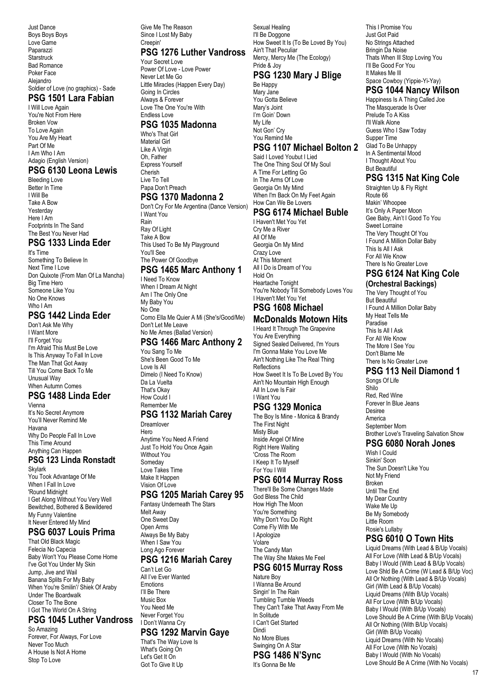Just Dance Boys Boys Boys Love Game Panarazzi **Starstruck** Bad Romance Poker Face Alejandro Soldier of Love (no graphics) - Sade

### **PSG 1501 Lara Fabian**

I Will Love Again You're Not From Here Broken Vow To Love Again You Are My Heart Part Of Me I Am Who I Am Adagio (English Version)

**PSG 6130 Leona Lewis** Bleeding Love Better In Time I Will Be Take A Bow Yesterday Here I Am Footprints In The Sand

#### The Best You Never Had **PSG 1333 Linda Eder**

It's Time Something To Believe In Next Time I Love Don Quixote (From Man Of La Mancha) Big Time Hero Someone Like You No One Knows Who I Am

# **PSG 1442 Linda Eder**

Don't Ask Me Why I Want More I'll Forget You I'm Afraid This Must Be Love Is This Anyway To Fall In Love The Man That Got Away Till You Come Back To Me Unusual Way When Autumn Comes

#### **PSG 1488 Linda Eder** Vienna

It's No Secret Anymore You'll Never Remind Me Havana Why Do People Fall In Love This Time Around Anything Can Happen

# **PSG 123 Linda Ronstadt**

Skylark You Took Advantage Of Me When I Fall In Love 'Round Midnight I Get Along Without You Very Well Bewitched, Bothered & Bewildered My Funny Valentine It Never Entered My Mind

# **PSG 6037 Louis Prima**

That Old Black Magic Felecia No Capecia Baby Won't You Please Come Home I've Got You Under My Skin Jump, Jive and Wail Banana Splits For My Baby When You're Smilin'/ Shiek Of Araby Under The Boardwalk Closer To The Bone I Got The World On A String

# **PSG 1045 Luther Vandross**

So Amazing Forever, For Always, For Love Never Too Much A House Is Not A Home Stop To Love

Give Me The Reason Since I Lost My Baby Creepin'

# **PSG 1276 Luther Vandross**

Your Secret Love Power Of Love - Love Power Never Let Me Go Little Miracles (Happen Every Day) Going In Circles Always & Forever Love The One You're With Endless Love

# **PSG 1035 Madonna**

Who's That Girl Material Girl Like A Virgin Oh, Father Express Yourself Cherish Live To Tell Papa Don't Preach **PSG 1370 Madonna 2** Don't Cry For Me Argentina (Dance Version) I Want You

Rain Ray Of Light Take A Bow This Used To Be My Playground You'll See The Power Of Goodbye

# **PSG 1465 Marc Anthony 1**

I Need To Know When I Dream At Night Am I The Only One My Baby You No One Como Ella Me Quier A Mi (She's/Good/Me) Don't Let Me Leave No Me Ames (Ballad Version)

### **PSG 1466 Marc Anthony 2**

You Sang To Me She's Been Good To Me Love Is All Dimelo (I Need To Know) Da La Vuelta That's Okay How Could I Remember Me

### **PSG 1132 Mariah Carey**

Dreamlover Hero Anytime You Need A Friend Just To Hold You Once Again Without You Someday Love Takes Time Make It Happen Vision Of Love

### **PSG 1205 Mariah Carey 95**

Fantasy Underneath The Stars Melt Away One Sweet Day Open Arms Always Be My Baby When I Saw You Long Ago Forever

# **PSG 1216 Mariah Carey**

Can't Let Go All I've Ever Wanted Emotions I'll Be There Music Box You Need Me Never Forget You I Don't Wanna Cry **PSG 1292 Marvin Gaye**

That's The Way Love Is What's Going On Let's Get It On Got To Give It Up

Sexual Healing I'll Be Doggone How Sweet It Is (To Be Loved By You) Ain't That Peculiar Mercy, Mercy Me (The Ecology) Pride & Joy

#### **PSG 1230 Mary J Blige** Be Happy

Mary Jane You Gotta Believe Mary's Joint I'm Goin' Down My Life Not Gon' Cry You Remind Me

# **PSG 1107 Michael Bolton 2**

Said I Loved Youbut I Lied The One Thing Soul Of My Soul A Time For Letting Go In The Arms Of Love Georgia On My Mind When I'm Back On My Feet Again How Can We Be Lovers

# **PSG 6174 Michael Buble**

I Haven't Met You Yet Cry Me a River All Of Me Georgia On My Mind Crazy Love At This Moment All I Do is Dream of You Hold On Heartache Tonight You're Nobody Till Somebody Loves You I Haven't Met You Yet

# **PSG 1608 Michael**

# **McDonalds Motown Hits**

I Heard It Through The Grapevine You Are Everything Signed Sealed Delivered, I'm Yours I'm Gonna Make You Love Me Ain't Nothing Like The Real Thing **Reflections** How Sweet It Is To Be Loved By You Ain't No Mountain High Enough All In Love Is Fair I Want You

# **PSG 1329 Monica**

The Boy Is Mine - Monica & Brandy The First Night Misty Blue Inside Angel Of Mine Right Here Waiting 'Cross The Room I Keep It To Myself For You I Will

# **PSG 6014 Murray Ross**

There'll Be Some Changes Made God Bless The Child How High The Moon You're Something Why Don't You Do Right Come Fly With Me I Apologize Volare The Candy Man The Way She Makes Me Feel

#### **PSG 6015 Murray Ross** Nature Boy

I Wanna Be Around Singin' In The Rain Tumbling Tumble Weeds They Can't Take That Away From Me In Solitude I Can't Get Started Dindi No More Blues Swinging On A Star **PSG 1486 N'Sync** It's Gonna Be Me

This I Promise You Just Got Paid No Strings Attached Bringin Da Noise Thats When Ill Stop Loving You I'll Be Good For You It Makes Me Ill Space Cowboy (Yippie-Yi-Yay)

# **PSG 1044 Nancy Wilson**

Happiness Is A Thing Called Joe The Masquerade Is Over Prelude To A Kiss I'll Walk Alone Guess Who I Saw Today Supper Time Glad To Be Unhappy In A Sentimental Mood I Thought About You But Beautiful

## **PSG 1315 Nat King Cole**

Straighten Up & Fly Right Route 66 Makin' Whoopee It's Only A Paper Moon Gee Baby, Ain't I Good To You Sweet Lorraine The Very Thought Of You I Found A Million Dollar Baby This Is All I Ask For All We Know There Is No Greater Love

# **PSG 6124 Nat King Cole**

**(Orchestral Backings)** The Very Thought of You But Beautiful I Found A Million Dollar Baby My Heat Tells Me Paradise This Is All I Ask For All We Know The More I See You Don't Blame Me There Is No Greater Love

# **PSG 113 Neil Diamond 1**

Songs Of Life Shilo Red, Red Wine Forever In Blue Jeans Desiree America September Morn Brother Love's Traveling Salvation Show

# **PSG 6080 Norah Jones**

Wish I Could Sinkin' Soon The Sun Doesn't Like You Not My Friend Broken Until The End My Dear Country Wake Me Up Be My Somebody Little Room Rosie's Lullaby

# **PSG 6010 O Town Hits**

Liquid Dreams (With Lead & B/Up Vocals) All For Love (With Lead & B/Up Vocals) Baby I Would (With Lead & B/Up Vocals) Love Shld Be A Crime (W Lead & B/Up Voc) All Or Nothing (With Lead & B/Up Vocals) Girl (With Lead & B/Up Vocals) Liquid Dreams (With B/Up Vocals) All For Love (With B/Up Vocals) Baby I Would (With B/Up Vocals) Love Should Be A Crime (With B/Up Vocals) All Or Nothing (With B/Up Vocals) Girl (With B/Up Vocals) Liquid Dreams (With No Vocals) All For Love (With No Vocals) Baby I Would (With No Vocals) Love Should Be A Crime (With No Vocals)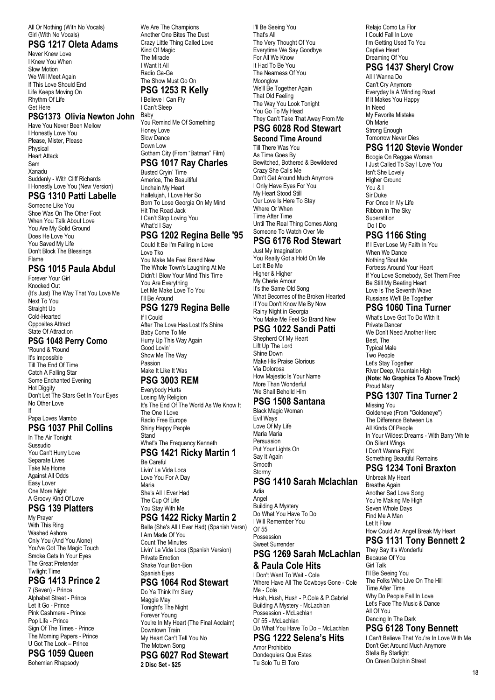All Or Nothing (With No Vocals) Girl (With No Vocals)

### **PSG 1217 Oleta Adams**

Never Knew Love I Knew You When Slow Motion We Will Meet Again If This Love Should End Life Keeps Moving On Rhythm Of Life Get Here

### **PSG1373 Olivia Newton John**

Have You Never Been Mellow I Honestly Love You Please, Mister, Please Physical Heart Attack Sam Xanadu Suddenly - With Cliff Richards I Honestly Love You (New Version)

# **PSG 1310 Patti Labelle**

Someone Like You Shoe Was On The Other Foot When You Talk About Love You Are My Solid Ground Does He Love You You Saved My Life Don't Block The Blessings Flame

# **PSG 1015 Paula Abdul**

Forever Your Girl Knocked Out (It's Just) The Way That You Love Me Next To You Straight Up Cold-Hearted Opposites Attract State Of Attraction

# **PSG 1048 Perry Como**

'Round & 'Round It's Impossible Till The End Of Time Catch A Falling Star Some Enchanted Evening Hot Diggity Don't Let The Stars Get In Your Eyes No Other Love If Papa Loves Mambo

#### **PSG 1037 Phil Collins** In The Air Tonight

Sussudio You Can't Hurry Love Separate Lives Take Me Home Against All Odds Easy Lover One More Night A Groovy Kind Of Love

### **PSG 139 Platters**

My Prayer With This Ring Washed Ashore Only You (And You Alone) You've Got The Magic Touch Smoke Gets In Your Eyes The Great Pretender Twilight Time

# **PSG 1413 Prince 2**

7 (Seven) - Prince Alphabet Street - Prince Let It Go - Prince Pink Cashmere - Prince Pop Life - Prince Sign Of The Times - Prince The Morning Papers - Prince U Got The Look – Prince

# **PSG 1059 Queen**

Bohemian Rhapsody

We Are The Champions Another One Bites The Dust Crazy Little Thing Called Love Kind Of Magic The Miracle I Want It All Radio Ga-Ga The Show Must Go On **PSG 1253 R Kelly** I Believe I Can Fly I Can't Sleep

Baby You Remind Me Of Something Honey Love Slow Dance Down Low Gotham City (From "Batman" Film) **PSG 1017 Ray Charles**

Busted Cryin' Time America, The Beauitiful Unchain My Heart Hallelujah, I Love Her So Born To Lose Georgia On My Mind Hit The Road Jack I Can't Stop Loving You What'd I Say

# **PSG 1202 Regina Belle '95**

Could It Be I'm Falling In Love Love Tko You Make Me Feel Brand New The Whole Town's Laughing At Me Didn't I Blow Your Mind This Time You Are Everything Let Me Make Love To You I'll Be Around

#### **PSG 1279 Regina Belle** If I Could

After The Love Has Lost It's Shine Baby Come To Me Hurry Up This Way Again Good Lovin' Show Me The Way Passion Make It Like It Was

# **PSG 3003 REM**

Everybody Hurts Losing My Religion It's The End Of The World As We Know It The One I Love Radio Free Europe Shiny Happy People **Stand** What's The Frequency Kenneth

# **PSG 1421 Ricky Martin 1**

Be Careful Livin' La Vida Loca Love You For A Day Maria She's All I Ever Had The Cup Of Life You Stay With Me

### **PSG 1422 Ricky Martin 2**

Bella (She's All I Ever Had) (Spanish Versn) I Am Made Of You Count The Minutes Livin' La Vida Loca (Spanish Version) Private Emotion Shake Your Bon-Bon Spanish Eyes

# **PSG 1064 Rod Stewart**

Do Ya Think I'm Sexy Maggie May Tonight's The Night Forever Young You're In My Heart (The Final Acclaim) Downtown Train My Heart Can't Tell You No The Motown Song **PSG 6027 Rod Stewart**

#### **2 Disc Set - \$25**

I'll Be Seeing You That's All The Very Thought Of You Everytime We Say Goodbye For All We Know It Had To Be You The Nearness Of You Moonglow We'll Be Together Again That Old Feeling The Way You Look Tonight You Go To My Head They Can't Take That Away From Me

#### **PSG 6028 Rod Stewart Second Time Around**

Till There Was You As Time Goes By Bewitched, Bothered & Bewildered Crazy She Calls Me Don't Get Around Much Anymore I Only Have Eyes For You My Heart Stood Still Our Love Is Here To Stay Where Or When Time After Time Until The Real Thing Comes Along Someone To Watch Over Me

# **PSG 6176 Rod Stewart**

Just My Imagination You Really Got a Hold On Me Let It Be Me Higher & Higher My Cherie Amour It's the Same Old Song What Becomes of the Broken Hearted If You Don't Know Me By Now Rainy Night in Georgia You Make Me Feel So Brand New

# **PSG 1022 Sandi Patti**

Shepherd Of My Heart Lift Up The Lord Shine Down Make His Praise Glorious Via Dolorosa How Majestic Is Your Name More Than Wonderful We Shall Beholld Him

### **PSG 1508 Santana**

Black Magic Woman Evil Ways Love Of My Life Maria Maria Persuasion Put Your Lights On Say It Again Smooth Stormy

# **PSG 1410 Sarah Mclachlan**

Adia Angel Building A Mystery Do What You Have To Do I Will Remember You Ol' 55 Possession Sweet Surrender

# **PSG 1269 Sarah McLachlan & Paula Cole Hits**

I Don't Want To Wait - Cole Where Have All The Cowboys Gone - Cole Me - Cole Hush, Hush, Hush - P.Cole & P.Gabriel Building A Mystery - McLachlan Possession - McLachlan Ol' 55 - McLachlan Do What You Have To Do – McLachlan **PSG 1222 Selena's Hits**

Amor Prohibido Dondequiera Que Estes Tu Solo Tu El Toro

Relajo Como La Flor I Could Fall In Love I'm Getting Used To You Captive Heart Dreaming Of You

# **PSG 1437 Sheryl Crow**

All I Wanna Do Can't Cry Anymore Everyday Is A Winding Road If It Makes You Happy In Need manced<br>My Favorite Mistake Oh Marie Strong Enough Tomorrow Never Dies

# **PSG 1120 Stevie Wonder**

Boogie On Reggae Woman I Just Called To Say I Love You Isn't She Lovely Higher Ground You & I Sir Duke For Once In My Life Ribbon In The Sky **Superstition** Do I Do

# **PSG 1166 Sting**

If I Ever Lose My Faith In You When We Dance Nothing 'Bout Me Fortress Around Your Heart If You Love Somebody, Set Them Free Be Still My Beating Heart Love Is The Seventh Wave Russians We'll Be Together

### **PSG 1060 Tina Turner**

What's Love Got To Do With It Private Dancer We Don't Need Another Hero Best, The Typical Male Two People Let's Stay Together River Deep, Mountain High **(Note: No Graphics To Above Track)** .<br>Proud Man

# **PSG 1307 Tina Turner 2**

Missing You Goldeneye (From "Goldeneye") The Difference Between Us All Kinds Of People In Your Wildest Dreams - With Barry White On Silent Wings I Don't Wanna Fight Something Beautiful Remains

### **PSG 1234 Toni Braxton**

Unbreak My Heart Breathe Again Another Sad Love Song You're Making Me High Seven Whole Days Find Me A Man Let It Flow How Could An Angel Break My Heart

#### **PSG 1131 Tony Bennett 2** They Say It's Wonderful

Because Of You Girl Talk I'll Be Seeing You The Folks Who Live On The Hill Time After Time Why Do People Fall In Love Let's Face The Music & Dance All Of You Dancing In The Dark

# **PSG 6128 Tony Bennett**

I Can't Believe That You're In Love With Me Don't Get Around Much Anymore Stella By Starlight On Green Dolphin Street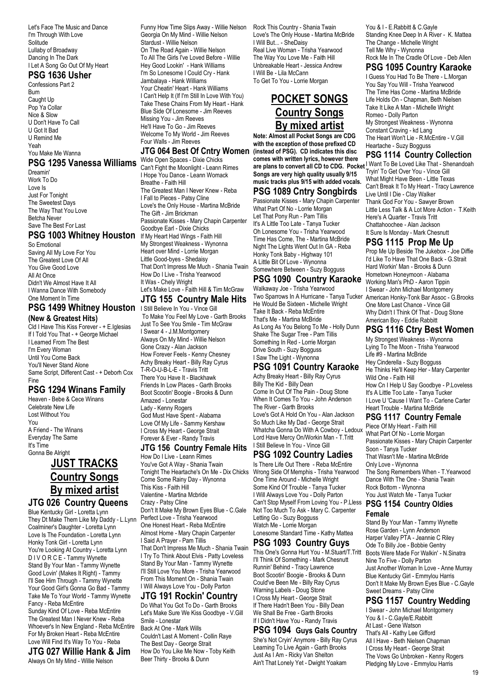Let's Face The Music and Dance I'm Through With Love Solitude Lullaby of Broadway Dancing In The Dark I Let A Song Go Out Of My Heart

# **PSG 1636 Usher**

Confessions Part 2 Burn Caught Up Pop Ya Collar Nice & Slow U Don't Have To Call U Got It Bad U Remind Me Yeah You Make Me Wanna **PSG 1295 Vanessa Williams**

Dreamin' Work To Do Love Is Just For Tonight The Sweetest Days The Way That You Love Betcha Never Save The Best For Last

#### So Emotional Saving All My Love For You The Greatest Love Of All You Give Good Love All At Once Didn't We Almost Have It All I Wanna Dance With Somebody One Moment In Time

### PSG 1499 Whitney Houston I Still Believe In You - Vince Gill **(New & Greatest Hits)**

Cld I Have This Kiss Forever - + E.Iglesias If I Told You That - + George Michael I Learned From The Best I'm Every Woman Until You Come Back You'll Never Stand Alone Same Script, Different Cast - + Deborh Cox Fine

# **PSG 1294 Winans Family**

Heaven - Bebe & Cece Winans Celebrate New Life Lost Without You You A Friend - The Winans Everyday The Same It's Time Gonna Be Alright

# **JUST TRACKS Country Songs By mixed artist**

# **JTG 026 Country Queens**

Blue Kentucky Girl - Loretta Lynn They Dt Make Them Like My Daddy - L.Lynn Coalminer's Daughter - Loretta Lynn Love Is The Foundation - Loretta Lynn Honky Tonk Girl - Loretta Lynn You're Looking At Country - Loretta Lynn D I V O R C E - Tammy Wynette Stand By Your Man - Tammy Wynette Good Lovin' (Makes It Right) - Tammy I'll See Him Through - Tammy Wynette Your Good Girl's Gonna Go Bad - Tammy Take Me To Your World - Tammy Wynette Fancy - Reba McEntire

Sunday Kind Of Love - Reba McEntire The Greatest Man I Never Knew - Reba Whoever's In New England - Reba McEntire For My Broken Heart - Reba McEntire Love Will Find It's Way To You - Reba

**JTG 027 Willie Hank & Jim** Always On My Mind - Willie Nelson

Funny How Time Slips Away - Willie Nelson Georgia On My Mind - Willie Nelson Stardust - Willie Nelson On The Road Again - Willie Nelson To All The Girls I've Loved Before - Willie Hey Good Lookin' - Hank Williams I'm So Lonesome I Could Cry - Hank Jambalaya - Hank Williams Your Cheatin' Heart - Hank Williams I Can't Help It (If I'm Still In Love With You) Take These Chains From My Heart - Hank Blue Side Of Lonesome - Jim Reeves Missing You - Jim Reeves He'll Have To Go - Jim Reeves Welcome To My World - Jim Reeves Four Walls - Jim Reeves

### **JTG 064 Best Of Cntry Women**

**PSG 1003 Whitney Houston** If My Heart Had Wings - Faith Hill Wide Open Spaces - Dixie Chicks Can't Fight the Moonlight - Leann Rimes I Hope You Dance - Leann Womack Breathe - Faith Hill The Greatest Man I Never Knew - Reba I Fall to Pieces - Patsy Cline Love's the Only House - Martina McBride The Gift - Jim Brickman Passionate Kisses - Mary Chapin Carpenter Goodbye Earl - Dixie Chicks My Strongest Weakness - Wynonna Heart over Mind - Lorrie Morgan Little Good-byes - Shedaisy That Don't Impress Me Much - Shania Twain How Do I Live - Trisha Yearwood It Was - Chely Wright Let's Make Love - Faith Hill & Tim McGraw

# **JTG 155 Country Male Hits**

To Make You Feel My Love - Garth Brooks Just To See You Smile - Tim McGraw I Swear 4 - J.M.Montgomery Always On My Mind - Willie Nelson Gone Crazy - Alan Jackson How Forever Feels - Kenny Chesney Achy Breaky Heart - Billy Ray Cyrus T-R-O-U-B-L-E - Travis Tritt There You Have It - Blackhawk Friends In Low Places - Garth Brooks Boot Scootin' Boogie - Brooks & Dunn Amazed - Lonestar Lady - Kenny Rogers God Must Have Spent - Alabama Love Of My Life - Sammy Kershaw I Cross My Heart - George Strait Forever & Ever - Randy Travis

### **JTG 156 Country Female Hits**

How Do I Live - Leann Rimes You've Got A Way - Shania Twain Tonight The Heartache's On Me - Dix Chicks Come Some Rainy Day - Wynonna This Kiss - Faith Hill Valentine - Martina Mcbride Crazy - Patsy Cline Don't It Make My Brown Eyes Blue - C.Gale Perfect Love - Trisha Yearwood One Honest Heart - Reba McEntire Almost Home - Mary Chapin Carpenter I Said A Prayer - Pam Tillis That Don't Impress Me Much - Shania Twain I Try To Think About Elvis - Patty Loveless Stand By Your Man - Tammy Wynette I'll Still Love You More - Trisha Yearwood From This Moment On - Shania Twain I Will Always Love You - Dolly Parton

### **JTG 191 Rockin' Country**

Do What You Got To Do - Garth Brooks Let's Make Sure We Kiss Goodbye - V.Gill Smile - Lonestar Back At One - Mark Wills Couldn't Last A Moment - Collin Raye The Best Day - George Strait How Do You Like Me Now - Toby Keith Beer Thirty - Brooks & Dunn

Rock This Country - Shania Twain Love's The Only House - Martina McBride I Will But... - SheDaisy Real Live Woman - Trisha Yearwood The Way You Love Me - Faith Hill Unbreakable Heart - Jessica Andrew I Will Be - Lila McCann To Get To You - Lorrie Morgan

# **POCKET SONGS Country Songs By mixed artist**

**Note: Almost all Pocket Songs are CDG with the exception of those prefixed CD (instead of PSG). CD indicates this disc comes with written lyrics, however there are plans to convert all CD to CDG. Pocket**  I Want To Be Loved Like That - Shenandoah **Songs are very high quality usually 9/15 music tracks plus 9/15 with added vocals. PSG 1089 Cntry Songbirds**

Passionate Kisses - Mary Chapin Carpenter What Part Of No - Lorrie Morgan Let That Pony Run - Pam Tillis It's A Little Too Late - Tanya Tucker Oh Lonesome You - Trisha Yearwood Time Has Come, The - Martina McBride Night The Lights Went Out In GA - Reba Honky Tonk Baby - Highway 101 A Little Bit Of Love - Wynonna Somewhere Between - Suzy Bogguss

# **PSG 1090 Country Karaoke**

Walkaway Joe - Trisha Yearwood Two Sparrows In A Hurricane - Tanya Tucker He Would Be Sixteen - Michelle Wright Take It Back - Reba McEntire That's Me - Martina McBride As Long As You Belong To Me - Holly Dunn Shake The Sugar Tree - Pam Tillis Something In Red - Lorrie Morgan Drive South - Suzy Bogguss I Saw The Light - Wynonna

# **PSG 1091 Country Karaoke**

Achy Breaky Heart - Billy Ray Cyrus Billy The Kid - Billy Dean Come In Out Of The Pain - Doug Stone When It Comes To You - John Anderson The River - Garth Brooks Love's Got A Hold On You - Alan Jackson So Much Like My Dad - George Strait Whatcha Gonna Do With A Cowboy - Ledoux Lord Have Mercy On/Workin Man - T.Tritt I Still Believe In You - Vince Gill

# **PSG 1092 Country Ladies**

Is There Life Out There - Reba McEntire Wrong Side Of Memphis - Trisha Yearwood One Time Around - Michelle Wright Some Kind Of Trouble - Tanya Tucker I Will Always Love You - Dolly Parton Can't Stop Myself From Loving You - P.Lless **PSG 1154 Country Oldies**  Not Too Much To Ask - Mary C. Carpenter Letting Go - Suzy Bogguss Watch Me - Lorrie Morgan Lonesome Standard Time - Kathy Mattea

# **PSG 1093 Country Guys**

This One's Gonna Hurt You - M.Stuart/T.Tritt I'll Think Of Something - Mark Chesnutt Runnin' Behind - Tracy Lawrence Boot Scootin' Boogie - Brooks & Dunn Could've Been Me - Billy Ray Cyrus Warning Labels - Doug Stone I Cross My Heart - George Strait If There Hadn't Been You - Billy Dean We Shall Be Free - Garth Brooks If I Didn't Have You - Randy Travis

# **PSG 1094 Guys Gals Country** She's Not Cryin' Anymore - Billy Ray Cyrus

Learning To Live Again - Garth Brooks Just As I Am - Ricky Van Shelton Ain't That Lonely Yet - Dwight Yoakam

You & I - E.Rabbitt & C.Gayle Standing Knee Deep In A River - K. Mattea The Change - Michelle Wright Tell Me Why - Wynonna Rock Me In The Cradle Of Love - Deb Allen

# **PSG 1095 Country Karaoke**

I Guess You Had To Be There - L.Morgan You Say You Will - Trisha Yearwood The Time Has Come - Martina McBride Life Holds On - Chapman, Beth Nielsen Take It Like A Man - Michelle Wright Romeo - Dolly Parton My Strongest Weakness - Wynonna Constant Craving - kd Lang The Heart Won't Lie - R.McEntire - V.Gill Heartache - Suzy Bogguss

# **PSG 1114 Country Collection**

Tryin' To Get Over You - Vince Gill What Might Have Been - Little Texas Can't Break It To My Heart - Tracy Lawrence Live Until I Die - Clay Walker Thank God For You - Sawyer Brown Little Less Talk & A Lot More Action - T.Keith Here's A Quarter - Travis Tritt Chattahoochee - Alan Jackson It Sure Is Monday - Mark Chesnutt

### **PSG 1115 Prop Me Up**

Prop Me Up Beside The Jukebox - Joe Diffie I'd Like To Have That One Back - G.Strait Hard Workin' Man - Brooks & Dunn Hometown Honeymoon - Alabama Working Man's PhD - Aaron Tippin I Swear - John Michael Montgomery American Honky-Tonk Bar Assoc - G.Brooks One More Last Chance - Vince Gill Why Didn't I Think Of That - Doug Stone American Boy - Eddie Rabbitt

### **PSG 1116 Ctry Best Women**

My Strongest Weakness - Wynonna Lying To The Moon - Trisha Yearwood Life #9 - Martina McBride Hey Cinderella - Suzy Bogguss He Thinks He'll Keep Her - Mary Carpenter Wild One - Faith Hill How Cn I Help U Say Goodbye - P.Loveless It's A Little Too Late - Tanya Tucker I Love U 'Cause I Want To - Carlene Carter Heart Trouble - Martina McBride

# **PSG 1117 Country Female**

Piece Of My Heart - Faith Hill What Part Of No - Lorrie Morgan Passionate Kisses - Mary Chapin Carpenter Soon - Tanya Tucker That Wasn't Me - Martina McBride Only Love - Wynonna The Song Remembers When - T.Yearwood Dance With The One - Shania Twain Rock Bottom - Wynonna

# You Just Watch Me - Tanya Tucker **Female**

Stand By Your Man - Tammy Wynette Rose Garden - Lynn Anderson Harper Valley PTA - Jeannie C Riley Ode To Billy Joe - Bobbie Gentry Boots Were Made For Walkin' - N.Sinatra Nine To Five - Dolly Parton Just Another Woman In Love - Anne Murray Blue Kentucky Girl - Emmylou Harris Don't It Make My Brown Eyes Blue - C.Gayle Sweet Dreams - Patsy Cline

# **PSG 1157 Country Wedding**

I Swear - John Michael Montgomery You & I - C.Gayle/E.Rabbitt At Last - Gene Watson That's All - Kathy Lee Gifford All I Have - Beth Nielsen Chapman I Cross My Heart - George Strait The Vows Go Unbroken - Kenny Rogers Pledging My Love - Emmylou Harris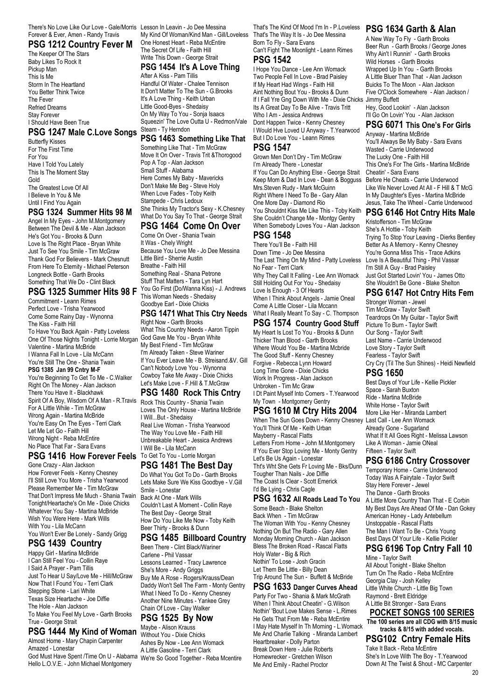There's No Love Like Our Love - Gale/Morris Lesson In Leavin - Jo Dee Messina Forever & Ever, Amen - Randy Travis

# **PSG 1212 Country Fever M**

The Keeper Of The Stars Baby Likes To Rock It Pickup Man This Is Me Storm In The Heartland You Better Think Twice The Fever Refried Dreams Stay Forever I Should Have Been True

### **PSG 1247 Male C.Love Songs**

Butterfly Kisses For The First Time For You Have I Told You Lately This Is The Moment Stay Gold The Greatest Love Of All I Believe In You & Me Until I Find You Again

#### **PSG 1324 Summer Hits 98 M**

Angel In My Eyes - John M.Montgomery Between The Devil & Me - Alan Jackson He's Got You - Brooks & Dunn Love Is The Right Place - Bryan White Just To See You Smile - Tim McGraw Thank God For Believers - Mark Chesnutt From Here To Eternity - Michael Peterson Longneck Bottle - Garth Brooks Something That We Do - Clint Black

# **PSG 1325 Summer Hits 98 F**

Commitment - Leann Rimes Perfect Love - Trisha Yearwood Come Some Rainy Day - Wynonna The Kiss - Faith Hill To Have You Back Again - Patty Loveless One Of Those Nights Tonight - Lorrie Morgan Valentine - Martina McBride I Wanna Fall In Love - Lila McCann You're Still The One - Shania Twain **PSG 1385 Jan 99 Cntry M-F** You're Beginning To Get To Me - C.Walker Right On The Money - Alan Jackson There You Have It - Blackhawk Spirit Of A Boy, Wisdom Of A Man - R.Travis For A Little While - Tim McGraw Wrong Again - Martina McBride You're Easy On The Eyes - Terri Clark Let Me Let Go - Faith Hill Wrong Night - Reba McEntire No Place That Far - Sara Evans

### **PSG 1416 How Forever Feels** To Get To You - Lorrie Morgan

Gone Crazy - Alan Jackson How Forever Feels - Kenny Chesney I'll Still Love You More - Trisha Yearwood Please Remember Me - Tim McGraw That Don't Impress Me Much - Shania Twain Tonight/Heartache's On Me - Dixie Chicks Whatever You Say - Martina McBride Wish You Were Here - Mark Wills With You - Lila McCann

You Won't Ever Be Lonely - Sandy Grigg

# **PSG 1439 Country**

Happy Girl - Martina McBride I Can Still Feel You - Collin Raye I Said A Prayer - Pam Tillis Just To Hear U Say/Love Me - Hill/McGraw Now That I Found You - Terri Clark Stepping Stone - Lari White Texas Size Heartache - Joe Diffie The Hole - Alan Jackson To Make You Feel My Love - Garth Brooks True - George Strait

# **PSG 1444 My Kind of Woman**

Almost Home - Mary Chapin Carpenter Amazed - Lonestar God Must Have Spent /Time On U - Alabama We're So Good Together - Reba Mcentire Hello L.O.V.E. - John Michael Montgomery

My Kind Of Woman/Kind Man - Gill/Loveless One Honest Heart - Reba McEntire The Secret Of Life - Faith Hill Write This Down - George Strait

### **PSG 1454 It's A Love Thing**

After A Kiss - Pam Tillis Handful Of Water - Chalee Tennison It Don't Matter To The Sun - G.Brooks It's A Love Thing - Keith Urban Little Good-Byes - Shedaisy On My Way To You - Sonja Isaacs Squeezin' The Love Outta U - Redmon/Vale Steam - Ty Herndon

# **PSG 1463 Something Like That**

Something Like That - Tim McGraw Move It On Over - Travis Trit &Thorogood Pop A Top - Alan Jackson Small Stuff - Alabama Here Comes My Baby - Mavericks Don't Make Me Beg - Steve Holy When Love Fades - Toby Keith Stampede - Chris Ledoux She Thinks My Tractor's Sexy - K.Chesney What Do You Say To That - George Strait

# **PSG 1464 Come On Over**

Come On Over - Shania Twain It Was - Chely Wright Because You Love Me - Jo Dee Messina Little Bird - Sherrie Austin Breathe - Faith Hill Something Real - Shana Petrone Stuff That Matters - Tara Lyn Hart You Go First (Do/Wanna Kiss) - J. Andrews This Woman Needs - Shedaisy Goodbye Earl - Dixie Chicks

#### **PSG 1471 What This Ctry Needs** Right Now - Garth Brooks

What This Country Needs - Aaron Tippin God Gave Me You - Bryan White My Best Friend - Tim McGraw I'm Already Taken - Steve Wariner If You Ever Leave Me - B. Streisand.&V. Gill Can't Nobody Love You - Wynonna Cowboy Take Me Away - Dixie Chicks Let's Make Love - F.Hill & T.McGraw

### **PSG 1480 Rock This Cntry**

Rock This Country - Shania Twain Loves The Only House - Martina McBride I Will...But - Shedaisy Real Live Woman - Trisha Yearwood The Way You Love Me - Faith Hill Unbreakable Heart - Jessica Andrews I Will Be - Lila McCann

### **PSG 1481 The Best Day**

Do What You Got To Do - Garth Brooks Lets Make Sure We Kiss Goodbye - V.Gill Smile - Lonestar Back At One - Mark Wills Couldn't Last A Moment - Collin Raye The Best Day - George Strait How Do You Like Me Now - Toby Keith Beer Thirty - Brooks & Dunn

# **PSG 1485 Billboard Country**

Been There - Clint Black/Wariner Carlene - Phil Vassar Lessons Learned - Tracy Lawrence She's More - Andy Griggs Buy Me A Rose - Rogers/Krauss/Dean Daddy Won't Sell The Farm - Monty Gentry What I Need To Do - Kenny Chesney Another Nine Minutes - Yankee Grey Chain Of Love - Clay Walker

# **PSG 1525 By Now**

Maybe - Alison Krauss Without You - Dixie Chicks Ashes By Now - Lee Ann Womack A Little Gasoline - Terri Clark

That's The Kind Of Mood I'm In - P.Loveless **PSG 1634 Garth & Alan** That's The Way It Is - Jo Dee Messina Born To Fly - Sara Evans

Can't Fight The Moonlight - Leann Rimes **PSG 1542**

I Hope You Dance - Lee Ann Womack Two People Fell In Love - Brad Paisley If My Heart Had Wings - Faith Hill Aint Nothing Bout You - Brooks & Dunn If I Fall Yre Gng Down With Me - Dixie Chicks Jimmy Buffett Its A Great Day To Be Alive - Travis Tritt Who I Am - Jessica Andrews Dont Happen Twice - Kenny Chesney I Would Hve Loved U Anyway - T.Yearwood But I Do Love You - Leann Rimes

### **PSG 1547**

Grown Men Don't Dry - Tim McGraw I'm Already There - Lonestar If You Can Do Anything Else - George Strait Keep Mom & Dad In Love - Dean & Bogguss Before He Cheats - Carrie Underwood Mrs.Steven Rudy - Mark McGuinn Right Where I Need To Be - Gary Allan One More Day - Diamond Rio You Shouldnt Kiss Me Like This - Toby Keith She Couldn't Change Me - Montgy Gentry When Somebody Loves You - Alan Jackson **PSG 1548**

There You'll Be - Faith Hill Down Time - Jo Dee Messina The Last Thing On My Mind - Patty Loveless No Fear - Terri Clark Why They Call It Falling - Lee Ann Womack Still Holding Out For You - Shedaisy Love Is Enough - 3 Of Hearts When I Think About Angels - Jamie Oneal Come A Little Closer - Lila Mccann What I Really Meant To Say - C. Thompson

### **PSG 1574 Country Good Stuff**

My Heart Is Lost To You - Brooks & Dunn Thicker Than Blood - Garth Brooks Where Would You Be - Martina Mcbride The Good Stuff - Kenny Chesney Forgive - Rebecca Lynn Howard Long Time Gone - Dixie Chicks Work In Progress - Alan Jackson Unbroken - Tim Mc Graw I Dt Paint Myself Into Corners - T.Yearwood My Town - Montgomery Gentry

# **PSG 1610 M Ctry Hits 2004**

When The Sun Goes Down - Kenny Chesney Last Call - Lee Ann Womack You'll Think Of Me - Keith Urban Mayberry - Rascal Flatts Letters From Home - John M.Montgomery If You Ever Stop Loving Me - Monty Gentry Let's Be Us Again - Lonestar Tht's Wht She Gets Fr Loving Me - Bks/Dunn Tougher Than Nails - Joe Diffie The Coast Is Clear - Scott Emerick I'd Be Lying - Chris Cagle

### **PSG 1632 All Roads Lead To You**

Some Beach - Blake Shelton Back When - Tim McGraw The Woman With You - Kenny Chesney Nothing On But The Radio - Gary Allen Monday Morning Church - Alan Jackson Bless The Broken Road - Rascal Flatts Holy Water - Big & Rich Nothin' To Lose - Josh Gracin Let Them Be Little - Billy Dean Trip Around The Sun - Buffett & McBride

# **PSG 1633 Danger Curves Ahead**

Party For Two - Shania & Mark McGrath When I Think About Cheatin' - G.Wilson Nothin' 'Bout Love Makes Sense - L.Rimes He Gets That From Me - Reba McEntire I May Hate Myself In Th Morning - L.Womack Me And Charlie Talking - Miranda Lambert Heartbreaker - Dolly Parton Break Down Here - Julie Roberts Homewrecker - Gretchen Wilson Me And Emily - Rachel Proctor

A New Way To Fly - Garth Brooks Beer Run - Garth Brooks / George Jones Why Ain't I Runnin' - Garth Brooks Wild Horses - Garth Brooks Wrapped Up In You - Garth Brooks A Little Bluer Than That - Alan Jackson Buicks To The Moon - Alan Jackson Five O'Clock Somewhere - Alan Jackson /

Hey, Good Lookin' - Alan Jackson I'll Go On Lovin' You - Alan Jackson

# **PSG 6071 This One's For Girls**

Anyway - Martina McBride You'll Always Be My Baby - Sara Evans Wasted - Carrie Underwood The Lucky One - Faith Hill This One's For The Girls - Martina McBride Cheatin' - Sara Evans Like We Never Loved At All - F Hill & T McG In My Daughter's Eyes - Martina McBride Jesus, Take The Wheel - Carrie Underwood

### **PSG 6146 Hot Cntry Hits Male**

Kristofferson - Tim McGraw She's A Hottie - Toby Keith Trying To Stop Your Leaving - Dierks Bentley Better As A Memory - Kenny Chesney You're Gonna Miss This - Trace Adkins Love Is A Beautiful Thing - Phil Vassar I'm Still A Guy - Brad Paisley Just Got Started Lovin' You - James Otto She Wouldn't Be Gone - Blake Shelton

# **PSG 6147 Hot Cntry Hits Fem**

Stronger Woman - Jewel Tim McGraw - Taylor Swift Teardrops On My Guitar - Taylor Swift Picture To Burn - Taylor Swift Our Song - Taylor Swift Last Name - Carrie Underwood Love Story - Taylor Swift Fearless - Taylor Swift Cry Cry (Til The Sun Shines) - Heidi Newfield

# **PSG 1650**

Best Days of Your Life - Kellie Pickler Space - Sarah Buxton Ride - Martina McBride White Horse - Taylor Swift More Like Her - Miranda Lambert Already Gone - Sugarland What If It All Goes Right - Melissa Lawson Like A Woman - Jamie ONeal Fifteen - Taylor Swift

### **PSG 6186 Cntry Crossover**

Temporary Home - Carrie Underwood Today Was A Fairytale - Taylor Swift Stay Here Forever - Jewel The Dance - Garth Brooks A Little More Country Than That - E Corbin My Best Days Are Ahead Of Me - Dan Gokey American Honey - Lady Antebellum Unstoppable - Rascal Flatts The Man I Want To Be - Chris Young Best Days Of Your Life - Kellie Pickler

# **PSG 6196 Top Cntry Fall 10**

Mine - Taylor Swift All About Tonight - Blake Shelton Turn On The Radio - Reba McEntire Georgia Clay - Josh Kelley Little White Church - Little Big Town Raymond - Brett Eldridge A Little Bit Stronger - Sara Evans

**POCKET SONGS 100 SERIES The 100 series are all CDG with 8/15 music tracks & 8/15 with added vocals.**

**PSG102 Cntry Female Hits**

Take It Back - Reba McEntire She's In Love With The Boy - T.Yearwood Down At The Twist & Shout - MC Carpenter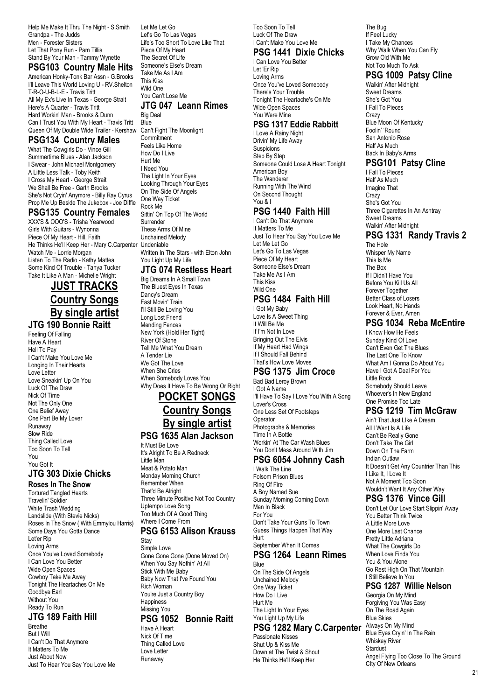Help Me Make It Thru The Night - S.Smith Grandpa - The Judds Men - Forester Sisters Let That Pony Run - Pam Tillis Stand By Your Man - Tammy Wynette

**PSG103 Country Male Hits** American Honky-Tonk Bar Assn - G.Brooks I'll Leave This World Loving U - RV.Shelton T-R-O-U-B-L-E - Travis Tritt All My Ex's Live In Texas - George Strait Here's A Quarter - Travis Tritt Hard Workin' Man - Brooks & Dunn Can I Trust You With My Heart - Travis Tritt Queen Of My Double Wide Trailer - Kershaw

### **PSG134 Country Males**

What The Cowgirls Do - Vince Gill Summertime Blues - Alan Jackson I Swear - John Michael Montgomery A Little Less Talk - Toby Keith I Cross My Heart - George Strait We Shall Be Free - Garth Brooks She's Not Cryin' Anymore - Billy Ray Cyrus Prop Me Up Beside The Jukebox - Joe Diffie

# **PSG135 Country Females**

XXX'S & OOO'S - Trisha Yearwood Girls With Guitars - Wynonna Piece Of My Heart - Hill, Faith He Thinks He'll Keep Her - Mary C.Carpenter Undeniable Watch Me - Lorrie Morgan Listen To The Radio - Kathy Mattea Some Kind Of Trouble - Tanya Tucker Take It Like A Man - Michelle Wright

# **JUST TRACKS Country Songs By single artist**

# **JTG 190 Bonnie Raitt**

Feeling Of Falling Have A Heart Hell To Pay I Can't Make You Love Me Longing In Their Hearts Love Letter Love Sneakin' Up On You Luck Of The Draw Nick Of Time Not The Only One One Belief Away One Part Be My Lover Runaway Slow Ride Thing Called Love Too Soon To Tell You You Got It

# **JTG 303 Dixie Chicks**

**Roses In The Snow**  Tortured Tangled Hearts Travelin' Soldier White Trash Wedding Landslide (With Stevie Nicks) Roses In The Snow ( With Emmylou Harris) Some Days You Gotta Dance Let'er Rip Loving Arms Once You've Loved Somebody I Can Love You Better Wide Open Spaces Cowboy Take Me Away Tonight The Heartaches On Me Goodbye Earl Without You Ready To Run

# **JTG 189 Faith Hill**

Breathe But I Will I Can't Do That Anymore It Matters To Me Just About Now Just To Hear You Say You Love Me Let Me Let Go Let's Go To Las Vegas Life's Too Short To Love Like That Piece Of My Heart The Secret Of Life Someone's Else's Dream Take Me As I Am This Kiss Wild One You Can't Lose Me **JTG 047 Leann Rimes**

# Big Deal **Blue**

Can't Fight The Moonlight **Commitment** Feels Like Home How Do I Live Hurt Me I Need You The Light In Your Eyes Looking Through Your Eyes On The Side Of Angels One Way Ticket Rock Me Sittin' On Top Of The World Surrender These Arms Of Mine Unchained Melody Written In The Stars - with Elton John You Light Up My Life

# **JTG 074 Restless Heart**

Big Dreams In A Small Town The Bluest Eyes In Texas Dancy's Dream Fast Movin' Train I'll Still Be Loving You Long Lost Friend Mending Fences New York (Hold Her Tight) River Of Stone Tell Me What You Dream A Tender Lie We Got The Love When She Cries When Somebody Loves You Why Does It Have To Be Wrong Or Right

# **POCKET SONGS Country Songs By single artist**

#### **PSG 1635 Alan Jackson** It Must Be Love It's Alright To Be A Redneck

Little Man Meat & Potato Man Monday Morning Church Remember When That'd Be Alright Three Minute Positive Not Too Country Uptempo Love Song Too Much Of A Good Thing Where I Come From

# **PSG 6153 Alison Krauss**

**Stay** Simple Love Gone Gone Gone (Done Moved On) When You Say Nothin' At All Stick With Me Baby Baby Now That I've Found You Rich Woman You're Just a Country Boy **Happiness** Missing You

# **PSG 1052 Bonnie Raitt**

Have A Heart Nick Of Time Thing Called Love Love Letter Runaway

Too Soon To Tell Luck Of The Draw I Can't Make You Love Me

#### **PSG 1441 Dixie Chicks** I Can Love You Better

Let 'Er Rip Loving Arms Once You've Loved Somebody There's Your Trouble Tonight The Heartache's On Me Wide Open Spaces You Were Mine

# **PSG 1317 Eddie Rabbitt**

I Love A Rainy Night Drivin' My Life Away **Suspicions** Step By Step Someone Could Lose A Heart Tonight American Boy The Wanderer Running With The Wind On Second Thought You & I

# **PSG 1440 Faith Hill**

I Can't Do That Anymore It Matters To Me Just To Hear You Say You Love Me Let Me Let Go Let's Go To Las Vegas Piece Of My Heart Someone Else's Dream Take Me As I Am This Kiss Wild One **PSG 1484 Faith Hill**

# I Got My Baby

Love Is A Sweet Thing It Will Be Me If I'm Not In Love Bringing Out The Elvis If My Heart Had Wings If I Should Fall Behind That's How Love Moves

# **PSG 1375 Jim Croce**

Bad Bad Leroy Brown I Got A Name I'll Have To Say I Love You With A Song Lover's Cross One Less Set Of Footsteps **Operator** Photographs & Memories Time In A Bottle Workin' At The Car Wash Blues You Don't Mess Around With Jim

# **PSG 6054 Johnny Cash**

I Walk The Line Folsom Prison Blues Ring Of Fire A Boy Named Sue Sunday Morning Coming Down Man In Black For You Don't Take Your Guns To Town Guess Things Happen That Way Hurt September When It Comes

### **PSG 1264 Leann Rimes** Blue

On The Side Of Angels Unchained Melody One Way Ticket How Do I Live Hurt Me The Light In Your Eyes You Light Up My Life

# **PSG 1282 Mary C.Carpenter**

Passionate Kisses Shut Up & Kiss Me Down at The Twist & Shout He Thinks He'll Keep Her

The Bug If Feel Lucky I Take My Chances Why Walk When You Can Fly Grow Old With Me Not Too Much To Ask

# **PSG 1009 Patsy Cline**

Walkin' After Midnight Sweet Dreams She's Got You I Fall To Pieces **Crazy** Blue Moon Of Kentucky Foolin' 'Round San Antonio Rose Half As Much Back In Baby's Arms

# **PSG101 Patsy Cline**

I Fall To Pieces Half As Much Imagine That **Crazy** She's Got You Three Cigarettes In An Ashtray Sweet Dreams Walkin' After Midnight

#### **PSG 1331 Randy Travis 2** The Hole

Whisper My Name This Is Me The Box If I Didn't Have You Before You Kill Us All **Forever Together** Better Class of Losers Look Heart, No Hands Forever & Ever, Amen

# **PSG 1034 Reba McEntire**

I Know How He Feels Sunday Kind Of Love Can't Even Get The Blues The Last One To Know What Am I Gonna Do About You Have I Got A Deal For You Little Rock Somebody Should Leave Whoever's In New England One Promise Too Late

# **PSG 1219 Tim McGraw**

Ain't That Just LIke A Dream All I Want Is A Life Can't Be Really Gone Don't Take The Girl Down On The Farm Indian Outlaw It Doesn't Get Any Countrier Than This I Like It, I Love It Not A Moment Too Soon Wouldn't Want It Any Other Way

# **PSG 1376 Vince Gill**

Don't Let Our Love Start Slippin' Away You Better Think Twice A Little More Love One More Last Chance Pretty Little Adriana What The Cowgirls Do When Love Finds You You & You Alone Go Rest High On That Mountain I Still Believe In You **PSG 1287 Willie Nelson** Georgia On My Mind Forgiving You Was Easy On The Road Again Blue Skies Always On My Mind Blue Eyes Cryin' In The Rain Whiskey River **Stardust** 

Angel Flying Too Close To The Ground

CIty Of New Orleans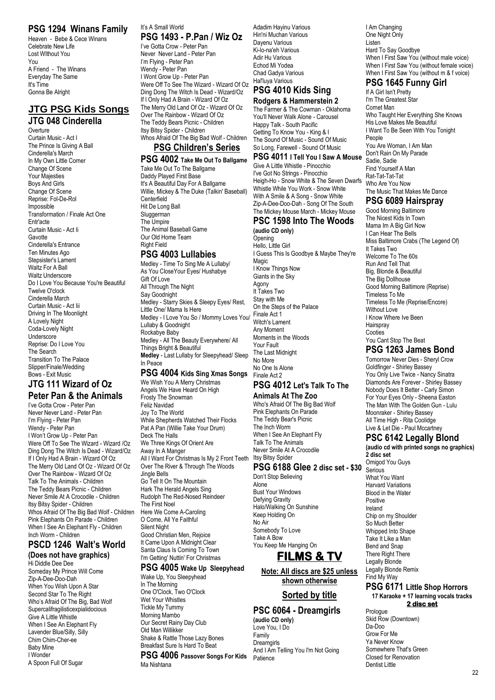### **PSG 1294 Winans Family**

Heaven - Bebe & Cece Winans Celebrate New Life Lost WIthout You You A Friend - The Winans Everyday The Same It's Time Gonna Be Alright

# **JTG PSG Kids Songs JTG 048 Cinderella**

**Overture** Curtain Music - Act I The Prince Is Giving A Ball Cinderella's March In My Own Little Corner Change Of Scene Your Majesties Boys And Girls Change Of Scene Reprise: Fol-De-Rol Impossible Transformation / Finale Act One Entr'acte Curtain Music - Act Ii Gavotte Cinderella's Entrance Ten Minutes Ago Stepsister's Lament Waltz For A Ball Waltz Underscore Do I Love You Because You're Beautiful Twelve O'clock Cinderella March Curtain Music - Act Iii Driving In The Moonlight A Lovely Night Coda-Lovely Night Underscore Reprise: Do I Love You The Search Transition To The Palace Slipper/Finale/Wedding Bows - Exit Music

### **JTG 111 Wizard of Oz Peter Pan & the Animals**

I've Gotta Crow - Peter Pan Never Never Land - Peter Pan I'm Flying - Peter Pan Wendy - Peter Pan I Won't Grow Up - Peter Pan Were Off To See The Wizard - Wizard /Oz Ding Dong The Witch Is Dead - Wizard/Oz If I Only Had A Brain - Wizard Of Oz The Merry Old Land Of Oz - Wizard Of Oz Over The Rainbow - Wizard Of Oz Talk To The Animals - Children The Teddy Bears Picnic - Children Never Smile At A Crocodile - Children Itsy Bitsy Spider - Children Whos Afraid Of The Big Bad Wolf - Children Pink Elephants On Parade - Children When I See An Elephant Fly - Children Inch Worm - Children

### **PSCD 1246 Walt's World (Does not have graphics)**

Hi Diddle Dee Dee Someday My Prince Will Come Zip-A-Dee-Doo-Dah When You Wish Upon A Star Second Star To The Right Who's Afraid Of The Big, Bad Wolf Supercalifragilisticexpialidocious Give A Little Whistle When I See An Elephant Fly Lavender Blue/Silly, Silly Chim Chim-Cher-ee Baby Mine I Wonder A Spoon Full Of Sugar

## It's A Small World **PSG 1493 - P.Pan / Wiz Oz**

I've Gotta Crow - Peter Pan Never Never Land - Peter Pan I'm Flying - Peter Pan Wendy - Peter Pan I Wont Grow Up - Peter Pan Were Off To See The Wizard - Wizard Of Oz Ding Dong The Witch Is Dead - Wizard/Oz If I Only Had A Brain - Wizard Of Oz The Merry Old Land Of Oz - Wizard Of Oz Over The Rainbow - Wizard Of Oz The Teddy Bears Picnic - Children Itsy Bitsy Spider - Children Whos Afraid Of The Big Bad Wolf - Children

# **PSG Children's Series**

**PSG 4002 Take Me Out To Ballgame** Take Me Out To The Ballgame Daddy Played First Base It's A Beautiful Day For A Ballgame Willie, Mickey & The Duke (Talkin' Baseball) **Centerfield** Hit De Long Ball Sluggerman The Umpire The Animal Baseball Game Our Old Home Team Right Field

### **PSG 4003 Lullabies**

Medley - Time To Sing Me A Lullaby/ As You CloseYour Eyes/ Hushabye Gift Of Love All Through The Night Say Goodnight Medley - Starry Skies & Sleepy Eyes/ Rest, Little One/ Mama Is Here Medley - I Love You So / Mommy Loves You/ Lullaby & Goodnight Rockabye Baby Medley - All The Beauty Everywhere/ All Things Bright & Beautiful **Medley** - Last Lullaby for Sleepyhead/ Sleep In Peace

### **PSG 4004 Kids Sing Xmas Songs**

We Wish You A Merry Christmas Angels We Have Heard On High Frosty The Snowman Feliz Navidad Joy To The World While Shepherds Watched Their Flocks Pat A Pan (Willie Take Your Drum) Deck The Halls We Three Kings Of Orient Are Away In A Manger All I Want For Christmas Is My 2 Front Teeth Over The River & Through The Woods Jingle Bells Go Tell It On The Mountain Hark The Herald Angels Sing Rudolph The Red-Nosed Reindeer The First Noel Here We Come A-Caroling O Come, All Ye Faithful Silent Night Good Christian Men, Rejoice It Came Upon A Midnight Clear Santa Claus Is Coming To Town I'm Getting' Nuttin' For Christmas

# **PSG 4005 Wake Up Sleepyhead**

Wake Up, You Sleepyhead In The Morning One O'Clock, Two O'Clock Wet Your Whistles Tickle My Tummy Morning Mambo Our Secret Rainy Day Club Old Man Willikker Shake & Rattle Those Lazy Bones Breakfast Sure Is Hard To Beat

**PSG 4006 Passover Songs For Kids** Ma Nishtana

Adadim Hayinu Various Hin'ni Muchan Various Dayenu Various Ki-lo-na'eh Various Adir Hu Various Echod Mi Yodea Chad Gadya Various Hal'luya Various

### **PSG 4010 Kids Sing Rodgers & Hammerstein 2**

The Farmer & The Cowman - Oklahoma You'll Never Walk Alone - Carousel Happy Talk - South Pacific Getting To Know You - King & I The Sound Of Music - Sound Of Music So Long, Farewell - Sound Of Music

### **PSG 4011 I Tell You I Saw A Mouse**

Give A Little Whistle - Pinocchio I've Got No Strings - Pinocchio Heigh-Ho - Snow White & The Seven Dwarfs Whistle While You Work - Snow White With A Smile & A Song - Snow White Zip-A-Dee-Doo-Dah - Song Of The South The Mickey Mouse March - Mickey Mouse **PSC 1598 Into The Woods**

**(audio CD only) Opening** Hello, Little Girl

I Guess This Is Goodbye & Maybe They're **Magic** I Know Things Now Giants in the Sky Agony It Takes Two Stay with Me On the Steps of the Palace Finale Act 1 Witch's Lament Any Moment Moments in the Woods Your Fault The Last Midnight No More No One Is Alone Finale Act 2

### **PSG 4012 Let's Talk To The Animals At The Zoo**

Who's Afraid Of The Big Bad Wolf Pink Elephants On Parade The Teddy Bear's Picnic The Inch Worm When I See An Elephant Fly Talk To The Animals Never Smile At A Crocodile Itsy Bitsy Spider

### **PSG 6188 Glee 2 disc set - \$30**

Don't Stop Believing Alone Bust Your Windows Defying Gravity Halo/Walking On Sunshine Keep Holding On No Air Somebody To Love Take A Bow You Keep Me Hanging On

# **FILMS & TV**

**Note: All discs are \$25 unless shown otherwise Sorted by title**

## **PSC 6064 - Dreamgirls (audio CD only)** Love You, I Do

Family **Dreamgirls** And I Am Telling You I'm Not Going Patience

I Am Changing One Night Only Listen Hard To Say Goodbye When I First Saw You (without male voice) When I First Saw You (without female voice) When I First Saw You (without m & f voice)

# **PSG 1645 Funny Girl**

If A Girl Isn't Pretty I'm The Greatest Star Cornet Man Who Taught Her Everything She Knows His Love Makes Me Beautiful I Want To Be Seen With You Tonight People You Are Woman, I Am Man Don't Rain On My Parade Sadie, Sadie Find Yourself A Man Rat-Tat-Tat-Tat Who Are You Now The Music That Makes Me Dance **PSG 6089 Hairspray**

Good Morning Baltimore

The Nicest Kids In Town Mama Im A Big Girl Now I Can Hear The Bells Miss Baltimore Crabs (The Legend Of) It Takes Two Welcome To The 60s Run And Tell That Big, Blonde & Beautiful The Big Dollhouse Good Morning Baltimore (Reprise) Timeless To Me Timeless To Me (Reprise/Encore) Without Love I Know Where Ive Been **Hairspray** Cooties You Cant Stop The Beat

### **PSG 1263 James Bond**

Tomorrow Never Dies - Sheryl Crow Goldfinger - Shirley Bassey You Only Live Twice - Nancy Sinatra Diamonds Are Forever - Shirley Bassey Nobody Does It Better - Carly Simon For Your Eyes Only - Sheena Easton The Man With The Golden Gun - Lulu Moonraker - Shirley Bassey All Time High - Rita Coolidge Live & Let Die - Paul Mccartney

# **PSC 6142 Legally Blond**

**(audio cd with printed songs no graphics) 2 disc set** Omigod You Guys **Serious** What You Want Harvard Variations Blood in the Water Positive Ireland Chip on my Shoulder So Much Better Whipped Into Shape Take It Like a Man Bend and Snap There Right There Legally Blonde Legally Blonde Remix Find My Way **PSG 6171 Little Shop Horrors 17 Karaoke + 17 learning vocals tracks 2 disc set** 

Prologue Skid Row (Downtown) Da-Doo Grow For Me Ya Never Know Somewhere That's Green Closed for Renovation Dentist Little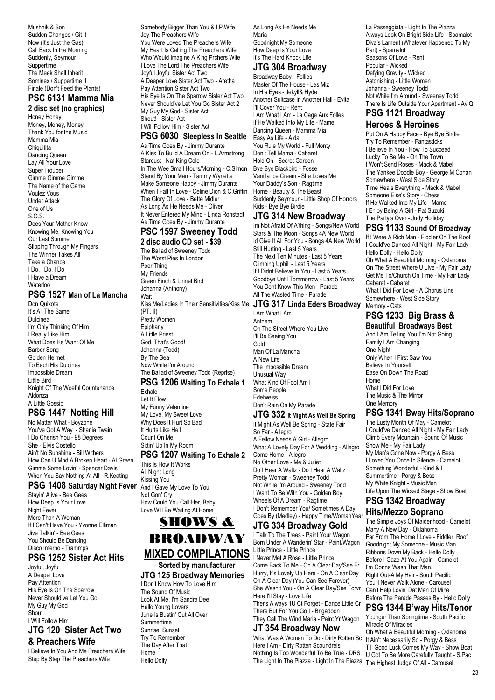Mushnik & Son Sudden Changes / Git It Now (It's Just the Gas) Call Back In the Morning Suddenly, Seymour Suppertime The Meek Shall Inherit Sominex / Suppertime II Finale (Don't Feed the Plants)

#### **PSC 6131 Mamma Mia 2 disc set (no graphics)**

Honey Honey Money, Money, Money Thank You for the Music Mamma Mia Chiquitita Dancing Queen Lay All Your Love Super Trouper Gimme Gimme Gimme The Name of the Game Voulez Vous Under Attack One of Us S.O.S. Does Your Mother Know Knowing Me, Knowing You Our Last Summer Slipping Through My Fingers The Winner Takes All Take a Chance I Do, I Do, I Do I Have a Dream Waterloo

#### **PSG 1527 Man of La Mancha**  Don Quixote

It's All The Same Dulcinea I'm Only Thinking Of Him I Really Like Him What Does He Want Of Me Barber Song Golden Helmet To Each His Dulcinea Impossible Dream Little Bird Knight Of The Woeful Countenance Aldonza A Little Gossip

# **PSG 1447 Notting Hill**

No Matter What - Boyzone You've Got A Way - Shania Twain I Do Cherish You - 98 Degrees She - Elvis Costello Ain't No Sunshine - Bill Withers How Can U Mnd A Broken Heart - Al Green Gimme Some Lovin' - Spencer Davis When You Say Nothing At All - R.Keating

### **PSG 1408 Saturday Night Fever** And I Gave My Love To You

Stayin' Alive - Bee Gees How Deep Is Your Love Night Fever More Than A Woman If I Can't Have You - Yvonne Elliman Jive Talkin' - Bee Gees You Should Be Dancing Disco Inferno - Trammps

# **PSG 1252 Sister Act Hits**

Joyful, Joyful A Deeper Love Pay Attention His Eye Is On The Sparrow Never Should've Let You Go My Guy My God Shout I Will Follow Him **JTG 120 Sister Act Two**

# **& Preachers Wife**

I Believe In You And Me Preachers Wife Step By Step The Preachers Wife

Somebody Bigger Than You & I P.Wife Joy The Preachers Wife

You Were Loved The Preachers Wife My Heart Is Calling The Preachers Wife Who Would Imagine A King Prchers Wife I Love The Lord The Preachers Wife Joyful Joyful Sister Act Two A Deeper Love Sister Act Two - Aretha Pay Attention Sister Act Two His Eye Is On The Sparrow Sister Act Two Never Should've Let You Go Sister Act 2 My Guy My God - Sister Act Shout! - Sister Act I Will Follow Him - Sister Act

# **PSG 6030 Sleepless In Seattle**

As Time Goes By - Jimmy Durante A Kiss To Build A Dream On - L.Armstrong Stardust - Nat King Cole In The Wee Small Hours/Morning - C.Simon Stand By Your Man - Tammy Wynette Make Someone Happy - Jimmy Durante When I Fall In Love - Celine Dion & C.Griffin The Glory Of Love - Bette Midler As Long As He Needs Me - Oliver It Never Entered My Mind - Linda Ronstadt As Time Goes By - Jimmy Durante

#### **PSC 1597 Sweeney Todd 2 disc audio CD set - \$39**

The Ballad of Sweeney Todd The Worst Pies In London Poor Thing My Friends Green Finch & Linnet Bird Johanna (Anthony) Wait Kiss Me/Ladies In Their Sensitivities/Kiss Me **JTG 317 Linda Eders Broadway** (PT. II) Pretty Women **Epiphany** A Little Priest God, That's Good! Johanna (Todd) By The Sea Now While I'm Around The Ballad of Sweeney Todd (Reprise)

#### **PSG 1206 Waiting To Exhale 1** Exhale

Let It Flow My Funny Valentine My Love, My Sweet Love Why Does It Hurt So Bad It Hurts Like Hell Count On Me Sittin' Up In My Room **PSG 1207 Waiting To Exhale 2** This Is How It Works

All Night Long Kissing You Not Gon' Cry How Could You Call Her, Baby Love Will Be Waiting At Home

# SHOWS &

BROADWAY **MIXED COMPILATIONS** Little Prince - Little Prince **Sorted by manufacturer JTG 125 Broadway Memories** I Don't Know How To Love Him The Sound Of Music Look At Me, I'm Sandra Dee

Hello Young Lovers June Is Bustin' Out All Over Summertime Sunrise, Sunset Try To Remember The Day After That Home Hello Dolly

As Long As He Needs Me Maria Goodnight My Someone How Deep Is Your Love It's The Hard Knock Life

# **JTG 304 Broadway**

Broadway Baby - Follies Master Of The House - Les Miz In His Eyes - Jekyll& Hyde Another Suitcase In Another Hall - Evita I'll Cover You - Rent I Am What I Am - La Cage Aux Folles If He Walked Into My Life - Mame Dancing Queen - Mamma Mia Easy As Life - Aida You Rule My World - Full Monty Don't Tell Mama - Cabaret Hold On - Secret Garden Bye Bye Blackbird - Fosse Vanilla Ice Cream - She Loves Me Your Daddy's Son - Ragtime Home - Beauty & The Beast Suddenly Seymour - Little Shop Of Horrors Kids - Bye Bye Birdie

# **JTG 314 New Broadway**

Im Not Afraid Of A'thing - Songs/New World Stars & The Moon - Songs 4A New World Id Give It All For You - Songs 4A New World Still Hurting - Last 5 Years The Next Ten Minutes - Last 5 Years Climbing Uphill - Last 5 Years If I Didnt Believe In You - Last 5 Years Goodbye Until Tommorrow - Last 5 Years You Dont Know This Men - Parade All The Wasted Time - Parade

I Am What I Am Anthem On The Street Where You Live I'll Be Seeing You Gold Man Of La Mancha A New Life The Impossible Dream Unusual Way What Kind Of Fool Am I Some People **Edelweiss** Don't Rain On My Parade

# **JTG 332 It Might As Well Be Spring**

It Might As Well Be Spring - State Fair So Far - Allegro A Fellow Needs A Girl - Allegro What A Lovely Day For A Wedding - Allegro Come Home - Allegro No Other Love - Me & Juliet Do I Hear A Waltz - Do I Hear A Waltz Pretty Woman - Sweeney Todd Not While I'm Around - Sweeney Todd I Want To Be With You - Golden Boy Wheels Of A Dream - Ragtime I Don't Remember You/ Sometimes A Day Goes By (Medley) - Happy Time/WomanYear **Hits/Mezzo Soprano**

### **JTG 334 Broadway Gold**

I Talk To The Trees - Paint Your Wagon Born Under A Wanderin' Star - Paint/Wagon I Never Met A Rose - Little Prince Come Back To Me - On A Clear Day/See Fr Hurry, It's Lovely Up Here - On A Clear Day On A Clear Day (You Can See Forever) She Wasn't You - On A Clear Day/See Forvr Here I'll Stay - Love Life Ther's Always 1U Ct Forget - Dance Little Cr There But For You Go I - Brigadoon They Call The Wind Maria - Paint Yr Wagon

# **JT 354 Broadway Now**

What Was A Woman To Do - Dirty Rotten Sc Here I Am - Dirty Rotten Scoundrels Nothing Is Too Wonderful To Be True - DRS The Light In The Piazza - Light In The Piazza The Highest Judge Of All - Carousel

La Passeggiata - Light In The Piazza Always Look On Bright Side Life - Spamalot Diva's Lament (Whatever Happened To My Part) - Spamalot Seasons Of Love - Rent Popular - Wicked Defying Gravity - Wicked Astonishing - Little Women Johanna - Sweeney Todd Not While I'm Around - Sweeney Todd There Is Life Outside Your Apartment - Av Q

### **PSG 1121 Broadway Heroes & Heroines**

Put On A Happy Face - Bye Bye Birdie Try To Remember - Fantasticks I Believe In You - How To Succeed Lucky To Be Me - On The Town I Won't Send Roses - Mack & Mabel The Yankee Doodle Boy - George M Cohan Somewhere - West Side Story Time Heals Everything - Mack & Mabel Someone Else's Story - Chess If He Walked Into My Life - Mame I Enjoy Being A Girl - Pat Suzuki The Party's Over - Judy Holliday

### **PSG 1133 Sound Of Broadway**

If I Were A Rich Man - Fiddler On The Roof I Could've Danced All Night - My Fair Lady Hello Dolly - Hello Dolly Oh What A Beautiful Morning - Oklahoma On The Street Where U Live - My Fair Lady Get Me To/Church On Time - My Fair Lady Cabaret - Cabaret What I Did For Love - A Chorus Line Somewhere - West Side Story Memory - Cats

### **PSG 1233 Big Brass & Beautiful Broadways Best**

And I Am Telling You I'm Not Going Family I Am Changing One Night Only When I First Saw You Believe In Yourself Ease On Down The Road Home What I Did For Love The Music & The Mirror One Memory

# **PSG 1341 Bway Hits/Soprano**

The Lusty Month Of May - Camelot I Could've Danced All Night - My Fair Lady Climb Every Mountain - Sound Of Music Show Me - My Fair Lady My Man's Gone Now - Porgy & Bess I Loved You Once In Silence - Camelot Something Wonderful - Kind & I Summertime - Porgy & Bess My White Knight - Music Man Life Upon The Wicked Stage - Show Boat

# **PSG 1342 Broadway**

The Simple Joys Of Maidenhood - Camelot Many A New Day - Oklahoma Far From The Home I Love - Fiddler Roof Goodnight My Someone - Music Man Ribbons Down My Back - Hello Dolly Before I Gaze At You Again - Camelot I'm Gonna Wash That Man, Right Out-A My Hair - South Pacific You'll Never Walk Alone - Carousel Can't Help Lovin' Dat Man Of Mine Before The Parade Passes By - Hello Dolly

**PSG 1344 B'way Hits/Tenor** Younger Than Springtime - South Pacific Miracle Of Miracles Oh What A Beautiful Morning - Oklahoma It Ain't Necessarily So - Porgy & Bess Till Good Luck Comes My Way - Show Boat U Got To Be More Carefully Taught - S.Pac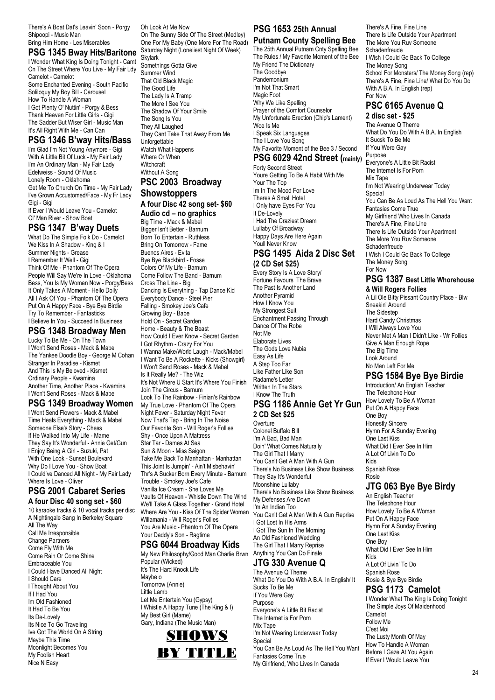There's A Boat Dat's Leavin' Soon - Porgy Shipoopi - Music Man Bring Him Home - Les Miserables

# **PSG 1345 Bway Hits/Baritone**

I Wonder What King Is Doing Tonight - Camt On The Street Where You Live - My Fair Ldy Camelot - Camelot Some Enchanted Evening - South Pacific Soliloquy My Boy Bill - Carousel How To Handle A Woman I Got Plenty O' Nuttin' - Porgy & Bess Thank Heaven For Little Girls - Gigi The Sadder But Wiser Girl - Music Man It's All Right With Me - Can Can

#### **PSG 1346 B'way Hits/Bass**

I'm Glad I'm Not Young Anymore - Gigi With A Little Bit Of Luck - My Fair Lady I'm An Ordinary Man - My Fair Lady Edelweiss - Sound Of Music Lonely Room - Oklahoma Get Me To Church On Time - My Fair Lady I've Grown Accustomed/Face - My Fr Lady Gigi - Gigi If Ever I Would Leave You - Camelot Ol' Man River - Show Boat

# **PSG 1347 B'way Duets**

What Do The Simple Folk Do - Camelot We Kiss In A Shadow - King & I Summer Nights - Grease I Remember It Well - Gigi Think Of Me - Phantom Of The Opera People Will Say We're In Love - Oklahoma Bess, You Is My Woman Now - Porgy/Bess It Only Takes A Moment - Hello Dolly All I Ask Of You - Phantom Of The Opera Put On A Happy Face - Bye Bye Birdie Try To Remember - Fantasticks I Believe In You - Succeed In Business

### **PSG 1348 Broadway Men**

Lucky To Be Me - On The Town I Won't Send Roses - Mack & Mabel The Yankee Doodle Boy - George M Cohan Stranger In Paradise - Kismet And This Is My Beloved - Kismet Ordinary People - Kwamina Another Time, Another Place - Kwamina I Won't Send Roses - Mack & Mabel

# **PSG 1349 Broadway Women**

I Wont Send Flowers - Mack & Mabel Time Heals Everything - Mack & Mabel Someone Else's Story - Chess If He Walked Into My Life - Mame They Say It's Wonderful - Annie Get/Gun I Enjoy Being A Girl - Suzuki, Pat With One Look - Sunset Boulevard Why Do I Love You - Show Boat I Could've Danced All Night - My Fair Lady Where Is Love - Oliver

# **PSG 2001 Cabaret Series**

**A four Disc 40 song set - \$60** 10 karaoke tracks & 10 vocal tracks per disc A Nightingale Sang In Berkeley Square All The Way Call Me Irresponsible Change Partners Come Fly With Me Come Rain Or Come Shine Embraceable You I Could Have Danced All Night I Should Care I Thought About You If I Had You Im Old Fashioned It Had To Be You Its De-Lovely Its Nice To Go Traveling Ive Got The World On A String Maybe This Time Moonlight Becomes You My Foolish Heart Nice N Easy

Oh Look At Me Now On The Sunny Side Of The Street (Medley) One For My Baby (One More For The Road) Saturday Night (Loneliest Night Of Week) Skylark Somethings Gotta Give Summer Wind That Old Black Magic The Good Life The Lady Is A Tramp The More I See You The Shadow Of Your Smile The Song Is You They All Laughed They Cant Take That Away From Me Unforgettable Watch What Happens

### Without A Song **PSC 2003 Broadway**

### **Showstoppers**

Where Or When **Witchcraft** 

**A four Disc 42 song set- \$60 Audio cd – no graphics**

Big Time - Mack & Mabel Bigger Isn't Better - Barnum Born To Entertain - Ruthless Bring On Tomorrow - Fame Buenos Aires - Evita Bye Bye Blackbird - Fosse Colors Of My Life - Barnum Come Follow The Band - Barnum Cross The Line - Big Dancing Is Everything - Tap Dance Kid Everybody Dance - Steel Pier Falling - Smokey Joe's Cafe Growing Boy - Babe Hold On - Secret Garden Home - Beauty & The Beast How Could I Ever Know - Secret Garden I Got Rhythm - Crazy For You I Wanna Make/World Laugh - Mack/Mabel I Want To Be A Rockette - Kicks (Showgirl) I Won't Send Roses - Mack & Mabel Is It Really Me? - The Wiz It's Not Where U Start It's Where You Finish Join The Circus - Barnum Look To The Rainbow - Finian's Rainbow My True Love - Phantom Of The Opera Night Fever - Saturday Night Fever Now That's Tap - Bring In The Noise Our Favorite Son - Will Roger's Follies Shy - Once Upon A Mattress Star Tar - Dames At Sea Sun & Moon - Miss Saigon Take Me Back To Manhattan - Manhattan This Joint Is Jumpin' - Ain't Misbehavin' Thr's A Sucker Born Every Minute - Barnum Trouble - Smokey Joe's Cafe Vanilla Ice Cream - She Loves Me Vaults Of Heaven - Whistle Down The Wind We'll Take A Glass Together - Grand Hotel Where Are You - Kiss Of The Spider Woman Willamania - Will Roger's Follies You Are Music - Phantom Of The Opera Your Daddy's Son - Ragtime

### **PSG 6044 Broadway Kids**

My New Philosophy/Good Man Charlie Brwn Popular (Wicked) It's The Hard Knock Life Maybe o Tomorrow (Annie) Little Lamb Let Me Entertain You (Gypsy) I Whistle A Happy Tune (The King & I) My Best Girl (Mame) Gary, Indiana (The Music Man)



# **PSG 1653 25th Annual**

#### **Putnam County Spelling Bee** The 25th Annual Putnam Cnty Spelling Bee

The Rules / My Favorite Moment of the Bee My Friend The Dictionary The Goodbye **Pandemonium** I'm Not That Smart Magic Foot Why We Like Spelling Prayer of the Comfort Counselor My Unfortunate Erection (Chip's Lament) Woe Is Me I Speak Six Languages The I Love You Song My Favorite Moment of the Bee 3 / Second **PSG 6029 42nd Street (mainly)**

Forty Second Street

Youre Getting To Be A Habit With Me Your The Top Im In The Mood For Love Theres A Small Hotel I Only have Eyes For You It De-Lovely I Had The Craziest Dream Lullaby Of Broadway Happy Days Are Here Again Youll Never Know

# **PSG 1495 Aida 2 Disc Set (2 CD Set \$25)**

Every Story Is A Love Story/ Fortune Favours The Brave The Past Is Another Land Another Pyramid How I Know You My Strongest Suit Enchantment Passing Through Dance Of The Robe Not Me Elaborate Lives The Gods Love Nubia Easy As Life A Step Too Far Like Father Like Son Radame's Letter Written In The Stars I Know The Truth

### **PSG 1186 Annie Get Yr Gun** Flow Lovely 10 Be A V **2 CD Set \$25**

**Overture** Colonel Buffalo Bill I'm A Bad, Bad Man Doin' What Comes Naturally The Girl That I Marry You Can't Get A Man With A Gun There's No Business Like Show Business They Say It's Wonderful Moonshine Lullaby There's No Business Like Show Business My Defenses Are Down I'm An Indian Too You Can't Get A Man With A Gun Reprise I Got Lost In His Arms I Got The Sun In The Morning An Old Fashioned Wedding The Girl That I Marry Reprise Anything You Can Do Finale

# **JTG 330 Avenue Q**

The Avenue Q Theme What Do You Do With A B.A. In English/ It Sucks To Be Me If You Were Gay Purpose Everyone's A Little Bit Racist The Internet is For Porn Mix Tape I'm Not Wearing Underwear Today Special You Can Be As Loud As The Hell You Want Fantasies Come True My Girlfriend, Who Lives In Canada

There's A Fine, Fine Line There Is Life Outside Your Apartment The More You Ruv Someone Schadenfreude I Wish I Could Go Back To College The Money Song School For Monsters/ The Money Song (rep) There's A Fine, Fine Line/ What Do You Do With A B.A. In English (rep) For Now

# **PSC 6165 Avenue Q**

**2 disc set - \$25** The Avenue Q Theme What Do You Do With A B.A. In English It Sucsk To Be Me If You Were Gay Purpose Everyone's A Little Bit Racist The Internet Is For Porn Mix Tape I'm Not Wearing Underwear Today Special You Can Be As Loud As The Hell You Want Fantasies Come True My Girlfriend Who Lives In Canada There's A Fine, Fine Line There Is Life Outside Your Apartment The More You Ruv Someone **Schadenfreude** I Wish I Could Go Back To College The Money Song For Now

#### **PSG 1387 Best Little Whorehouse & Will Rogers Follies**

A Lil Ole Bitty Pissant Country Place - Blw Sneakin' Around The Sidestep Hard Candy Christmas I Will Always Love You Never Met A Man I Didn't Like - Wr Follies Give A Man Enough Rope The Big Time Look Around No Man Left For Me

# **PSG 1584 Bye Bye Birdie**

Introduction/ An English Teacher The Telephone Hour How Lovely To Be A Woman One Boy Honestly Sincere Hymn For A Sunday Evening One Last Kiss What Did I Ever See In Him A Lot Of Livin To Do Kids Spanish Rose Rosie

# **JTG 063 Bye Bye Birdy**

An English Teacher The Telephone Hour How Lovely To Be A Woman Put On A Happy Face Hymn For A Sunday Evening One Last Kiss One Boy What Did I Ever See In Him Kids A Lot Of Livin' To Do Spanish Rose Rosie & Bye Bye Birdie **PSG 1173 Camelot**

I Wonder What The King Is Doing Tonight The Simple Joys Of Maidenhood Camelot Follow Me C'est Moi The Lusty Month Of May How To Handle A Woman Before I Gaze At You Again If Ever I Would Leave You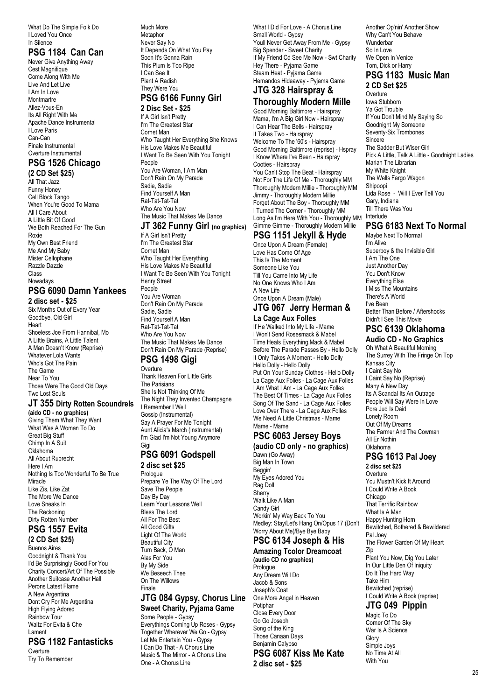What Do The Simple Folk Do I Loved You Once In Silence

### **PSG 1184 Can Can**

Never Give Anything Away Cest Magnifique Come Along With Me Live And Let Live I Am In Love Montmartre Allez-Vous-En Its All Right With Me Apache Dance Instrumental I Love Paris Can-Can Finale Instrumental Overture Instrumental

# **PSG 1526 Chicago**

**(2 CD Set \$25)** All That Jazz Funny Honey Cell Block Tango When You're Good To Mama All I Care About A Little Bit Of Good We Both Reached For The Gun Roxie My Own Best Friend Me And My Baby Mister Cellophane Razzle Dazzle Class Nowadays **PSG 6090 Damn Yankees** 

# **2 disc set - \$25**

Six Months Out of Every Year Goodbye, Old Girl Heart Shoeless Joe From Hannibal, Mo A Little Brains, A Little Talent A Man Doesn't Know (Reprise) Whatever Lola Wants Who's Got The Pain The Game Near To You Those Were The Good Old Days Two Lost Souls

### **JT 355 Dirty Rotten Scoundrels**

**(aido CD - no graphics)** Giving Them What They Want What Was A Woman To Do Great Big Stuff Chimp In A Suit Oklahoma All About Ruprecht Here I Am Nothing Is Too Wonderful To Be True Miracle Like Zis, Like Zat The More We Dance Love Sneaks In The Reckoning Dirty Rotten Number

# **PSG 1557 Evita**

**(2 CD Set \$25)** Buenos Aires

Goodnight & Thank You I'd Be Surprisingly Good For You Charity Concert/Art Of The Possible Another Suitcase Another Hall Perons Latest Flame A New Argentina Dont Cry For Me Argentina High Flying Adored Rainbow Tour Waltz For Evita & Che Lament

### **PSG 1182 Fantasticks**

**Overture** Try To Remember Much More Metaphor Never Say No It Depends On What You Pay Soon It's Gonna Rain This Plum Is Too Ripe I Can See It Plant A Radish They Were You

#### **PSG 6166 Funny Girl 2 Disc Set - \$25**

If A Girl Isn't Pretty I'm The Greatest Star Cornet Man Who Taught Her Everything She Knows His Love Makes Me Beautiful I Want To Be Seen With You Tonight People You Are Woman, I Am Man Don't Rain On My Parade Sadie, Sadie Find Yourself A Man Rat-Tat-Tat-Tat Who Are You Now The Music That Makes Me Dance

# **JT 362 Funny Girl (no graphics)**

If A Girl Isn't Pretty I'm The Greatest Star Cornet Man Who Taught Her Everything His Love Makes Me Beautiful I Want To Be Seen With You Tonight Henry Street People You Are Woman Don't Rain On My Parade Sadie, Sadie Find Yourself A Man Rat-Tat-Tat-Tat Who Are You Now The Music That Makes Me Dance Don't Rain On My Parade (Reprise) **PSG 1498 Gigi**

**Overture** Thank Heaven For Little Girls The Parisians She Is Not Thinking Of Me The Night They Invented Champagne I Remember I Well Gossip (Instrumental) Say A Prayer For Me Tonight Aunt Alicia's March (Instrumental) I'm Glad I'm Not Young Anymore **Gigi** 

### **PSG 6091 Godspell 2 disc set \$25**

Prologue Prepare Ye The Way Of The Lord Save The People Day By Day Learn Your Lessons Well Bless The Lord All For The Best All Good Gifts Light Of The World Beautiful City Turn Back, O Man Alas For You By My Side We Beseech Thee On The Willows Finale

#### **JTG 084 Gypsy, Chorus Line Sweet Charity, Pyjama Game**

Some People - Gypsy Everythings Coming Up Roses - Gypsy Together Wherever We Go - Gypsy Let Me Entertain You - Gypsy I Can Do That - A Chorus Line Music & The Mirror - A Chorus Line One - A Chorus Line

What I Did For Love - A Chorus Line Small World - Gypsy Youll Never Get Away From Me - Gypsy Big Spender - Sweet Charity If My Friend Cd See Me Now - Swt Charity Hey There - Pyjama Game Steam Heat - Pyjama Game Hernandos Hideaway - Pyjama Game

# **JTG 328 Hairspray & Thoroughly Modern Mille**

Good Morning Baltimore - Hairspray Mama, I'm A Big Girl Now - Hairspray I Can Hear The Bells - Hairspray It Takes Two - Hairspray Welcome To The '60's - Hairspray Good Morning Baltimore (reprise) - Hspray I Know Where I've Been - Hairspray Cooties - Hairspray You Can't Stop The Beat - Hairspray Not For The Life Of Me - Thoroughly MM Thoroughly Modern Millie - Thoroughly MM Jimmy - Thoroughly Modern Millie Forget About The Boy - Thoroughly MM I Turned The Corner - Thoroughly MM Long As I'm Here With You - Thoroughly MM Gimme Gimme - Thoroughly Modern Millie

# **PSG 1151 Jekyll & Hyde**

Once Upon A Dream (Female) Love Has Come Of Age This Is The Moment Someone Like You Till You Came Into My Life No One Knows Who I Am A New Life Once Upon A Dream (Male)

#### **JTG 067 Jerry Herman & La Cage Aux Folles**

If He Walked Into My Life - Mame I Won't Send Rosesmack & Mabel Time Heals Everything.Mack & Mabel Before The Parade Passes By - Hello Dolly It Only Takes A Moment - Hello Dolly Hello Dolly - Hello Dolly Put On Your Sunday Clothes - Hello Dolly La Cage Aux Folles - La Cage Aux Folles I Am What I Am - La Cage Aux Folles The Best Of Times - La Cage Aux Folles Song Of The Sand - La Cage Aux Folles Love Over There - La Cage Aux Folles We Need A Little Christmas - Mame Mame - Mame

### **PSC 6063 Jersey Boys (audio CD only - no graphics)**

Dawn (Go Away) Big Man In Town Beggin' My Eyes Adored You Rag Doll **Sherry** Walk Like A Man Candy Girl Workin' My Way Back To You Medley: Stay/Let's Hang On/Opus 17 (Don't Worry About Me)/Bye Bye Baby

#### **PSC 6134 Joseph & His Amazing Tcolor Dreamcoat**

**(audio CD no graphics) Prologue** Any Dream Will Do Jacob & Sons Joseph's Coat

One More Angel in Heaven Potiphar Close Every Door Go Go Joseph Song of the King Those Canaan Days Benjamin Calypso **PSG 6087 Kiss Me Kate**

**2 disc set - \$25**

Another Op'nin' Another Show Why Can't You Behave **Wunderbar** So In Love We Open In Venice Tom, Dick or Harry **PSG 1183 Music Man 2 CD Set \$25**

**Overture** Iowa Stubborn Ya Got Trouble If You Don't Mind My Saying So Goodnight My Someone Seventy-Six Trombones **Sincere** The Sadder But Wiser Girl Pick A Little, Talk A Little - Goodnight Ladies Marian The Librarian My White Knight The Wells Fargo Wagon Shipoopi Lida Rose - Will I Ever Tell You Gary, Indiana Till There Was You Interlude

# **PSG 6183 Next To Normal**

Maybe Next To Normal I'm Alive Superboy & the Invisible Girl I Am The One Just Another Day You Don't Know Everything Else I Miss The Mountains There's A World I've Been Better Than Before / Aftershocks Didn't I See This Movie

### **PSC 6139 Oklahoma Audio CD - No Graphics**

Oh What A Beautiful Morning The Surrey With The Fringe On Top Kansas City I Caint Say No I Caint Say No (Reprise) Many A New Day Its A Scandal Its An Outrage People Will Say Were In Love Pore Jud Is Daid Lonely Room Out Of My Dreams The Farmer And The Cowman All Er Nothin Oklahoma

# **PSG 1613 Pal Joey**

**2 disc set \$25 Overture** You Mustn't Kick It Around I Could Write A Book Chicago That Terrific Rainbow What Is A Man Happy Hunting Horn Bewitched, Bothered & Bewildered Pal Joey The Flower Garden Of My Heart Zip Plant You Now, Dig You Later In Our Little Den Of Iniquity Do It The Hard Way Take Him Bewitched (reprise) I Could Write A Book (reprise)

# **JTG 049 Pippin**

Magic To Do Corner Of The Sky War Is A Science Glory Simple Joys No Time At All With You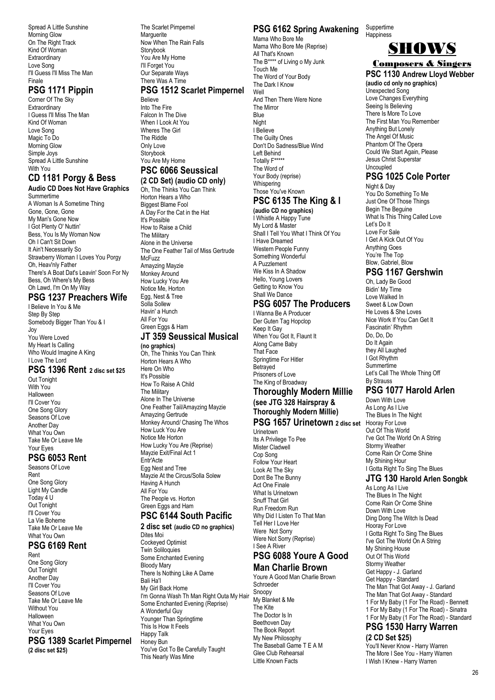Spread A Little Sunshine Morning Glow On The Right Track Kind Of Woman **Extraordinary** Love Song I'll Guess I'll Miss The Man Finale

# **PSG 1171 Pippin**

Corner Of The Sky **Extraordinary** I Guess I'll Miss The Man Kind Of Woman Love Song Magic To Do Morning Glow Simple Joys Spread A Little Sunshine With You

### **CD 1181 Porgy & Bess Audio CD Does Not Have Graphics**

Summertime A Woman Is A Sometime Thing Gone, Gone, Gone My Man's Gone Now I Got Plenty O' Nuttin' Bess, You Is My Woman Now Oh I Can't Sit Down It Ain't Necessarily So Strawberry Woman I Loves You Porgy Oh, Heav'nly Father There's A Boat Dat's Leavin' Soon For Ny Bess, Oh Where's My Bess Oh Lawd, I'm On My Way

# **PSG 1237 Preachers Wife**

I Believe In You & Me Step By Step Somebody Bigger Than You & I Joy You Were Loved My Heart Is Calling Who Would Imagine A King I Love The Lord

## **PSG 1396 Rent 2 disc set \$25**

Out Tonight With You Halloween I'll Cover You One Song Glory Seasons Of Love Another Day What You Own Take Me Or Leave Me Your Eyes

# **PSG 6053 Rent**

Seasons Of Love Rent One Song Glory Light My Candle Today 4 U Out Tonight I'll Cover You La Vie Boheme Take Me Or Leave Me What You Own

# **PSG 6169 Rent**

Rent One Song Glory Out Tonight Another Day I'll Cover You Seasons Of Love Take Me Or Leave Me Without You Halloween What You Own Your Eyes **PSG 1389 Scarlet Pimpernel**

### **(2 disc set \$25)**

The Scarlet Pimpernel **Marguerite** Now When The Rain Falls Storybook You Are My Home I'll Forget You Our Separate Ways There Was A Time

# **PSG 1512 Scarlet Pimpernel**

Believe Into The Fire Falcon In The Dive When I Look At You Wheres The Girl The Riddle Only Love **Storybook** You Are My Home

# **PSC 6066 Seussical**

# **(2 CD Set) (audio CD only)**

Oh, The Thinks You Can Think Horton Hears a Who Biggest Blame Fool A Day For the Cat in the Hat It's Possible How to Raise a Child The Military Alone in the Universe The One Feather Tail of Miss Gertrude **McFuzz** Amayzing Mayzie Monkey Around How Lucky You Are Notice Me, Horton Egg, Nest & Tree Solla Sollew Havin' a Hunch All For You Green Eggs & Ham

# **JT 359 Seussical Musical**

**(no graphics)** Oh, The Thinks You Can Think Horton Hears A Who Here On Who It's Possible How To Raise A Child The Military Alone In The Universe One Feather Tail/Amayzing Mayzie Amayzing Gertrude Monkey Around/ Chasing The Whos How Luck You Are Notice Me Horton How Lucky You Are (Reprise) Mayzie Exit/Final Act 1 Entr'Acte Egg Nest and Tree Mayzie At the Circus/Solla Solew Having A Hunch All For You The People vs. Horton Green Eggs and Ham **PSC 6144 South Pacific**

# **2 disc set (audio CD no graphics)**

Dites Moi Cockeyed Optimist Twin Soliloquies Some Enchanted Evening Bloody Mary There Is Nothing Like A Dame Bali Ha'I My Girl Back Home I'm Gonna Wash Th Man Right Outa My Hair Some Enchanted Evening (Reprise) A Wonderful Guy Younger Than Springtime This Is How It Feels Happy Talk Honey Bun You've Got To Be Carefully Taught This Nearly Was Mine

# **PSG 6162 Spring Awakening**

Mama Who Bore Me Mama Who Bore Me (Reprise) All That's Known The B\*\*\*\* of Living o My Junk Touch Me The Word of Your Body The Dark I Know Well And Then There Were None The Mirror Blue Night I Believe The Guilty Ones Don't Do Sadness/Blue Wind Left Behind Totally F\*\*\*\*\* The Word of Your Body (reprise) Whispering Those You've Known

#### **PSC 6135 The King & I (audio CD no graphics)**

I Whistle A Happy Tune My Lord & Master Shall I Tell You What I Think Of You I Have Dreamed Western People Funny Something Wonderful A Puzzlement We Kiss In A Shadow Hello, Young Lovers Getting to Know You Shall We Dance

# **PSG 6057 The Producers**

I Wanna Be A Producer Der Guten Tag Hopclop Keep It Gay When You Got It, Flaunt It Along Came Baby That Face Springtime For Hitler **Betrayed** Prisoners of Love The King of Broadway

### **Thoroughly Modern Millie (see JTG 328 Hairspray & Thoroughly Modern Millie) PSG 1657 Urinetown 2 disc set**

Urinetown

Its A Privilege To Pee Mister Cladwell Cop Song Follow Your Heart Look At The Sky Dont Be The Bunny Act One Finale What Is Urinetown Snuff That Girl Run Freedom Run Why Did I Listen To That Man Tell Her I Love Her Were Not Sorry Were Not Sorry (Reprise) I See A River

# **PSG 6088 Youre A Good**

**Man Charlie Brown** Youre A Good Man Charlie Brown Schroeder

Snoopy My Blanket & Me The Kite The Doctor Is In Beethoven Day The Book Report My New Philosophy The Baseball Game T E A M Glee Club Rehearsal Little Known Facts

Suppertime **Happiness** 



#### Composers & Singers **PSC 1130 Andrew Lloyd Webber**

**(audio cd only no graphics)** Unexpected Song Love Changes Everything Seeing Is Believing There Is More To Love The First Man You Remember Anything But Lonely The Angel Of Music Phantom Of The Opera Could We Start Again, Please Jesus Christ Superstar Uncoupled

# **PSG 1025 Cole Porter**

Night & Day You Do Something To Me Just One Of Those Things Begin The Beguine What Is This Thing Called Love Let's Do It Love For Sale I Get A Kick Out Of You Anything Goes You're The Top Blow, Gabriel, Blow

# **PSG 1167 Gershwin**

Oh, Lady Be Good Bidin' My Time Love Walked In Sweet & Low Down He Loves & She Loves Nice Work If You Can Get It Fascinatin' Rhythm Do, Do, Do Do It Again they All Laughed I Got Rhythm Summertime Let's Call The Whole Thing Off By Strauss

# **PSG 1077 Harold Arlen**

Down With Love As Long As I Live The Blues In The Night Hooray For Love Out Of This World I've Got The World On A String Stormy Weather Come Rain Or Come Shine My Shining Hour I Gotta Right To Sing The Blues

# **JTG 130 Harold Arlen Songbk**

As Long As I Live The Blues In The Night Come Rain Or Come Shine Down With Love Ding Dong The Witch Is Dead Hooray For Love I Gotta Right To Sing The Blues I've Got The World On A String My Shining House Out Of This World Stormy Weather Get Happy - J. Garland Get Happy - Standard The Man That Got Away - J. Garland The Man That Got Away - Standard 1 For My Baby (1 For The Road) - Bennett 1 For My Baby (1 For The Road) - Sinatra 1 For My Baby (1 For The Road) - Standard

#### **PSG 1530 Harry Warren (2 CD Set \$25)**

You'll Never Know - Harry Warren The More I See You - Harry Warren I Wish I Knew - Harry Warren